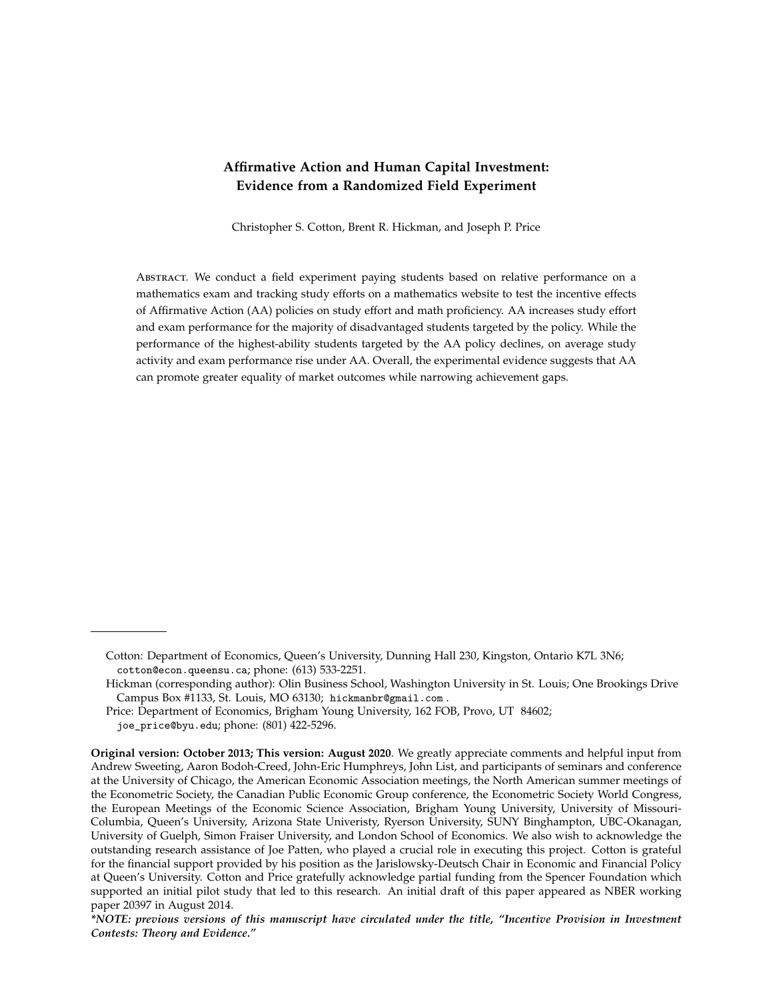# **Affirmative Action and Human Capital Investment: Evidence from a Randomized Field Experiment**

Christopher S. Cotton, Brent R. Hickman, and Joseph P. Price

Abstract. We conduct a field experiment paying students based on relative performance on a mathematics exam and tracking study efforts on a mathematics website to test the incentive effects of Affirmative Action (AA) policies on study effort and math proficiency. AA increases study effort and exam performance for the majority of disadvantaged students targeted by the policy. While the performance of the highest-ability students targeted by the AA policy declines, on average study activity and exam performance rise under AA. Overall, the experimental evidence suggests that AA can promote greater equality of market outcomes while narrowing achievement gaps.

Cotton: Department of Economics, Queen's University, Dunning Hall 230, Kingston, Ontario K7L 3N6; cotton@econ.queensu.ca; phone: (613) 533-2251.

Hickman (corresponding author): Olin Business School, Washington University in St. Louis; One Brookings Drive Campus Box #1133, St. Louis, MO 63130; hickmanbr@gmail.com .

Price: Department of Economics, Brigham Young University, 162 FOB, Provo, UT 84602; joe\_price@byu.edu; phone: (801) 422-5296.

**Original version: October 2013; This version: August 2020**. We greatly appreciate comments and helpful input from Andrew Sweeting, Aaron Bodoh-Creed, John-Eric Humphreys, John List, and participants of seminars and conference at the University of Chicago, the American Economic Association meetings, the North American summer meetings of the Econometric Society, the Canadian Public Economic Group conference, the Econometric Society World Congress, the European Meetings of the Economic Science Association, Brigham Young University, University of Missouri-Columbia, Queen's University, Arizona State Univeristy, Ryerson University, SUNY Binghampton, UBC-Okanagan, University of Guelph, Simon Fraiser University, and London School of Economics. We also wish to acknowledge the outstanding research assistance of Joe Patten, who played a crucial role in executing this project. Cotton is grateful for the financial support provided by his position as the Jarislowsky-Deutsch Chair in Economic and Financial Policy at Queen's University. Cotton and Price gratefully acknowledge partial funding from the Spencer Foundation which supported an initial pilot study that led to this research. An initial draft of this paper appeared as NBER working paper 20397 in August 2014.

*<sup>\*</sup>NOTE: previous versions of this manuscript have circulated under the title, "Incentive Provision in Investment Contests: Theory and Evidence."*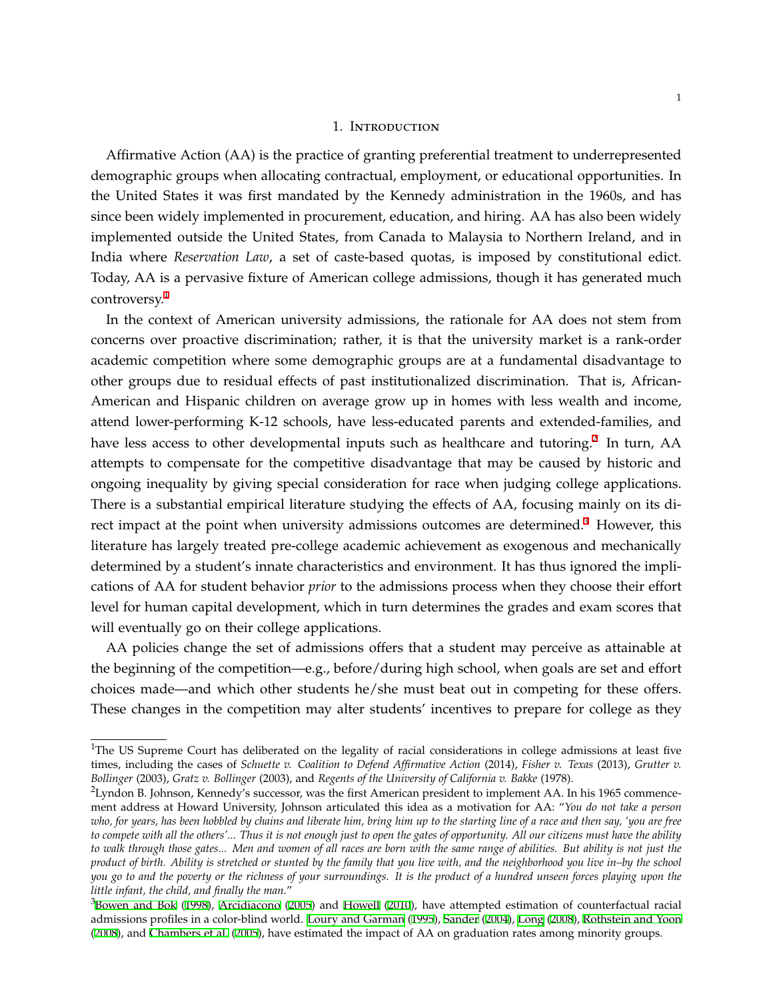#### 1. Introduction

Affirmative Action (AA) is the practice of granting preferential treatment to underrepresented demographic groups when allocating contractual, employment, or educational opportunities. In the United States it was first mandated by the Kennedy administration in the 1960s, and has since been widely implemented in procurement, education, and hiring. AA has also been widely implemented outside the United States, from Canada to Malaysia to Northern Ireland, and in India where *Reservation Law*, a set of caste-based quotas, is imposed by constitutional edict. Today, AA is a pervasive fixture of American college admissions, though it has generated much controversy.<sup>1</sup>

In the context of American university admissions, the rationale for AA does not stem from concerns over proactive discrimination; rather, it is that the university market is a rank-order academic competition where some demographic groups are at a fundamental disadvantage to other groups due to residual effects of past institutionalized discrimination. That is, African-American and Hispanic children on average grow up in homes with less wealth and income, attend lower-performing K-12 schools, have less-educated parents and extended-families, and have less access to other developmental inputs such as healthcare and tutoring.<sup>2</sup> In turn, AA attempts to compensate for the competitive disadvantage that may be caused by historic and ongoing inequality by giving special consideration for race when judging college applications. There is a substantial empirical literature studying the effects of AA, focusing mainly on its direct impact at the point when university admissions outcomes are determined.<sup>3</sup> However, this literature has largely treated pre-college academic achievement as exogenous and mechanically determined by a student's innate characteristics and environment. It has thus ignored the implications of AA for student behavior *prior* to the admissions process when they choose their effort level for human capital development, which in turn determines the grades and exam scores that will eventually go on their college applications.

AA policies change the set of admissions offers that a student may perceive as attainable at the beginning of the competition—e.g., before/during high school, when goals are set and effort choices made—and which other students he/she must beat out in competing for these offers. These changes in the competition may alter students' incentives to prepare for college as they

<sup>&</sup>lt;sup>1</sup>The US Supreme Court has deliberated on the legality of racial considerations in college admissions at least five times, including the cases of *Schuette v. Coalition to Defend Affirmative Action* (2014), *Fisher v. Texas* (2013), *Grutter v. Bollinger* (2003), *Gratz v. Bollinger* (2003), and *Regents of the University of California v. Bakke* (1978).

 $2$ Lyndon B. Johnson, Kennedy's successor, was the first American president to implement AA. In his 1965 commencement address at Howard University, Johnson articulated this idea as a motivation for AA: "*You do not take a person who, for years, has been hobbled by chains and liberate him, bring him up to the starting line of a race and then say, 'you are free to compete with all the others'... Thus it is not enough just to open the gates of opportunity. All our citizens must have the ability to walk through those gates... Men and women of all races are born with the same range of abilities. But ability is not just the product of birth. Ability is stretched or stunted by the family that you live with, and the neighborhood you live in–by the school you go to and the poverty or the richness of your surroundings. It is the product of a hundred unseen forces playing upon the little infant, the child, and finally the man.*"

 $3$ [Bowen and Bok](#page-22-0) ([1998\)](#page-22-0), [Arcidiacono](#page-22-1) ([2005\)](#page-22-1) and [Howell](#page-22-2) [\(2010](#page-22-2)), have attempted estimation of counterfactual racial admissions profiles in a color-blind world. [Loury and Garman](#page-23-0) [\(1995\)](#page-23-0), [Sander](#page-23-1) ([2004\)](#page-23-1), [Long](#page-23-2) [\(2008](#page-23-2)), [Rothstein and Yoon](#page-23-3) ([2008\)](#page-23-3), and [Chambers et al.](#page-22-3) [\(2005](#page-22-3)), have estimated the impact of AA on graduation rates among minority groups.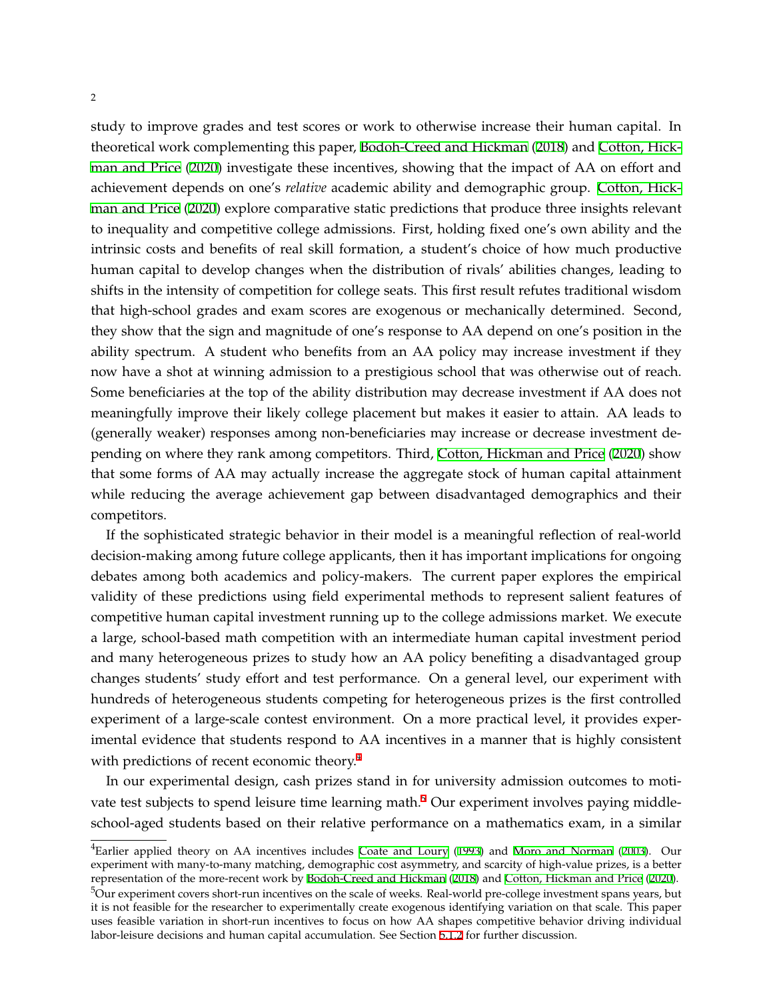study to improve grades and test scores or work to otherwise increase their human capital. In theoretical work complementing this paper, [Bodoh-Creed and Hickman](#page-22-4) ([2018\)](#page-22-4) and [Cotton, Hick](#page-22-5)[man and Price](#page-22-5) ([2020](#page-22-5)) investigate these incentives, showing that the impact of AA on effort and achievement depends on one's *relative* academic ability and demographic group. [Cotton, Hick](#page-22-5)[man and Price](#page-22-5) [\(2020](#page-22-5)) explore comparative static predictions that produce three insights relevant to inequality and competitive college admissions. First, holding fixed one's own ability and the intrinsic costs and benefits of real skill formation, a student's choice of how much productive human capital to develop changes when the distribution of rivals' abilities changes, leading to shifts in the intensity of competition for college seats. This first result refutes traditional wisdom that high-school grades and exam scores are exogenous or mechanically determined. Second, they show that the sign and magnitude of one's response to AA depend on one's position in the ability spectrum. A student who benefits from an AA policy may increase investment if they now have a shot at winning admission to a prestigious school that was otherwise out of reach. Some beneficiaries at the top of the ability distribution may decrease investment if AA does not meaningfully improve their likely college placement but makes it easier to attain. AA leads to (generally weaker) responses among non-beneficiaries may increase or decrease investment depending on where they rank among competitors. Third, [Cotton, Hickman and Price](#page-22-5) ([2020\)](#page-22-5) show that some forms of AA may actually increase the aggregate stock of human capital attainment while reducing the average achievement gap between disadvantaged demographics and their competitors.

If the sophisticated strategic behavior in their model is a meaningful reflection of real-world decision-making among future college applicants, then it has important implications for ongoing debates among both academics and policy-makers. The current paper explores the empirical validity of these predictions using field experimental methods to represent salient features of competitive human capital investment running up to the college admissions market. We execute a large, school-based math competition with an intermediate human capital investment period and many heterogeneous prizes to study how an AA policy benefiting a disadvantaged group changes students' study effort and test performance. On a general level, our experiment with hundreds of heterogeneous students competing for heterogeneous prizes is the first controlled experiment of a large-scale contest environment. On a more practical level, it provides experimental evidence that students respond to AA incentives in a manner that is highly consistent with predictions of recent economic theory.<sup>4</sup>

In our experimental design, cash prizes stand in for university admission outcomes to motivate test subjects to spend leisure time learning math.<sup>5</sup> Our experiment involves paying middleschool-aged students based on their relative performance on a mathematics exam, in a similar

 $4$ Earlier applied theory on AA incentives includes [Coate and Loury](#page-22-6) ([1993](#page-22-6)) and [Moro and Norman](#page-23-4) ([2003\)](#page-23-4). Our experiment with many-to-many matching, demographic cost asymmetry, and scarcity of high-value prizes, is a better representation of the more-recent work by [Bodoh-Creed and Hickman](#page-22-4) ([2018\)](#page-22-4) and [Cotton, Hickman and Price](#page-22-5) ([2020\)](#page-22-5).

<sup>&</sup>lt;sup>5</sup>Our experiment covers short-run incentives on the scale of weeks. Real-world pre-college investment spans years, but it is not feasible for the researcher to experimentally create exogenous identifying variation on that scale. This paper uses feasible variation in short-run incentives to focus on how AA shapes competitive behavior driving individual labor-leisure decisions and human capital accumulation. See Section [5.1.2](#page-20-0) for further discussion.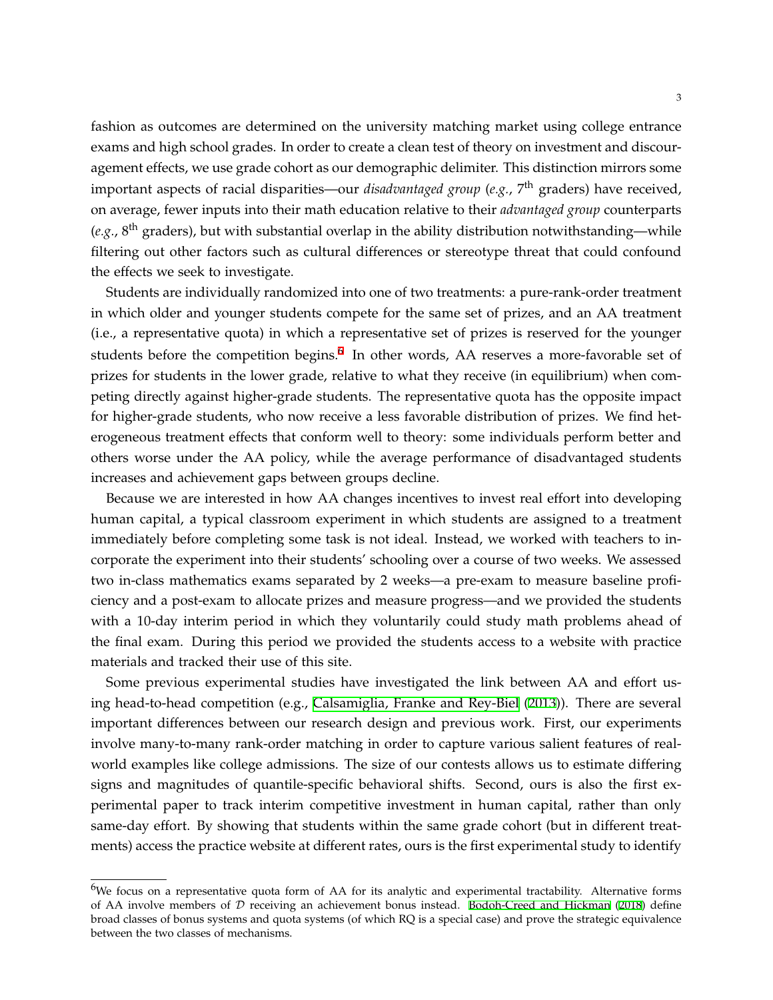fashion as outcomes are determined on the university matching market using college entrance exams and high school grades. In order to create a clean test of theory on investment and discouragement effects, we use grade cohort as our demographic delimiter. This distinction mirrors some important aspects of racial disparities—our *disadvantaged group* (*e.g.*, 7 th graders) have received, on average, fewer inputs into their math education relative to their *advantaged group* counterparts (e.g., 8<sup>th</sup> graders), but with substantial overlap in the ability distribution notwithstanding—while filtering out other factors such as cultural differences or stereotype threat that could confound the effects we seek to investigate.

Students are individually randomized into one of two treatments: a pure-rank-order treatment in which older and younger students compete for the same set of prizes, and an AA treatment (i.e., a representative quota) in which a representative set of prizes is reserved for the younger students before the competition begins.<sup>6</sup> In other words, AA reserves a more-favorable set of prizes for students in the lower grade, relative to what they receive (in equilibrium) when competing directly against higher-grade students. The representative quota has the opposite impact for higher-grade students, who now receive a less favorable distribution of prizes. We find heterogeneous treatment effects that conform well to theory: some individuals perform better and others worse under the AA policy, while the average performance of disadvantaged students increases and achievement gaps between groups decline.

Because we are interested in how AA changes incentives to invest real effort into developing human capital, a typical classroom experiment in which students are assigned to a treatment immediately before completing some task is not ideal. Instead, we worked with teachers to incorporate the experiment into their students' schooling over a course of two weeks. We assessed two in-class mathematics exams separated by 2 weeks—a pre-exam to measure baseline proficiency and a post-exam to allocate prizes and measure progress—and we provided the students with a 10-day interim period in which they voluntarily could study math problems ahead of the final exam. During this period we provided the students access to a website with practice materials and tracked their use of this site.

Some previous experimental studies have investigated the link between AA and effort using head-to-head competition (e.g., [Calsamiglia, Franke and Rey-Biel](#page-22-7) ([2013\)](#page-22-7)). There are several important differences between our research design and previous work. First, our experiments involve many-to-many rank-order matching in order to capture various salient features of realworld examples like college admissions. The size of our contests allows us to estimate differing signs and magnitudes of quantile-specific behavioral shifts. Second, ours is also the first experimental paper to track interim competitive investment in human capital, rather than only same-day effort. By showing that students within the same grade cohort (but in different treatments) access the practice website at different rates, ours is the first experimental study to identify

 $6$ We focus on a representative quota form of AA for its analytic and experimental tractability. Alternative forms of AA involve members of *D* receiving an achievement bonus instead. [Bodoh-Creed and Hickman](#page-22-4) ([2018](#page-22-4)) define broad classes of bonus systems and quota systems (of which RQ is a special case) and prove the strategic equivalence between the two classes of mechanisms.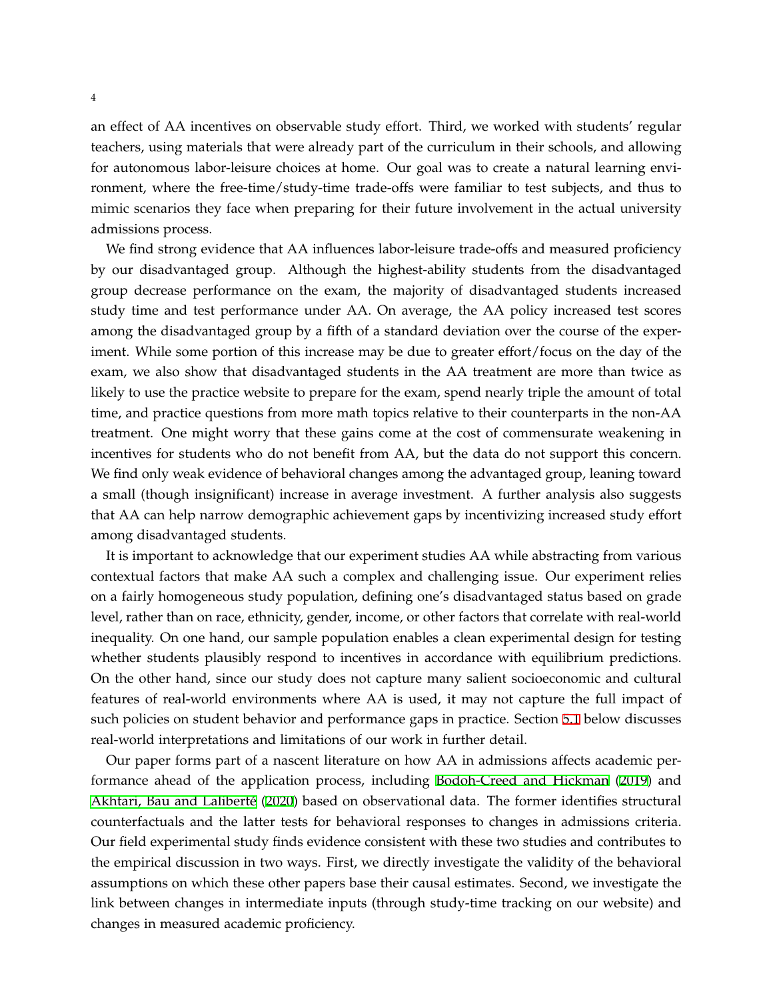an effect of AA incentives on observable study effort. Third, we worked with students' regular teachers, using materials that were already part of the curriculum in their schools, and allowing for autonomous labor-leisure choices at home. Our goal was to create a natural learning environment, where the free-time/study-time trade-offs were familiar to test subjects, and thus to mimic scenarios they face when preparing for their future involvement in the actual university admissions process.

We find strong evidence that AA influences labor-leisure trade-offs and measured proficiency by our disadvantaged group. Although the highest-ability students from the disadvantaged group decrease performance on the exam, the majority of disadvantaged students increased study time and test performance under AA. On average, the AA policy increased test scores among the disadvantaged group by a fifth of a standard deviation over the course of the experiment. While some portion of this increase may be due to greater effort/focus on the day of the exam, we also show that disadvantaged students in the AA treatment are more than twice as likely to use the practice website to prepare for the exam, spend nearly triple the amount of total time, and practice questions from more math topics relative to their counterparts in the non-AA treatment. One might worry that these gains come at the cost of commensurate weakening in incentives for students who do not benefit from AA, but the data do not support this concern. We find only weak evidence of behavioral changes among the advantaged group, leaning toward a small (though insignificant) increase in average investment. A further analysis also suggests that AA can help narrow demographic achievement gaps by incentivizing increased study effort among disadvantaged students.

It is important to acknowledge that our experiment studies AA while abstracting from various contextual factors that make AA such a complex and challenging issue. Our experiment relies on a fairly homogeneous study population, defining one's disadvantaged status based on grade level, rather than on race, ethnicity, gender, income, or other factors that correlate with real-world inequality. On one hand, our sample population enables a clean experimental design for testing whether students plausibly respond to incentives in accordance with equilibrium predictions. On the other hand, since our study does not capture many salient socioeconomic and cultural features of real-world environments where AA is used, it may not capture the full impact of such policies on student behavior and performance gaps in practice. Section [5.1](#page-19-0) below discusses real-world interpretations and limitations of our work in further detail.

Our paper forms part of a nascent literature on how AA in admissions affects academic performance ahead of the application process, including [Bodoh-Creed and Hickman](#page-22-8) [\(2019](#page-22-8)) and [Akhtari, Bau and Laliberté](#page-21-0) ([2020](#page-21-0)) based on observational data. The former identifies structural counterfactuals and the latter tests for behavioral responses to changes in admissions criteria. Our field experimental study finds evidence consistent with these two studies and contributes to the empirical discussion in two ways. First, we directly investigate the validity of the behavioral assumptions on which these other papers base their causal estimates. Second, we investigate the link between changes in intermediate inputs (through study-time tracking on our website) and changes in measured academic proficiency.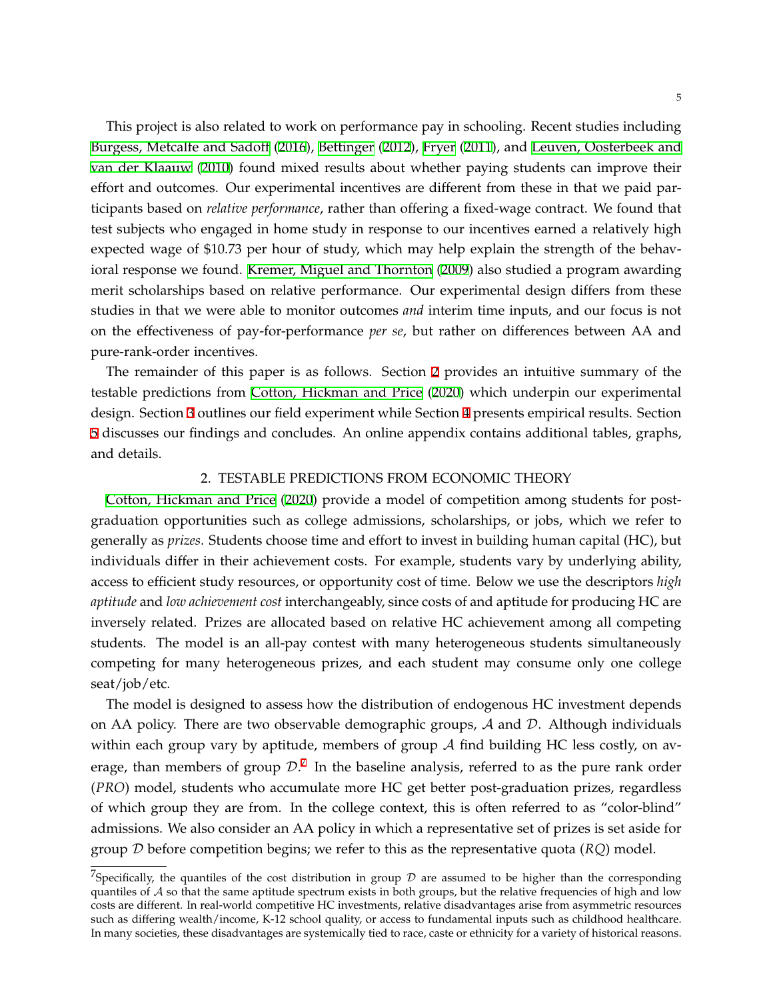This project is also related to work on performance pay in schooling. Recent studies including [Burgess, Metcalfe and Sadoff](#page-22-9) ([2016\)](#page-22-9), [Bettinger](#page-22-10) ([2012](#page-22-10)), [Fryer](#page-22-11) ([2011\)](#page-22-11), and [Leuven, Oosterbeek and](#page-22-12) [van der Klaauw](#page-22-12) ([2010](#page-22-12)) found mixed results about whether paying students can improve their effort and outcomes. Our experimental incentives are different from these in that we paid participants based on *relative performance*, rather than offering a fixed-wage contract. We found that test subjects who engaged in home study in response to our incentives earned a relatively high expected wage of \$10.73 per hour of study, which may help explain the strength of the behavioral response we found. [Kremer, Miguel and Thornton](#page-22-13) ([2009](#page-22-13)) also studied a program awarding merit scholarships based on relative performance. Our experimental design differs from these studies in that we were able to monitor outcomes *and* interim time inputs, and our focus is not on the effectiveness of pay-for-performance *per se*, but rather on differences between AA and pure-rank-order incentives.

The remainder of this paper is as follows. Section [2](#page-5-0) provides an intuitive summary of the testable predictions from [Cotton, Hickman and Price](#page-22-5) [\(2020](#page-22-5)) which underpin our experimental design. Section [3](#page-6-0) outlines our field experiment while Section [4](#page-10-0) presents empirical results. Section [5](#page-19-1) discusses our findings and concludes. An online appendix contains additional tables, graphs, and details.

### 2. TESTABLE PREDICTIONS FROM ECONOMIC THEORY

<span id="page-5-0"></span>[Cotton, Hickman and Price](#page-22-5) [\(2020\)](#page-22-5) provide a model of competition among students for postgraduation opportunities such as college admissions, scholarships, or jobs, which we refer to generally as *prizes*. Students choose time and effort to invest in building human capital (HC), but individuals differ in their achievement costs. For example, students vary by underlying ability, access to efficient study resources, or opportunity cost of time. Below we use the descriptors *high aptitude* and *low achievement cost* interchangeably, since costs of and aptitude for producing HC are inversely related. Prizes are allocated based on relative HC achievement among all competing students. The model is an all-pay contest with many heterogeneous students simultaneously competing for many heterogeneous prizes, and each student may consume only one college seat/job/etc.

The model is designed to assess how the distribution of endogenous HC investment depends on AA policy. There are two observable demographic groups, *A* and *D*. Although individuals within each group vary by aptitude, members of group *A* find building HC less costly, on average, than members of group  $\mathcal{D}.^{7}$  In the baseline analysis, referred to as the pure rank order (*PRO*) model, students who accumulate more HC get better post-graduation prizes, regardless of which group they are from. In the college context, this is often referred to as "color-blind" admissions. We also consider an AA policy in which a representative set of prizes is set aside for group *D* before competition begins; we refer to this as the representative quota (*RQ*) model.

<sup>&</sup>lt;sup>7</sup>Specifically, the quantiles of the cost distribution in group  $D$  are assumed to be higher than the corresponding quantiles of *A* so that the same aptitude spectrum exists in both groups, but the relative frequencies of high and low costs are different. In real-world competitive HC investments, relative disadvantages arise from asymmetric resources such as differing wealth/income, K-12 school quality, or access to fundamental inputs such as childhood healthcare. In many societies, these disadvantages are systemically tied to race, caste or ethnicity for a variety of historical reasons.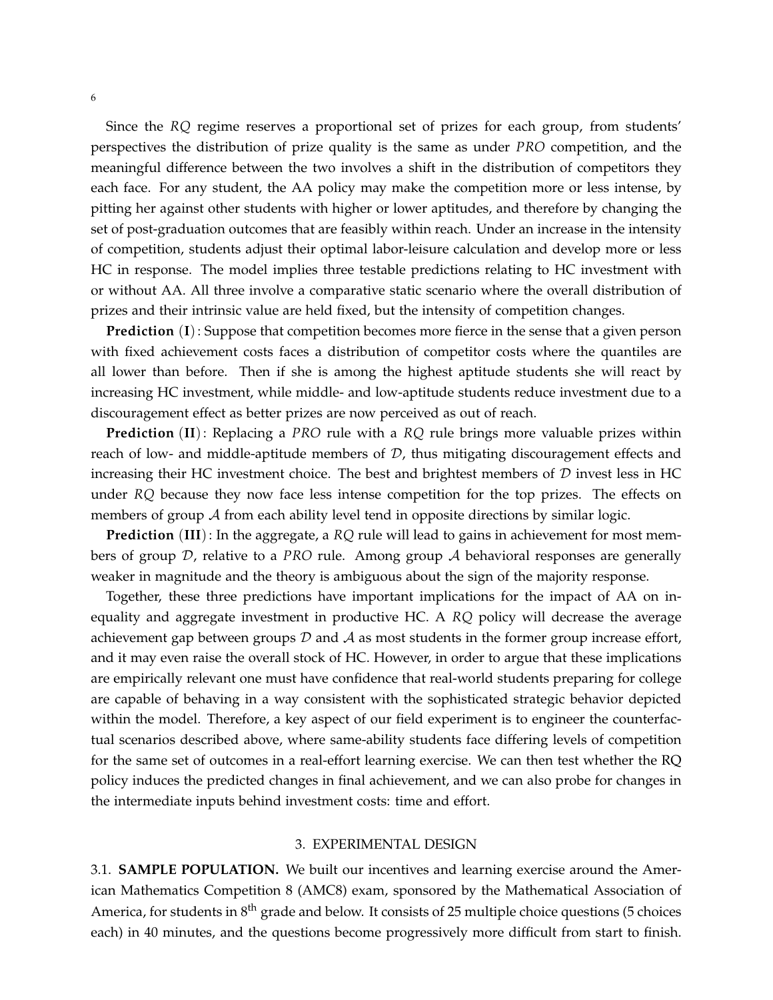Since the *RQ* regime reserves a proportional set of prizes for each group, from students' perspectives the distribution of prize quality is the same as under *PRO* competition, and the meaningful difference between the two involves a shift in the distribution of competitors they each face. For any student, the AA policy may make the competition more or less intense, by pitting her against other students with higher or lower aptitudes, and therefore by changing the set of post-graduation outcomes that are feasibly within reach. Under an increase in the intensity of competition, students adjust their optimal labor-leisure calculation and develop more or less HC in response. The model implies three testable predictions relating to HC investment with or without AA. All three involve a comparative static scenario where the overall distribution of prizes and their intrinsic value are held fixed, but the intensity of competition changes.

**Prediction** (**I**): Suppose that competition becomes more fierce in the sense that a given person with fixed achievement costs faces a distribution of competitor costs where the quantiles are all lower than before. Then if she is among the highest aptitude students she will react by increasing HC investment, while middle- and low-aptitude students reduce investment due to a discouragement effect as better prizes are now perceived as out of reach.

**Prediction** (**II**): Replacing a *PRO* rule with a *RQ* rule brings more valuable prizes within reach of low- and middle-aptitude members of *D*, thus mitigating discouragement effects and increasing their HC investment choice. The best and brightest members of *D* invest less in HC under *RQ* because they now face less intense competition for the top prizes. The effects on members of group A from each ability level tend in opposite directions by similar logic.

**Prediction** (**III**): In the aggregate, a *RQ* rule will lead to gains in achievement for most members of group *D*, relative to a *PRO* rule. Among group *A* behavioral responses are generally weaker in magnitude and the theory is ambiguous about the sign of the majority response.

Together, these three predictions have important implications for the impact of AA on inequality and aggregate investment in productive HC. A *RQ* policy will decrease the average achievement gap between groups *D* and *A* as most students in the former group increase effort, and it may even raise the overall stock of HC. However, in order to argue that these implications are empirically relevant one must have confidence that real-world students preparing for college are capable of behaving in a way consistent with the sophisticated strategic behavior depicted within the model. Therefore, a key aspect of our field experiment is to engineer the counterfactual scenarios described above, where same-ability students face differing levels of competition for the same set of outcomes in a real-effort learning exercise. We can then test whether the RQ policy induces the predicted changes in final achievement, and we can also probe for changes in the intermediate inputs behind investment costs: time and effort.

#### 3. EXPERIMENTAL DESIGN

<span id="page-6-0"></span>3.1. **SAMPLE POPULATION.** We built our incentives and learning exercise around the American Mathematics Competition 8 (AMC8) exam, sponsored by the Mathematical Association of America, for students in 8<sup>th</sup> grade and below. It consists of 25 multiple choice questions (5 choices each) in 40 minutes, and the questions become progressively more difficult from start to finish.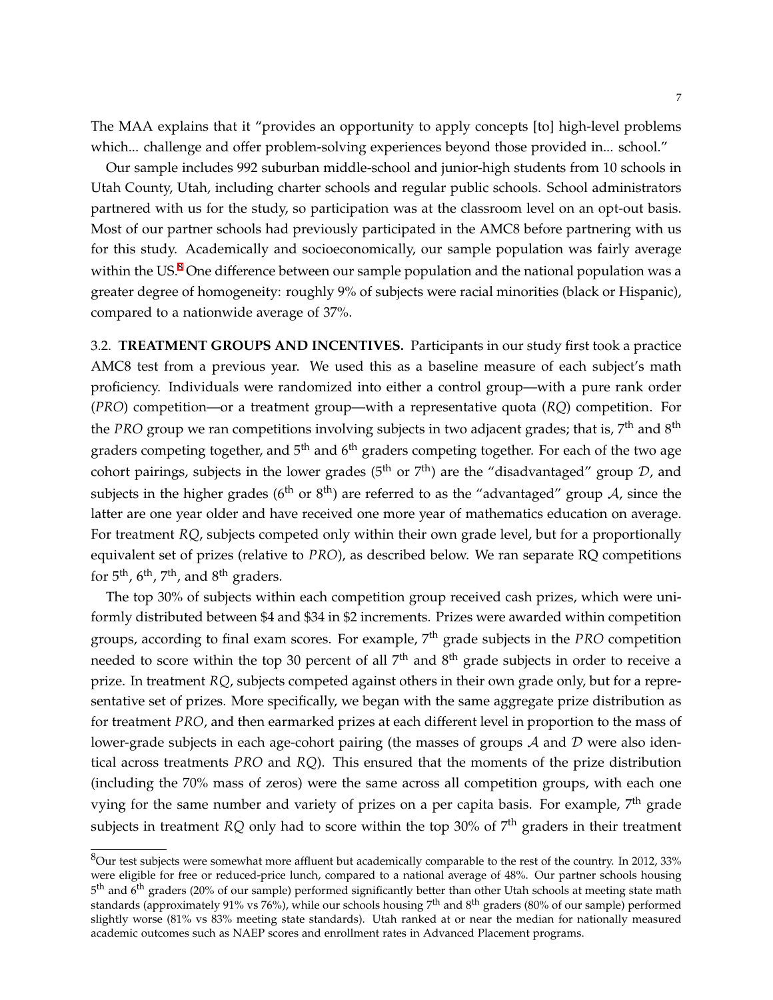The MAA explains that it "provides an opportunity to apply concepts [to] high-level problems which... challenge and offer problem-solving experiences beyond those provided in... school."

Our sample includes 992 suburban middle-school and junior-high students from 10 schools in Utah County, Utah, including charter schools and regular public schools. School administrators partnered with us for the study, so participation was at the classroom level on an opt-out basis. Most of our partner schools had previously participated in the AMC8 before partnering with us for this study. Academically and socioeconomically, our sample population was fairly average within the US. $8$  One difference between our sample population and the national population was a greater degree of homogeneity: roughly 9% of subjects were racial minorities (black or Hispanic), compared to a nationwide average of 37%.

3.2. **TREATMENT GROUPS AND INCENTIVES.** Participants in our study first took a practice AMC8 test from a previous year. We used this as a baseline measure of each subject's math proficiency. Individuals were randomized into either a control group—with a pure rank order (*PRO*) competition—or a treatment group—with a representative quota (*RQ*) competition. For the *PRO* group we ran competitions involving subjects in two adjacent grades; that is, 7<sup>th</sup> and 8<sup>th</sup> graders competing together, and 5<sup>th</sup> and 6<sup>th</sup> graders competing together. For each of the two age cohort pairings, subjects in the lower grades (5<sup>th</sup> or 7<sup>th</sup>) are the "disadvantaged" group D, and subjects in the higher grades (6<sup>th</sup> or 8<sup>th</sup>) are referred to as the "advantaged" group  $\mathcal A$ , since the latter are one year older and have received one more year of mathematics education on average. For treatment *RQ*, subjects competed only within their own grade level, but for a proportionally equivalent set of prizes (relative to *PRO*), as described below. We ran separate RQ competitions for  $5^{\text{th}}$ ,  $6^{\text{th}}$ ,  $7^{\text{th}}$ , and  $8^{\text{th}}$  graders.

The top 30% of subjects within each competition group received cash prizes, which were uniformly distributed between \$4 and \$34 in \$2 increments. Prizes were awarded within competition groups, according to final exam scores. For example, 7 th grade subjects in the *PRO* competition needed to score within the top 30 percent of all  $7^{\text{th}}$  and  $8^{\text{th}}$  grade subjects in order to receive a prize. In treatment *RQ*, subjects competed against others in their own grade only, but for a representative set of prizes. More specifically, we began with the same aggregate prize distribution as for treatment *PRO*, and then earmarked prizes at each different level in proportion to the mass of lower-grade subjects in each age-cohort pairing (the masses of groups *A* and *D* were also identical across treatments *PRO* and *RQ*). This ensured that the moments of the prize distribution (including the 70% mass of zeros) were the same across all competition groups, with each one vying for the same number and variety of prizes on a per capita basis. For example, 7<sup>th</sup> grade subjects in treatment *RQ* only had to score within the top 30% of 7<sup>th</sup> graders in their treatment

 $8$ Our test subjects were somewhat more affluent but academically comparable to the rest of the country. In 2012, 33% were eligible for free or reduced-price lunch, compared to a national average of 48%. Our partner schools housing 5<sup>th</sup> and 6<sup>th</sup> graders (20% of our sample) performed significantly better than other Utah schools at meeting state math standards (approximately 91% vs 76%), while our schools housing 7<sup>th</sup> and 8<sup>th</sup> graders (80% of our sample) performed slightly worse (81% vs 83% meeting state standards). Utah ranked at or near the median for nationally measured academic outcomes such as NAEP scores and enrollment rates in Advanced Placement programs.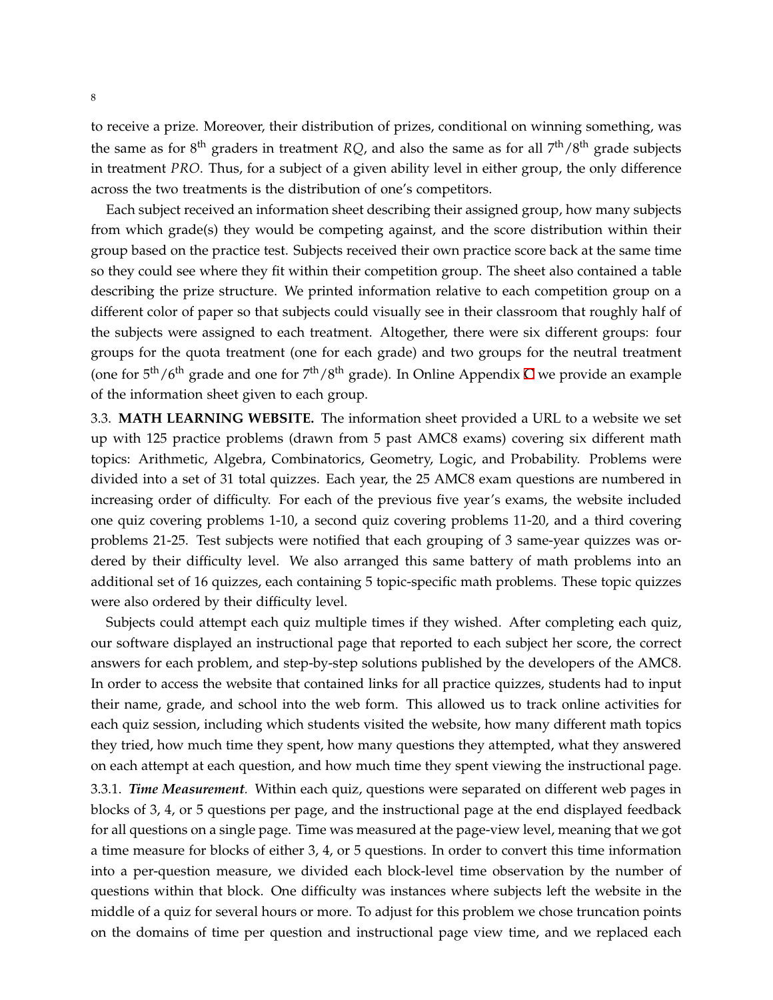to receive a prize. Moreover, their distribution of prizes, conditional on winning something, was the same as for 8<sup>th</sup> graders in treatment *RQ*, and also the same as for all 7<sup>th</sup>/8<sup>th</sup> grade subjects in treatment *PRO*. Thus, for a subject of a given ability level in either group, the only difference across the two treatments is the distribution of one's competitors.

Each subject received an information sheet describing their assigned group, how many subjects from which grade(s) they would be competing against, and the score distribution within their group based on the practice test. Subjects received their own practice score back at the same time so they could see where they fit within their competition group. The sheet also contained a table describing the prize structure. We printed information relative to each competition group on a different color of paper so that subjects could visually see in their classroom that roughly half of the subjects were assigned to each treatment. Altogether, there were six different groups: four groups for the quota treatment (one for each grade) and two groups for the neutral treatment (one for  $5<sup>th</sup>/6<sup>th</sup>$  grade and one for  $7<sup>th</sup>/8<sup>th</sup>$  grade). In Online Appendix [C](#page-39-0) we provide an example of the information sheet given to each group.

3.3. **MATH LEARNING WEBSITE.** The information sheet provided a URL to a website we set up with 125 practice problems (drawn from 5 past AMC8 exams) covering six different math topics: Arithmetic, Algebra, Combinatorics, Geometry, Logic, and Probability. Problems were divided into a set of 31 total quizzes. Each year, the 25 AMC8 exam questions are numbered in increasing order of difficulty. For each of the previous five year's exams, the website included one quiz covering problems 1-10, a second quiz covering problems 11-20, and a third covering problems 21-25. Test subjects were notified that each grouping of 3 same-year quizzes was ordered by their difficulty level. We also arranged this same battery of math problems into an additional set of 16 quizzes, each containing 5 topic-specific math problems. These topic quizzes were also ordered by their difficulty level.

Subjects could attempt each quiz multiple times if they wished. After completing each quiz, our software displayed an instructional page that reported to each subject her score, the correct answers for each problem, and step-by-step solutions published by the developers of the AMC8. In order to access the website that contained links for all practice quizzes, students had to input their name, grade, and school into the web form. This allowed us to track online activities for each quiz session, including which students visited the website, how many different math topics they tried, how much time they spent, how many questions they attempted, what they answered on each attempt at each question, and how much time they spent viewing the instructional page.

3.3.1. *Time Measurement.* Within each quiz, questions were separated on different web pages in blocks of 3, 4, or 5 questions per page, and the instructional page at the end displayed feedback for all questions on a single page. Time was measured at the page-view level, meaning that we got a time measure for blocks of either 3, 4, or 5 questions. In order to convert this time information into a per-question measure, we divided each block-level time observation by the number of questions within that block. One difficulty was instances where subjects left the website in the middle of a quiz for several hours or more. To adjust for this problem we chose truncation points on the domains of time per question and instructional page view time, and we replaced each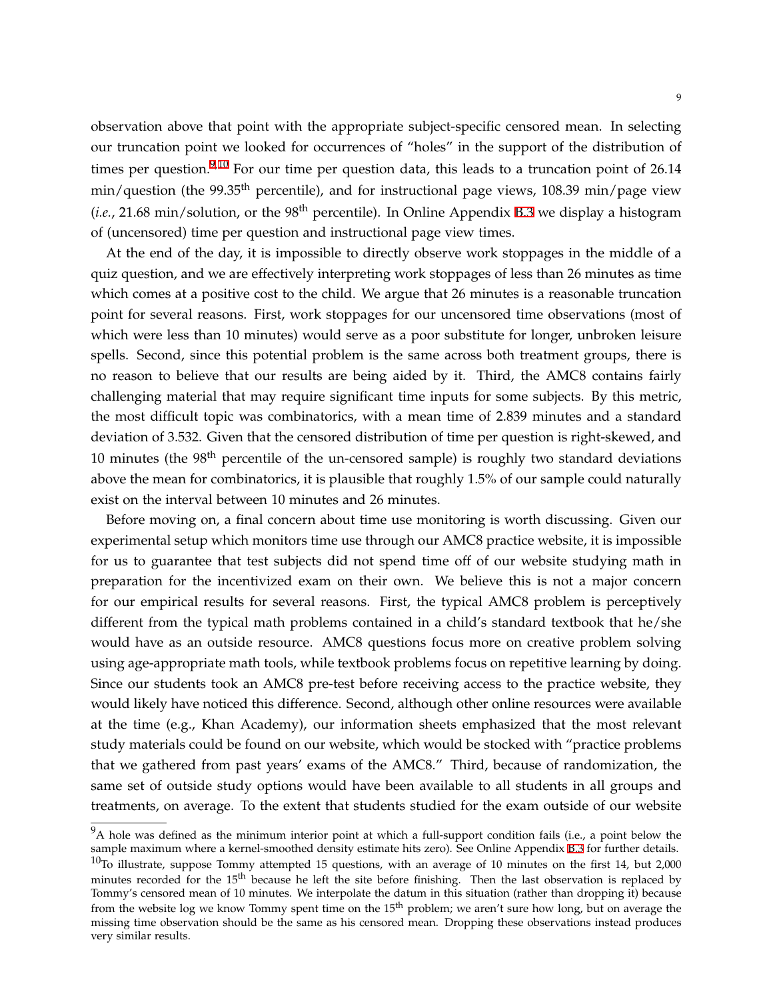observation above that point with the appropriate subject-specific censored mean. In selecting our truncation point we looked for occurrences of "holes" in the support of the distribution of times per question.<sup>9,10</sup> For our time per question data, this leads to a truncation point of 26.14 min/question (the 99.35<sup>th</sup> percentile), and for instructional page views, 108.39 min/page view  $(i.e., 21.68 \text{ min/solution},$  or the 98<sup>th</sup> percentile). In Online Appendix [B.3](#page-33-0) we display a histogram of (uncensored) time per question and instructional page view times.

At the end of the day, it is impossible to directly observe work stoppages in the middle of a quiz question, and we are effectively interpreting work stoppages of less than 26 minutes as time which comes at a positive cost to the child. We argue that 26 minutes is a reasonable truncation point for several reasons. First, work stoppages for our uncensored time observations (most of which were less than 10 minutes) would serve as a poor substitute for longer, unbroken leisure spells. Second, since this potential problem is the same across both treatment groups, there is no reason to believe that our results are being aided by it. Third, the AMC8 contains fairly challenging material that may require significant time inputs for some subjects. By this metric, the most difficult topic was combinatorics, with a mean time of 2.839 minutes and a standard deviation of 3.532. Given that the censored distribution of time per question is right-skewed, and 10 minutes (the 98<sup>th</sup> percentile of the un-censored sample) is roughly two standard deviations above the mean for combinatorics, it is plausible that roughly 1.5% of our sample could naturally exist on the interval between 10 minutes and 26 minutes.

Before moving on, a final concern about time use monitoring is worth discussing. Given our experimental setup which monitors time use through our AMC8 practice website, it is impossible for us to guarantee that test subjects did not spend time off of our website studying math in preparation for the incentivized exam on their own. We believe this is not a major concern for our empirical results for several reasons. First, the typical AMC8 problem is perceptively different from the typical math problems contained in a child's standard textbook that he/she would have as an outside resource. AMC8 questions focus more on creative problem solving using age-appropriate math tools, while textbook problems focus on repetitive learning by doing. Since our students took an AMC8 pre-test before receiving access to the practice website, they would likely have noticed this difference. Second, although other online resources were available at the time (e.g., Khan Academy), our information sheets emphasized that the most relevant study materials could be found on our website, which would be stocked with "practice problems that we gathered from past years' exams of the AMC8." Third, because of randomization, the same set of outside study options would have been available to all students in all groups and treatments, on average. To the extent that students studied for the exam outside of our website

 $9A$  hole was defined as the minimum interior point at which a full-support condition fails (i.e., a point below the sample maximum where a kernel-smoothed density estimate hits zero). See Online Appendix [B.3](#page-33-0) for further details.

 $10$ To illustrate, suppose Tommy attempted 15 questions, with an average of 10 minutes on the first 14, but 2,000 minutes recorded for the 15<sup>th</sup> because he left the site before finishing. Then the last observation is replaced by Tommy's censored mean of 10 minutes. We interpolate the datum in this situation (rather than dropping it) because from the website log we know Tommy spent time on the 15<sup>th</sup> problem; we aren't sure how long, but on average the missing time observation should be the same as his censored mean. Dropping these observations instead produces very similar results.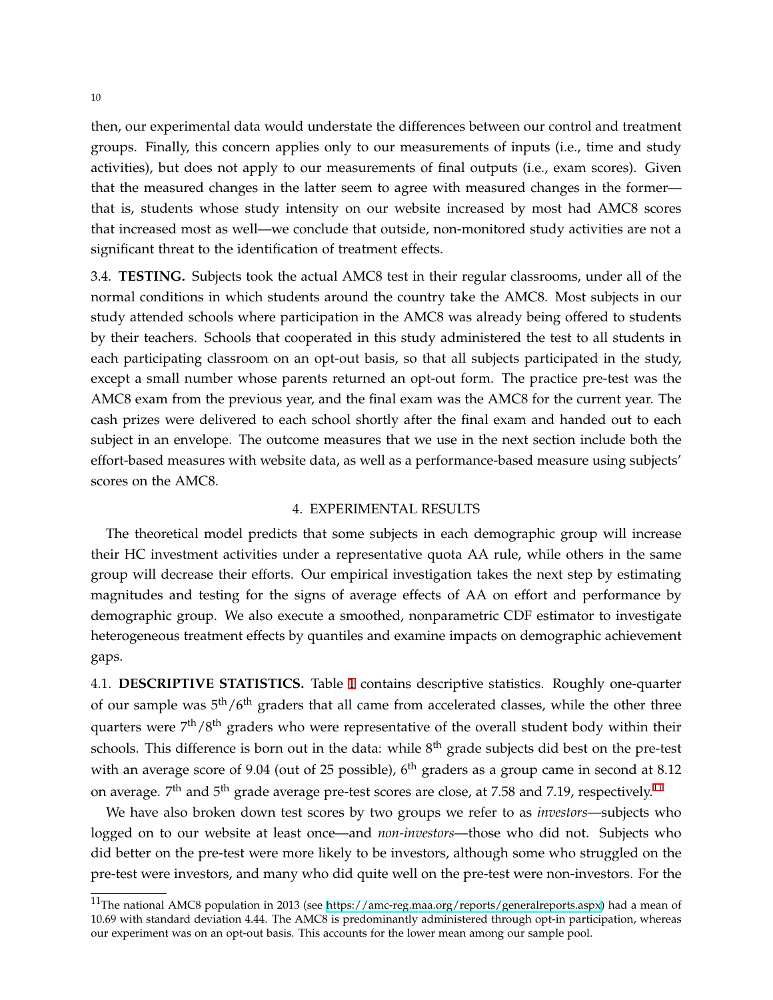then, our experimental data would understate the differences between our control and treatment groups. Finally, this concern applies only to our measurements of inputs (i.e., time and study activities), but does not apply to our measurements of final outputs (i.e., exam scores). Given that the measured changes in the latter seem to agree with measured changes in the former that is, students whose study intensity on our website increased by most had AMC8 scores that increased most as well—we conclude that outside, non-monitored study activities are not a significant threat to the identification of treatment effects.

3.4. **TESTING.** Subjects took the actual AMC8 test in their regular classrooms, under all of the normal conditions in which students around the country take the AMC8. Most subjects in our study attended schools where participation in the AMC8 was already being offered to students by their teachers. Schools that cooperated in this study administered the test to all students in each participating classroom on an opt-out basis, so that all subjects participated in the study, except a small number whose parents returned an opt-out form. The practice pre-test was the AMC8 exam from the previous year, and the final exam was the AMC8 for the current year. The cash prizes were delivered to each school shortly after the final exam and handed out to each subject in an envelope. The outcome measures that we use in the next section include both the effort-based measures with website data, as well as a performance-based measure using subjects' scores on the AMC8.

#### 4. EXPERIMENTAL RESULTS

<span id="page-10-0"></span>The theoretical model predicts that some subjects in each demographic group will increase their HC investment activities under a representative quota AA rule, while others in the same group will decrease their efforts. Our empirical investigation takes the next step by estimating magnitudes and testing for the signs of average effects of AA on effort and performance by demographic group. We also execute a smoothed, nonparametric CDF estimator to investigate heterogeneous treatment effects by quantiles and examine impacts on demographic achievement gaps.

4.1. **DESCRIPTIVE STATISTICS.** Table [1](#page-11-0) contains descriptive statistics. Roughly one-quarter of our sample was 5<sup>th</sup>/6<sup>th</sup> graders that all came from accelerated classes, while the other three quarters were  $7<sup>th</sup>/8<sup>th</sup>$  graders who were representative of the overall student body within their schools. This difference is born out in the data: while  $8^{\text{th}}$  grade subjects did best on the pre-test with an average score of 9.04 (out of 25 possible), 6<sup>th</sup> graders as a group came in second at 8.12 on average.  $7^{\rm th}$  and  $5^{\rm th}$  grade average pre-test scores are close, at 7.58 and 7.19, respectively. $^{11}$ 

We have also broken down test scores by two groups we refer to as *investors*—subjects who logged on to our website at least once—and *non-investors*—those who did not. Subjects who did better on the pre-test were more likely to be investors, although some who struggled on the pre-test were investors, and many who did quite well on the pre-test were non-investors. For the

<sup>&</sup>lt;sup>11</sup>The national AMC8 population in 2013 (see <https://amc-reg.maa.org/reports/generalreports.aspx>) had a mean of 10.69 with standard deviation 4.44. The AMC8 is predominantly administered through opt-in participation, whereas our experiment was on an opt-out basis. This accounts for the lower mean among our sample pool.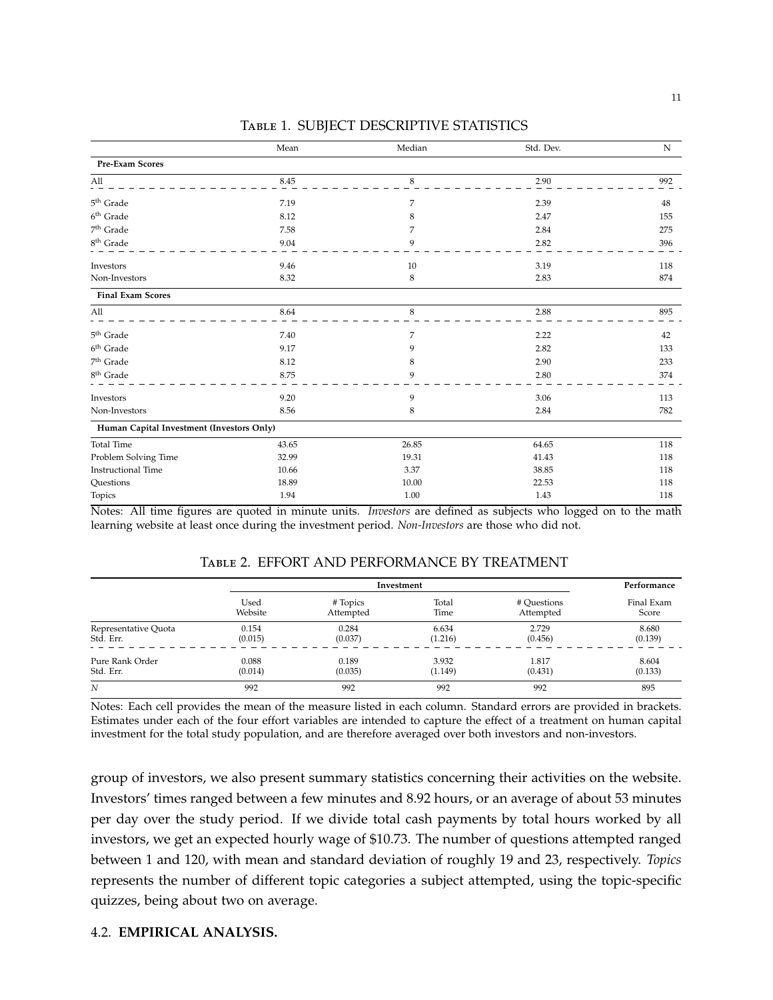<span id="page-11-0"></span>

|                                           | Mean  | Median      | Std. Dev. | ${\bf N}$ |
|-------------------------------------------|-------|-------------|-----------|-----------|
| Pre-Exam Scores                           |       |             |           |           |
| All                                       | 8.45  | 8           | 2.90      | 992       |
| 5 <sup>th</sup> Grade                     | 7.19  | 7           | 2.39      | 48        |
| $6^{\rm th}$ Grade                        | 8.12  | 8           | 2.47      | 155       |
| 7 <sup>th</sup> Grade                     | 7.58  | 7           | 2.84      | 275       |
| $8^{\rm th}$ Grade                        | 9.04  | 9           | 2.82      | 396       |
| Investors                                 | 9.46  | 10          | 3.19      | 118       |
| Non-Investors                             | 8.32  | 8           | 2.83      | 874       |
| <b>Final Exam Scores</b>                  |       |             |           |           |
| All                                       | 8.64  | $\,$ 8 $\,$ | 2.88      | 895       |
| $5^{\rm th}$ Grade                        | 7.40  | 7           | 2.22      | 42        |
| 6 <sup>th</sup> Grade                     | 9.17  | 9           | 2.82      | 133       |
| 7 <sup>th</sup> Grade                     | 8.12  | 8           | 2.90      | 233       |
| $8^{\rm th}$ Grade                        | 8.75  | 9           | 2.80      | 374       |
| Investors                                 | 9.20  | 9           | 3.06      | 113       |
| Non-Investors                             | 8.56  | 8           | 2.84      | 782       |
| Human Capital Investment (Investors Only) |       |             |           |           |
| <b>Total Time</b>                         | 43.65 | 26.85       | 64.65     | 118       |
| Problem Solving Time                      | 32.99 | 19.31       | 41.43     | 118       |
| <b>Instructional Time</b>                 | 10.66 | 3.37        | 38.85     | 118       |
| Questions                                 | 18.89 | 10.00       | 22.53     | 118       |
| Topics                                    | 1.94  | 1.00        | 1.43      | 118       |

### Table 1. SUBJECT DESCRIPTIVE STATISTICS

Notes: All time figures are quoted in minute units. *Investors* are defined as subjects who logged on to the math learning website at least once during the investment period. *Non-Investors* are those who did not.

### Table 2. EFFORT AND PERFORMANCE BY TREATMENT

<span id="page-11-1"></span>

|                      |         | Investment |         |             |            |
|----------------------|---------|------------|---------|-------------|------------|
|                      | Used    | # Topics   | Total   | # Questions | Final Exam |
|                      | Website | Attempted  | Time    | Attempted   | Score      |
| Representative Quota | 0.154   | 0.284      | 6.634   | 2.729       | 8.680      |
| Std. Err.            | (0.015) | (0.037)    | (1.216) | (0.456)     | (0.139)    |
| Pure Rank Order      | 0.088   | 0.189      | 3.932   | 1.817       | 8.604      |
| Std. Err.            | (0.014) | (0.035)    | (1.149) | (0.431)     | (0.133)    |
| N                    | 992     | 992        | 992     | 992         | 895        |

Notes: Each cell provides the mean of the measure listed in each column. Standard errors are provided in brackets. Estimates under each of the four effort variables are intended to capture the effect of a treatment on human capital investment for the total study population, and are therefore averaged over both investors and non-investors.

group of investors, we also present summary statistics concerning their activities on the website. Investors' times ranged between a few minutes and 8.92 hours, or an average of about 53 minutes per day over the study period. If we divide total cash payments by total hours worked by all investors, we get an expected hourly wage of \$10.73. The number of questions attempted ranged between 1 and 120, with mean and standard deviation of roughly 19 and 23, respectively. *Topics* represents the number of different topic categories a subject attempted, using the topic-specific quizzes, being about two on average.

### 4.2. **EMPIRICAL ANALYSIS.**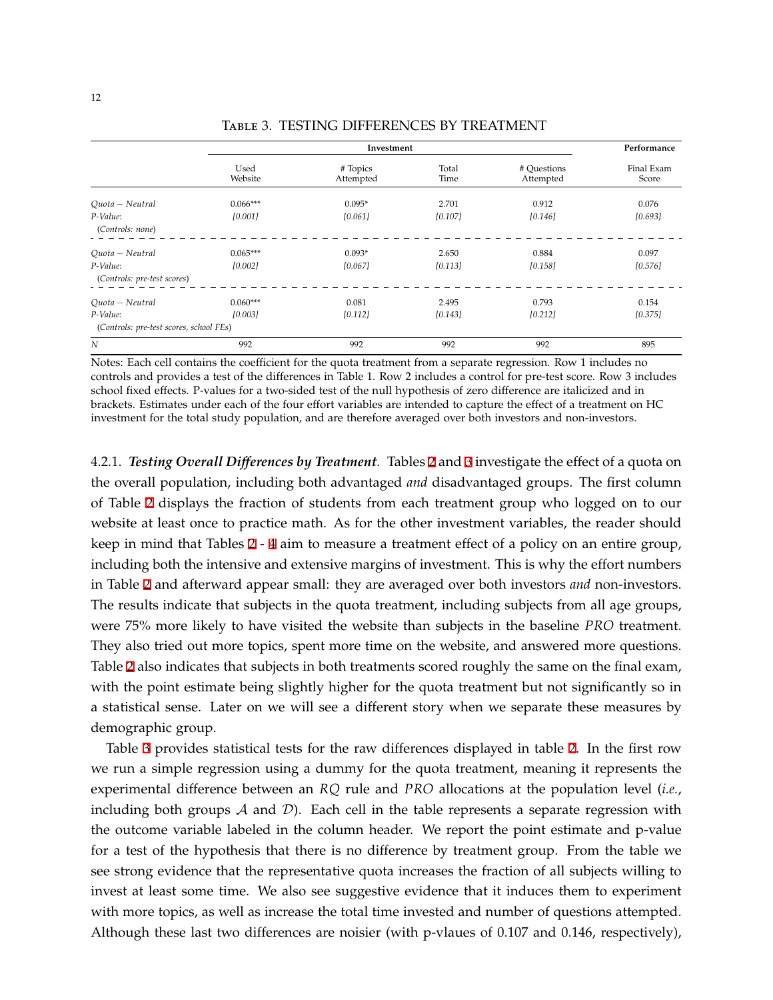<span id="page-12-0"></span>

|                                                     |                 | Investment            |               |                          | Performance         |
|-----------------------------------------------------|-----------------|-----------------------|---------------|--------------------------|---------------------|
|                                                     | Used<br>Website | # Topics<br>Attempted | Total<br>Time | # Questions<br>Attempted | Final Exam<br>Score |
| Quota - Neutral                                     | $0.066***$      | $0.095*$              | 2.701         | 0.912                    | 0.076               |
| P-Value:<br>(Controls: none)                        | [0.001]         | [0.061]               | [0.107]       | [0.146]                  | [0.693]             |
| Quota - Neutral                                     | $0.065***$      | $0.093*$              | 2.650         | 0.884                    | 0.097               |
| P-Value:<br>(Controls: pre-test scores)             | [0.002]         | [0.067]               | [0.113]       | [0.158]                  | [0.576]             |
| Quota - Neutral                                     | $0.060***$      | 0.081                 | 2.495         | 0.793                    | 0.154               |
| P-Value:<br>(Controls: pre-test scores, school FEs) | [0.003]         | [0.112]               | [0.143]       | [0.212]                  | [0.375]             |
| $\overline{N}$                                      | 992             | 992                   | 992           | 992                      | 895                 |

Table 3. TESTING DIFFERENCES BY TREATMENT

Notes: Each cell contains the coefficient for the quota treatment from a separate regression. Row 1 includes no controls and provides a test of the differences in Table 1. Row 2 includes a control for pre-test score. Row 3 includes school fixed effects. P-values for a two-sided test of the null hypothesis of zero difference are italicized and in brackets. Estimates under each of the four effort variables are intended to capture the effect of a treatment on HC investment for the total study population, and are therefore averaged over both investors and non-investors.

4.2.1. *Testing Overall Differences by Treatment.* Tables [2](#page-11-1) and [3](#page-12-0) investigate the effect of a quota on the overall population, including both advantaged *and* disadvantaged groups. The first column of Table [2](#page-11-1) displays the fraction of students from each treatment group who logged on to our website at least once to practice math. As for the other investment variables, the reader should keep in mind that Tables [2](#page-11-1) - [4](#page-13-0) aim to measure a treatment effect of a policy on an entire group, including both the intensive and extensive margins of investment. This is why the effort numbers in Table [2](#page-11-1) and afterward appear small: they are averaged over both investors *and* non-investors. The results indicate that subjects in the quota treatment, including subjects from all age groups, were 75% more likely to have visited the website than subjects in the baseline *PRO* treatment. They also tried out more topics, spent more time on the website, and answered more questions. Table [2](#page-11-1) also indicates that subjects in both treatments scored roughly the same on the final exam, with the point estimate being slightly higher for the quota treatment but not significantly so in a statistical sense. Later on we will see a different story when we separate these measures by demographic group.

Table [3](#page-12-0) provides statistical tests for the raw differences displayed in table [2](#page-11-1). In the first row we run a simple regression using a dummy for the quota treatment, meaning it represents the experimental difference between an *RQ* rule and *PRO* allocations at the population level (*i.e.*, including both groups  $A$  and  $D$ ). Each cell in the table represents a separate regression with the outcome variable labeled in the column header. We report the point estimate and p-value for a test of the hypothesis that there is no difference by treatment group. From the table we see strong evidence that the representative quota increases the fraction of all subjects willing to invest at least some time. We also see suggestive evidence that it induces them to experiment with more topics, as well as increase the total time invested and number of questions attempted. Although these last two differences are noisier (with p-vlaues of 0.107 and 0.146, respectively),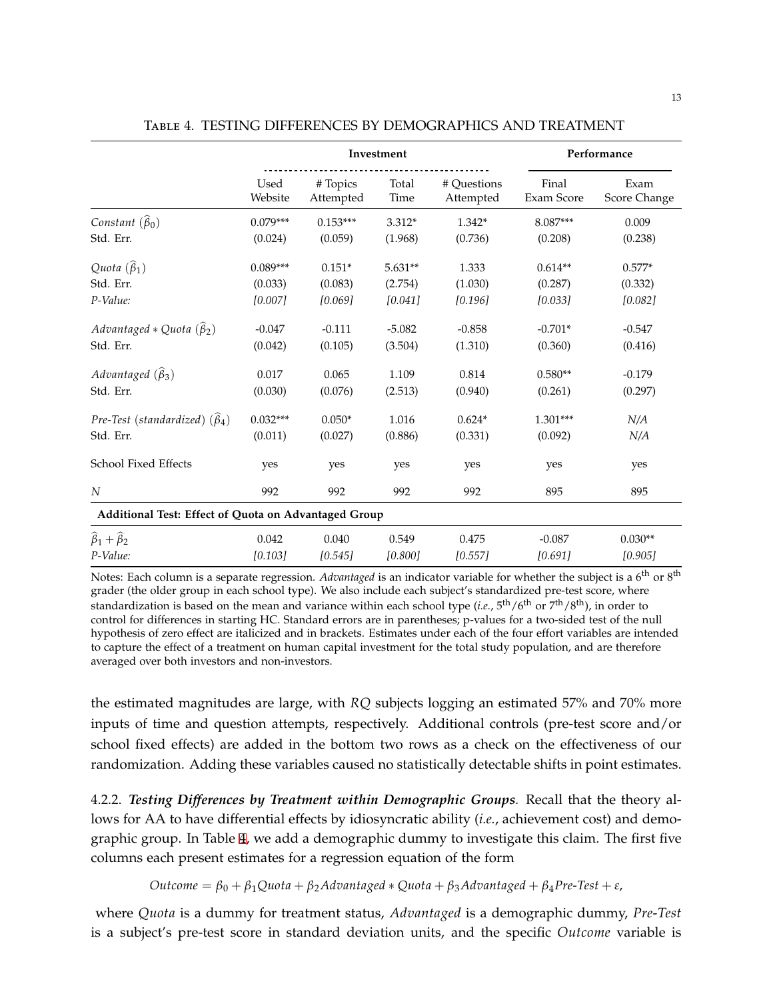<span id="page-13-0"></span>

|                                                      | Investment      |                       |               |                          |                     | Performance          |
|------------------------------------------------------|-----------------|-----------------------|---------------|--------------------------|---------------------|----------------------|
|                                                      | Used<br>Website | # Topics<br>Attempted | Total<br>Time | # Ouestions<br>Attempted | Final<br>Exam Score | Exam<br>Score Change |
| Constant $(\widehat{\beta}_0)$                       | $0.079***$      | $0.153***$            | $3.312*$      | $1.342*$                 | 8.087***            | 0.009                |
| Std. Err.                                            | (0.024)         | (0.059)               | (1.968)       | (0.736)                  | (0.208)             | (0.238)              |
| Quota $(\widehat{\beta}_1)$                          | $0.089***$      | $0.151*$              | $5.631**$     | 1.333                    | $0.614**$           | $0.577*$             |
| Std. Err.                                            | (0.033)         | (0.083)               | (2.754)       | (1.030)                  | (0.287)             | (0.332)              |
| P-Value:                                             | [0.007]         | [0.069]               | [0.041]       | [0.196]                  | [0.033]             | [0.082]              |
| Advantaged * Quota $(\hat{\beta}_2)$                 | $-0.047$        | $-0.111$              | $-5.082$      | $-0.858$                 | $-0.701*$           | $-0.547$             |
| Std. Err.                                            | (0.042)         | (0.105)               | (3.504)       | (1.310)                  | (0.360)             | (0.416)              |
| Advantaged $(\widehat{\beta}_3)$                     | 0.017           | 0.065                 | 1.109         | 0.814                    | $0.580**$           | $-0.179$             |
| Std. Err.                                            | (0.030)         | (0.076)               | (2.513)       | (0.940)                  | (0.261)             | (0.297)              |
| Pre-Test (standardized) $(\widehat{\beta}_4)$        | $0.032***$      | $0.050*$              | 1.016         | $0.624*$                 | $1.301***$          | N/A                  |
| Std. Err.                                            | (0.011)         | (0.027)               | (0.886)       | (0.331)                  | (0.092)             | N/A                  |
| School Fixed Effects                                 | yes             | yes                   | yes           | yes                      | yes                 | yes                  |
| N                                                    | 992             | 992                   | 992           | 992                      | 895                 | 895                  |
| Additional Test: Effect of Quota on Advantaged Group |                 |                       |               |                          |                     |                      |
| $\widehat{\beta}_1+\widehat{\beta}_2$                | 0.042           | 0.040                 | 0.549         | 0.475                    | $-0.087$            | $0.030**$            |
| P-Value:                                             | [0.103]         | [0.545]               | [0.800]       | [0.557]                  | [0.691]             | [0.905]              |

Table 4. TESTING DIFFERENCES BY DEMOGRAPHICS AND TREATMENT

Notes: Each column is a separate regression. *Advantaged* is an indicator variable for whether the subject is a 6<sup>th</sup> or 8<sup>th</sup> grader (the older group in each school type). We also include each subject's standardized pre-test score, where standardization is based on the mean and variance within each school type (*i.e.*,  $5<sup>th</sup>/6<sup>th</sup>$  or  $7<sup>th</sup>/8<sup>th</sup>$ ), in order to control for differences in starting HC. Standard errors are in parentheses; p-values for a two-sided test of the null hypothesis of zero effect are italicized and in brackets. Estimates under each of the four effort variables are intended to capture the effect of a treatment on human capital investment for the total study population, and are therefore averaged over both investors and non-investors.

the estimated magnitudes are large, with *RQ* subjects logging an estimated 57% and 70% more inputs of time and question attempts, respectively. Additional controls (pre-test score and/or school fixed effects) are added in the bottom two rows as a check on the effectiveness of our randomization. Adding these variables caused no statistically detectable shifts in point estimates.

4.2.2. *Testing Differences by Treatment within Demographic Groups.* Recall that the theory allows for AA to have differential effects by idiosyncratic ability (*i.e.*, achievement cost) and demographic group. In Table [4](#page-13-0), we add a demographic dummy to investigate this claim. The first five columns each present estimates for a regression equation of the form

*Outcome* = *β*<sup>0</sup> + *β*1*Quota* + *β*2*Advantaged ∗ Quota* + *β*3*Advantaged* + *β*4*Pre*-*Test* + *ε*,

where *Quota* is a dummy for treatment status, *Advantaged* is a demographic dummy, *Pre*-*Test* is a subject's pre-test score in standard deviation units, and the specific *Outcome* variable is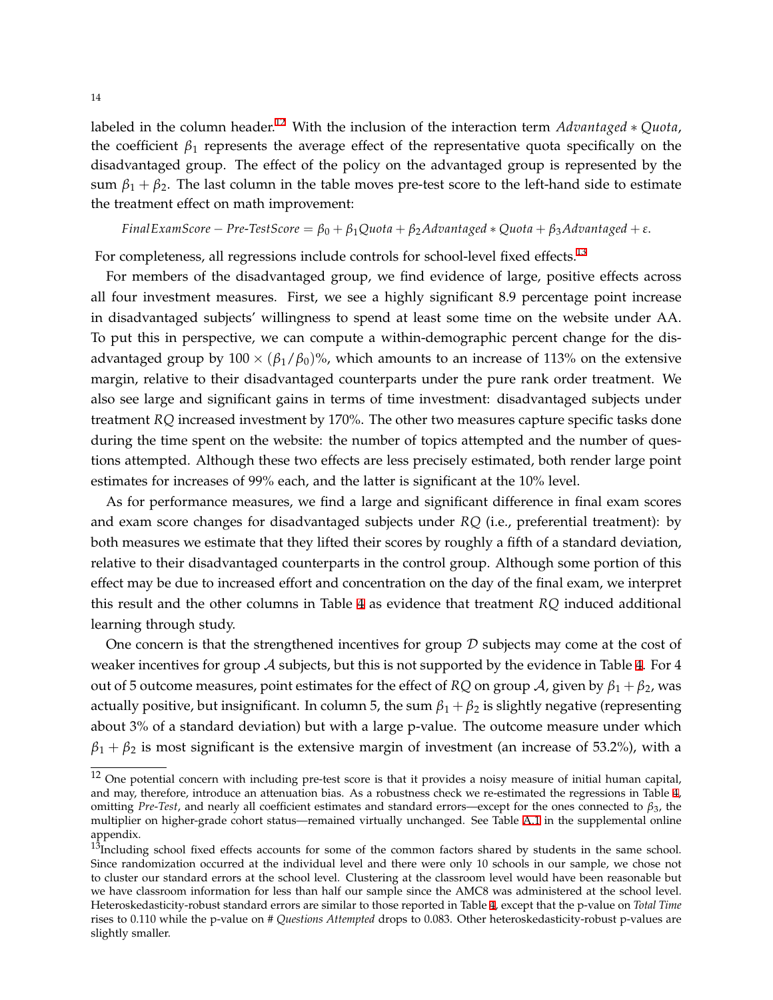labeled in the column header.12 With the inclusion of the interaction term *Advantaged ∗ Quota*, the coefficient  $\beta_1$  represents the average effect of the representative quota specifically on the disadvantaged group. The effect of the policy on the advantaged group is represented by the sum  $\beta_1 + \beta_2$ . The last column in the table moves pre-test score to the left-hand side to estimate the treatment effect on math improvement:

$$
FinalExample - Pre-TestScore = \beta_0 + \beta_1 Quota + \beta_2 Advantaged * Quota + \beta_3 Advantaged + \varepsilon.
$$

For completeness, all regressions include controls for school-level fixed effects.<sup>13</sup>

For members of the disadvantaged group, we find evidence of large, positive effects across all four investment measures. First, we see a highly significant 8.9 percentage point increase in disadvantaged subjects' willingness to spend at least some time on the website under AA. To put this in perspective, we can compute a within-demographic percent change for the disadvantaged group by  $100 \times (\beta_1/\beta_0)\%$ , which amounts to an increase of 113% on the extensive margin, relative to their disadvantaged counterparts under the pure rank order treatment. We also see large and significant gains in terms of time investment: disadvantaged subjects under treatment *RQ* increased investment by 170%. The other two measures capture specific tasks done during the time spent on the website: the number of topics attempted and the number of questions attempted. Although these two effects are less precisely estimated, both render large point estimates for increases of 99% each, and the latter is significant at the 10% level.

As for performance measures, we find a large and significant difference in final exam scores and exam score changes for disadvantaged subjects under *RQ* (i.e., preferential treatment): by both measures we estimate that they lifted their scores by roughly a fifth of a standard deviation, relative to their disadvantaged counterparts in the control group. Although some portion of this effect may be due to increased effort and concentration on the day of the final exam, we interpret this result and the other columns in Table [4](#page-13-0) as evidence that treatment *RQ* induced additional learning through study.

One concern is that the strengthened incentives for group *D* subjects may come at the cost of weaker incentives for group *A* subjects, but this is not supported by the evidence in Table [4](#page-13-0). For 4 out of 5 outcome measures, point estimates for the effect of *RQ* on group *A*, given by  $\beta_1 + \beta_2$ , was actually positive, but insignificant. In column 5, the sum  $\beta_1 + \beta_2$  is slightly negative (representing about 3% of a standard deviation) but with a large p-value. The outcome measure under which  $\beta_1 + \beta_2$  is most significant is the extensive margin of investment (an increase of 53.2%), with a

 $12$  One potential concern with including pre-test score is that it provides a noisy measure of initial human capital, and may, therefore, introduce an attenuation bias. As a robustness check we re-estimated the regressions in Table [4,](#page-13-0) omitting *Pre*-*Test*, and nearly all coefficient estimates and standard errors—except for the ones connected to *β*3, the multiplier on higher-grade cohort status—remained virtually unchanged. See Table [A.1](#page-24-0) in the supplemental online appendix.

 $13$ Including school fixed effects accounts for some of the common factors shared by students in the same school. Since randomization occurred at the individual level and there were only 10 schools in our sample, we chose not to cluster our standard errors at the school level. Clustering at the classroom level would have been reasonable but we have classroom information for less than half our sample since the AMC8 was administered at the school level. Heteroskedasticity-robust standard errors are similar to those reported in Table [4,](#page-13-0) except that the p-value on *Total Time* rises to 0.110 while the p-value on *# Questions Attempted* drops to 0.083. Other heteroskedasticity-robust p-values are slightly smaller.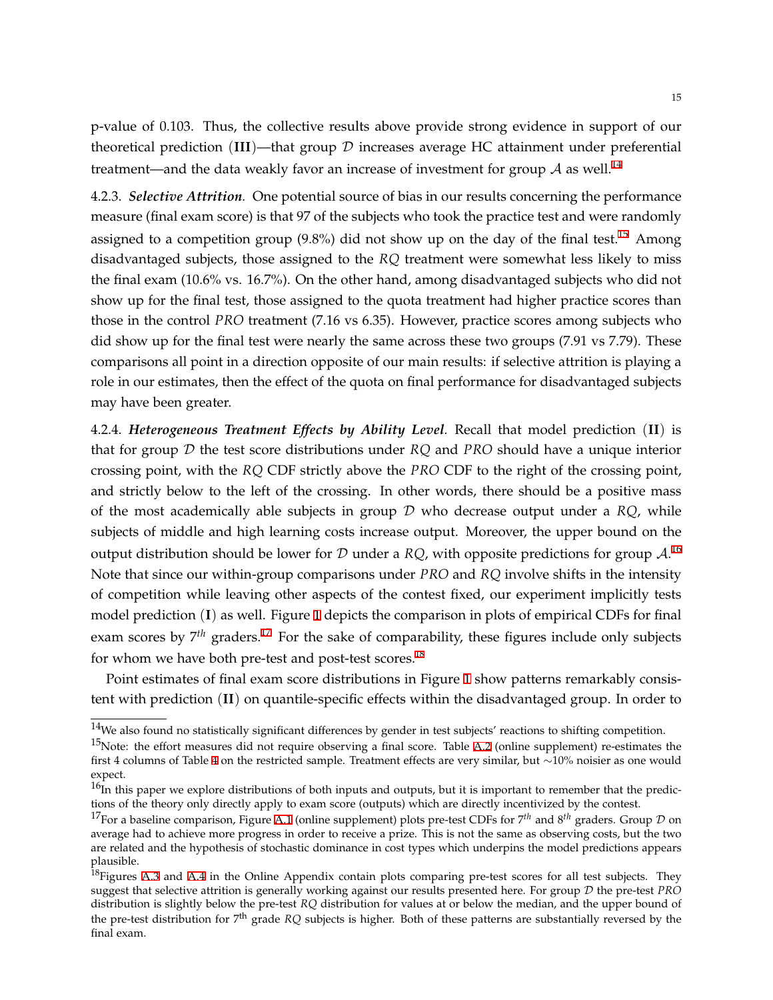p-value of 0.103. Thus, the collective results above provide strong evidence in support of our theoretical prediction (**III**)—that group *D* increases average HC attainment under preferential treatment—and the data weakly favor an increase of investment for group  $A$  as well.<sup>14</sup>

4.2.3. *Selective Attrition.* One potential source of bias in our results concerning the performance measure (final exam score) is that 97 of the subjects who took the practice test and were randomly assigned to a competition group  $(9.8\%)$  did not show up on the day of the final test.<sup>15</sup> Among disadvantaged subjects, those assigned to the *RQ* treatment were somewhat less likely to miss the final exam (10.6% vs. 16.7%). On the other hand, among disadvantaged subjects who did not show up for the final test, those assigned to the quota treatment had higher practice scores than those in the control *PRO* treatment (7.16 vs 6.35). However, practice scores among subjects who did show up for the final test were nearly the same across these two groups (7.91 vs 7.79). These comparisons all point in a direction opposite of our main results: if selective attrition is playing a role in our estimates, then the effect of the quota on final performance for disadvantaged subjects may have been greater.

<span id="page-15-0"></span>4.2.4. *Heterogeneous Treatment Effects by Ability Level.* Recall that model prediction (**II**) is that for group *D* the test score distributions under *RQ* and *PRO* should have a unique interior crossing point, with the *RQ* CDF strictly above the *PRO* CDF to the right of the crossing point, and strictly below to the left of the crossing. In other words, there should be a positive mass of the most academically able subjects in group *D* who decrease output under a *RQ*, while subjects of middle and high learning costs increase output. Moreover, the upper bound on the output distribution should be lower for *D* under a *RQ*, with opposite predictions for group *A*. 16 Note that since our within-group comparisons under *PRO* and *RQ* involve shifts in the intensity of competition while leaving other aspects of the contest fixed, our experiment implicitly tests model prediction (**I**) as well. Figure [1](#page-16-0) depicts the comparison in plots of empirical CDFs for final exam scores by 7<sup>th</sup> graders.<sup>17</sup> For the sake of comparability, these figures include only subjects for whom we have both pre-test and post-test scores.<sup>18</sup>

Point estimates of final exam score distributions in Figure [1](#page-16-0) show patterns remarkably consistent with prediction (**II**) on quantile-specific effects within the disadvantaged group. In order to

 $14$ We also found no statistically significant differences by gender in test subjects' reactions to shifting competition.

 $15$ Note: the effort measures did not require observing a final score. Table [A.2](#page-29-0) (online supplement) re-estimates the first 4 columns of Table [4](#page-13-0) on the restricted sample. Treatment effects are very similar, but *∼*10% noisier as one would expect.

 $16$ In this paper we explore distributions of both inputs and outputs, but it is important to remember that the predictions of the theory only directly apply to exam score (outputs) which are directly incentivized by the contest.

<sup>17</sup>For a baseline comparison, Figure [A.1](#page-25-0) (online supplement) plots pre-test CDFs for 7*th* and 8*th* graders. Group *D* on average had to achieve more progress in order to receive a prize. This is not the same as observing costs, but the two are related and the hypothesis of stochastic dominance in cost types which underpins the model predictions appears plausible.

<sup>&</sup>lt;sup>18</sup>Figures [A.3](#page-26-0) and [A.4](#page-27-0) in the Online Appendix contain plots comparing pre-test scores for all test subjects. They suggest that selective attrition is generally working against our results presented here. For group *D* the pre-test *PRO* distribution is slightly below the pre-test *RQ* distribution for values at or below the median, and the upper bound of the pre-test distribution for 7th grade *RQ* subjects is higher. Both of these patterns are substantially reversed by the final exam.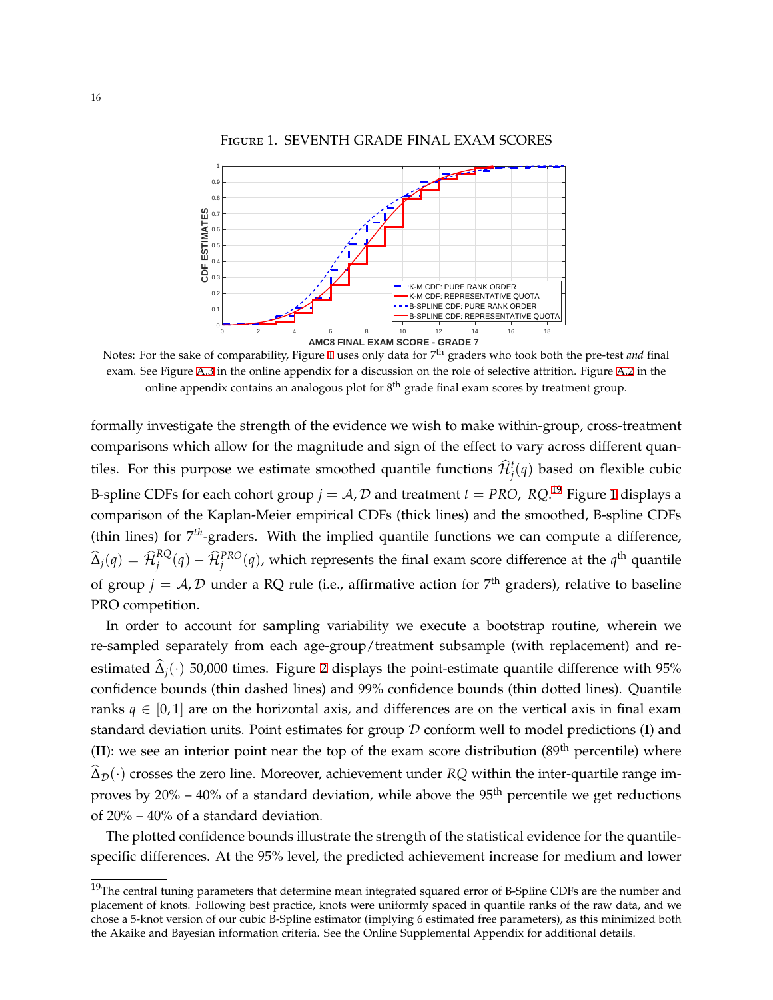Figure 1. SEVENTH GRADE FINAL EXAM SCORES

<span id="page-16-0"></span>

Notes: For the sake of comparability, Figure [1](#page-16-0) uses only data for 7th graders who took both the pre-test *and* final exam. See Figure [A.3](#page-26-0) in the online appendix for a discussion on the role of selective attrition. Figure [A.2](#page-26-1) in the online appendix contains an analogous plot for 8<sup>th</sup> grade final exam scores by treatment group.

formally investigate the strength of the evidence we wish to make within-group, cross-treatment comparisons which allow for the magnitude and sign of the effect to vary across different quantiles. For this purpose we estimate smoothed quantile functions  $\hat{\mathcal{H}}_j^t(q)$  based on flexible cubic B-spline CDFs for each cohort group  $j = A$ ,  $D$  and treatment  $t = PRO$ ,  $RQ$ .<sup>[1](#page-16-0)9</sup> Figure 1 displays a comparison of the Kaplan-Meier empirical CDFs (thick lines) and the smoothed, B-spline CDFs (thin lines) for 7<sup>th</sup>-graders. With the implied quantile functions we can compute a difference,  $\widehat{\Delta}_j(q) = \widehat{\mathcal{H}}_j^{RQ}(q) - \widehat{\mathcal{H}}_j^{PRO}(q)$ , which represents the final exam score difference at the  $q^{\text{th}}$  quantile of group  $j = A, D$  under a RQ rule (i.e., affirmative action for  $7^{\text{th}}$  graders), relative to baseline PRO competition.

In order to account for sampling variability we execute a bootstrap routine, wherein we re-sampled separately from each age-group/treatment subsample (with replacement) and reestimated  $\hat{\Delta}_i(\cdot)$  50,000 times. Figure [2](#page-17-0) displays the point-estimate quantile difference with 95% confidence bounds (thin dashed lines) and 99% confidence bounds (thin dotted lines). Quantile ranks  $q \in [0, 1]$  are on the horizontal axis, and differences are on the vertical axis in final exam standard deviation units. Point estimates for group *D* conform well to model predictions (**I**) and (II): we see an interior point near the top of the exam score distribution  $(89<sup>th</sup>$  percentile) where  $\widehat{\Delta}_{\mathcal{D}}(\cdot)$  crosses the zero line. Moreover, achievement under *RQ* within the inter-quartile range improves by  $20\% - 40\%$  of a standard deviation, while above the 95<sup>th</sup> percentile we get reductions of 20% – 40% of a standard deviation.

The plotted confidence bounds illustrate the strength of the statistical evidence for the quantilespecific differences. At the 95% level, the predicted achievement increase for medium and lower

 $19$ The central tuning parameters that determine mean integrated squared error of B-Spline CDFs are the number and placement of knots. Following best practice, knots were uniformly spaced in quantile ranks of the raw data, and we chose a 5-knot version of our cubic B-Spline estimator (implying 6 estimated free parameters), as this minimized both the Akaike and Bayesian information criteria. See the Online Supplemental Appendix for additional details.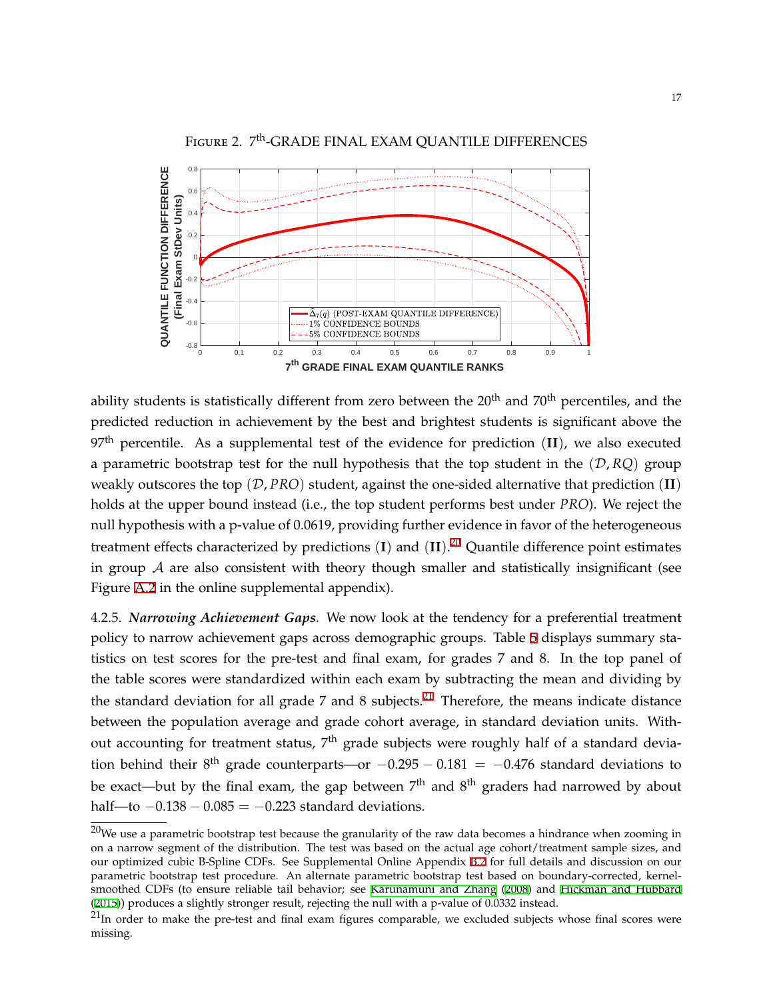<span id="page-17-0"></span>

ability students is statistically different from zero between the 20<sup>th</sup> and 70<sup>th</sup> percentiles, and the predicted reduction in achievement by the best and brightest students is significant above the 97th percentile. As a supplemental test of the evidence for prediction (**II**), we also executed a parametric bootstrap test for the null hypothesis that the top student in the  $(D, RQ)$  group weakly outscores the top (*D*, *PRO*) student, against the one-sided alternative that prediction (**II**) holds at the upper bound instead (i.e., the top student performs best under *PRO*). We reject the null hypothesis with a p-value of 0.0619, providing further evidence in favor of the heterogeneous treatment effects characterized by predictions (**I**) and (**II**). 20 Quantile difference point estimates in group  $A$  are also consistent with theory though smaller and statistically insignificant (see Figure [A.2](#page-26-1) in the online supplemental appendix).

4.2.5. *Narrowing Achievement Gaps.* We now look at the tendency for a preferential treatment policy to narrow achievement gaps across demographic groups. Table [5](#page-18-0) displays summary statistics on test scores for the pre-test and final exam, for grades 7 and 8. In the top panel of the table scores were standardized within each exam by subtracting the mean and dividing by the standard deviation for all grade 7 and 8 subjects.<sup>21</sup> Therefore, the means indicate distance between the population average and grade cohort average, in standard deviation units. Without accounting for treatment status, 7<sup>th</sup> grade subjects were roughly half of a standard deviation behind their 8 th grade counterparts—or *−*0.295 *−* 0.181 = *−*0.476 standard deviations to be exact—but by the final exam, the gap between  $7^{\rm th}$  and  $8^{\rm th}$  graders had narrowed by about half—to *−*0.138 *−* 0.085 = *−*0.223 standard deviations.

 $^{20}$ We use a parametric bootstrap test because the granularity of the raw data becomes a hindrance when zooming in on a narrow segment of the distribution. The test was based on the actual age cohort/treatment sample sizes, and our optimized cubic B-Spline CDFs. See Supplemental Online Appendix [B.2](#page-31-0) for full details and discussion on our parametric bootstrap test procedure. An alternate parametric bootstrap test based on boundary-corrected, kernelsmoothed CDFs (to ensure reliable tail behavior; see [Karunamuni and Zhang](#page-22-14) [\(2008](#page-22-14)) and [Hickman and Hubbard](#page-22-15) ([2015\)](#page-22-15)) produces a slightly stronger result, rejecting the null with a p-value of 0.0332 instead.

 $^{21}$ In order to make the pre-test and final exam figures comparable, we excluded subjects whose final scores were missing.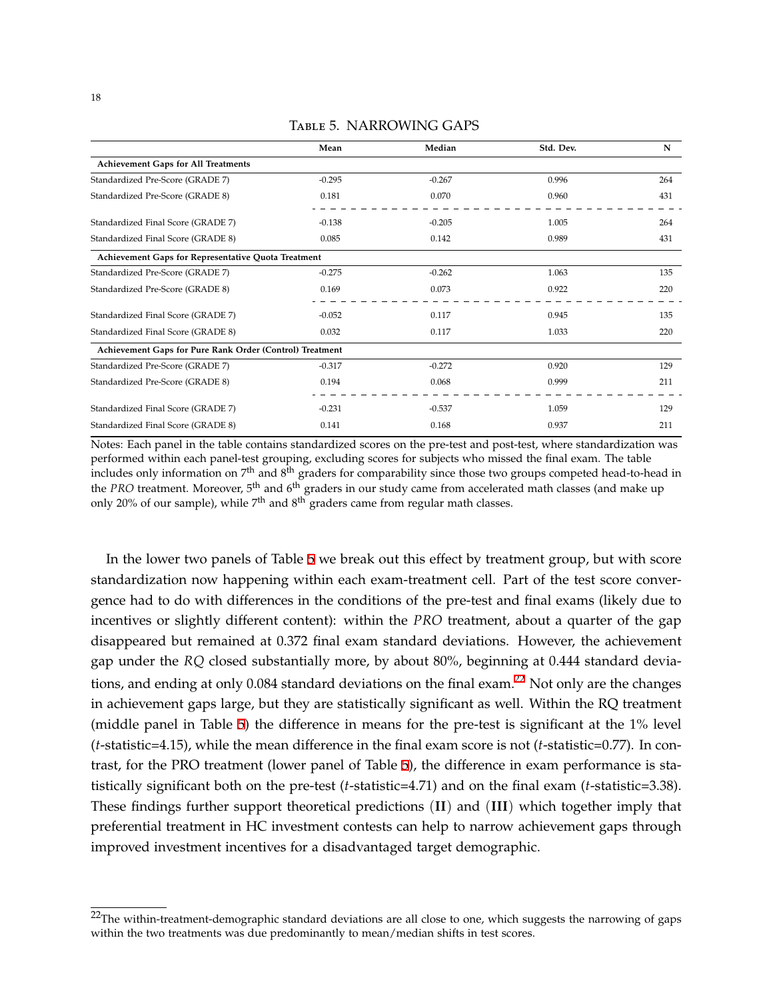<span id="page-18-0"></span>

|                                                          | Mean     | Median   | Std. Dev. | N   |
|----------------------------------------------------------|----------|----------|-----------|-----|
| <b>Achievement Gaps for All Treatments</b>               |          |          |           |     |
| Standardized Pre-Score (GRADE 7)                         | $-0.295$ | $-0.267$ | 0.996     | 264 |
| Standardized Pre-Score (GRADE 8)                         | 0.181    | 0.070    | 0.960     | 431 |
| Standardized Final Score (GRADE 7)                       | $-0.138$ | $-0.205$ | 1.005     | 264 |
| Standardized Final Score (GRADE 8)                       | 0.085    | 0.142    | 0.989     | 431 |
| Achievement Gaps for Representative Quota Treatment      |          |          |           |     |
| Standardized Pre-Score (GRADE 7)                         | $-0.275$ | $-0.262$ | 1.063     | 135 |
| Standardized Pre-Score (GRADE 8)                         | 0.169    | 0.073    | 0.922     | 220 |
| Standardized Final Score (GRADE 7)                       | $-0.052$ | 0.117    | 0.945     | 135 |
| Standardized Final Score (GRADE 8)                       | 0.032    | 0.117    | 1.033     | 220 |
| Achievement Gaps for Pure Rank Order (Control) Treatment |          |          |           |     |
| Standardized Pre-Score (GRADE 7)                         | $-0.317$ | $-0.272$ | 0.920     | 129 |
| Standardized Pre-Score (GRADE 8)                         | 0.194    | 0.068    | 0.999     | 211 |
| Standardized Final Score (GRADE 7)                       | $-0.231$ | $-0.537$ | 1.059     | 129 |
| Standardized Final Score (GRADE 8)                       | 0.141    | 0.168    | 0.937     | 211 |

## Table 5. NARROWING GAPS

Notes: Each panel in the table contains standardized scores on the pre-test and post-test, where standardization was performed within each panel-test grouping, excluding scores for subjects who missed the final exam. The table includes only information on 7<sup>th</sup> and 8<sup>th</sup> graders for comparability since those two groups competed head-to-head in the *PRO* treatment. Moreover, 5th and 6th graders in our study came from accelerated math classes (and make up only 20% of our sample), while  $7<sup>th</sup>$  and  $8<sup>th</sup>$  graders came from regular math classes.

In the lower two panels of Table [5](#page-18-0) we break out this effect by treatment group, but with score standardization now happening within each exam-treatment cell. Part of the test score convergence had to do with differences in the conditions of the pre-test and final exams (likely due to incentives or slightly different content): within the *PRO* treatment, about a quarter of the gap disappeared but remained at 0.372 final exam standard deviations. However, the achievement gap under the *RQ* closed substantially more, by about 80%, beginning at 0.444 standard deviations, and ending at only 0.084 standard deviations on the final exam.<sup>22</sup> Not only are the changes in achievement gaps large, but they are statistically significant as well. Within the RQ treatment (middle panel in Table [5\)](#page-18-0) the difference in means for the pre-test is significant at the 1% level (*t*-statistic=4.15), while the mean difference in the final exam score is not (*t*-statistic=0.77). In contrast, for the PRO treatment (lower panel of Table [5\)](#page-18-0), the difference in exam performance is statistically significant both on the pre-test (*t*-statistic=4.71) and on the final exam (*t*-statistic=3.38). These findings further support theoretical predictions (**II**) and (**III**) which together imply that preferential treatment in HC investment contests can help to narrow achievement gaps through improved investment incentives for a disadvantaged target demographic.

 $22$ The within-treatment-demographic standard deviations are all close to one, which suggests the narrowing of gaps within the two treatments was due predominantly to mean/median shifts in test scores.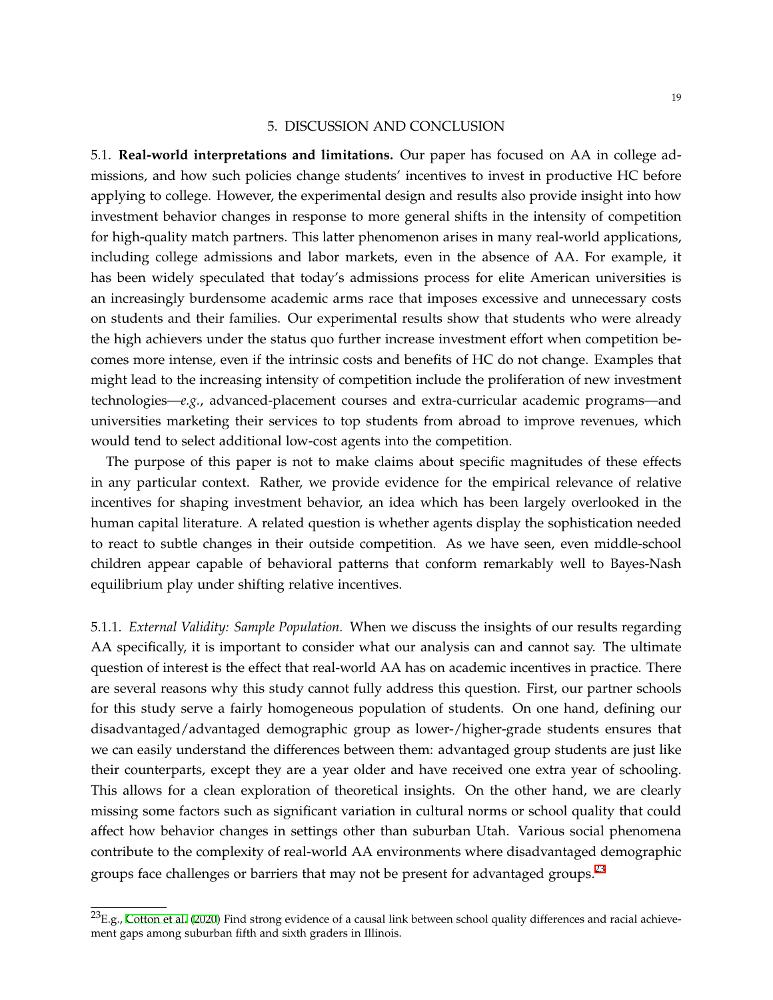#### 5. DISCUSSION AND CONCLUSION

<span id="page-19-1"></span><span id="page-19-0"></span>5.1. **Real-world interpretations and limitations.** Our paper has focused on AA in college admissions, and how such policies change students' incentives to invest in productive HC before applying to college. However, the experimental design and results also provide insight into how investment behavior changes in response to more general shifts in the intensity of competition for high-quality match partners. This latter phenomenon arises in many real-world applications, including college admissions and labor markets, even in the absence of AA. For example, it has been widely speculated that today's admissions process for elite American universities is an increasingly burdensome academic arms race that imposes excessive and unnecessary costs on students and their families. Our experimental results show that students who were already the high achievers under the status quo further increase investment effort when competition becomes more intense, even if the intrinsic costs and benefits of HC do not change. Examples that might lead to the increasing intensity of competition include the proliferation of new investment technologies—*e.g.*, advanced-placement courses and extra-curricular academic programs—and universities marketing their services to top students from abroad to improve revenues, which would tend to select additional low-cost agents into the competition.

The purpose of this paper is not to make claims about specific magnitudes of these effects in any particular context. Rather, we provide evidence for the empirical relevance of relative incentives for shaping investment behavior, an idea which has been largely overlooked in the human capital literature. A related question is whether agents display the sophistication needed to react to subtle changes in their outside competition. As we have seen, even middle-school children appear capable of behavioral patterns that conform remarkably well to Bayes-Nash equilibrium play under shifting relative incentives.

5.1.1. *External Validity: Sample Population.* When we discuss the insights of our results regarding AA specifically, it is important to consider what our analysis can and cannot say. The ultimate question of interest is the effect that real-world AA has on academic incentives in practice. There are several reasons why this study cannot fully address this question. First, our partner schools for this study serve a fairly homogeneous population of students. On one hand, defining our disadvantaged/advantaged demographic group as lower-/higher-grade students ensures that we can easily understand the differences between them: advantaged group students are just like their counterparts, except they are a year older and have received one extra year of schooling. This allows for a clean exploration of theoretical insights. On the other hand, we are clearly missing some factors such as significant variation in cultural norms or school quality that could affect how behavior changes in settings other than suburban Utah. Various social phenomena contribute to the complexity of real-world AA environments where disadvantaged demographic groups face challenges or barriers that may not be present for advantaged groups.<sup>23</sup>

 $^{23}E.g.,$  [Cotton et al.](#page-22-16) ([2020\)](#page-22-16) Find strong evidence of a causal link between school quality differences and racial achievement gaps among suburban fifth and sixth graders in Illinois.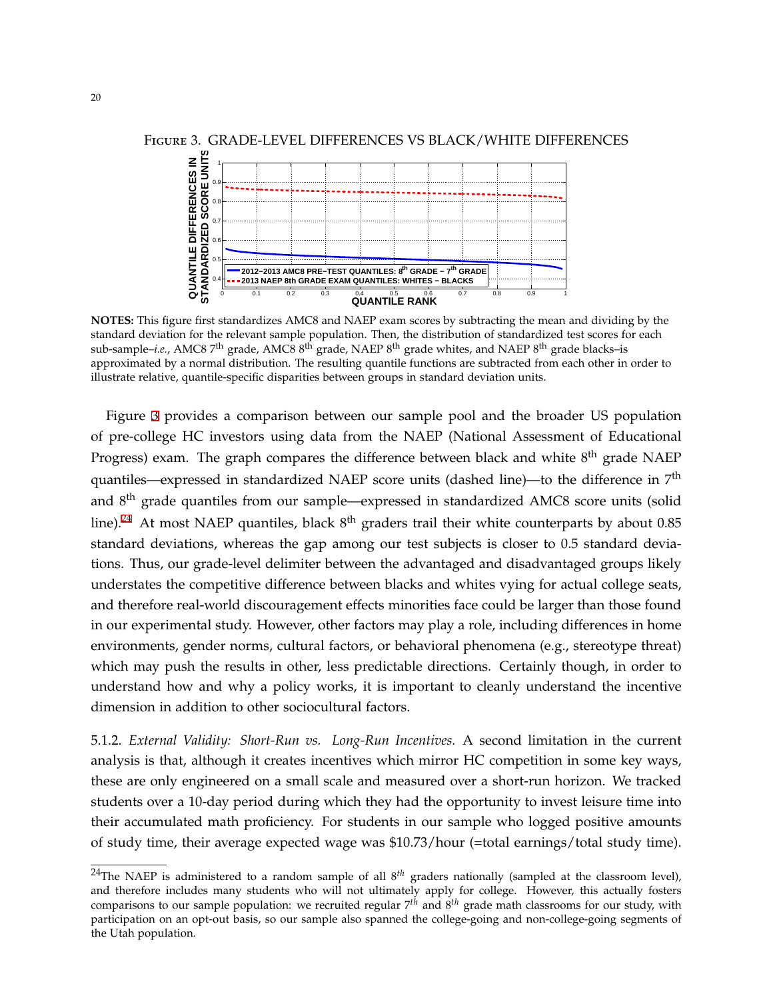

<span id="page-20-1"></span>Figure 3. GRADE-LEVEL DIFFERENCES VS BLACK/WHITE DIFFERENCES

**NOTES:** This figure first standardizes AMC8 and NAEP exam scores by subtracting the mean and dividing by the standard deviation for the relevant sample population. Then, the distribution of standardized test scores for each sub-sample–*i.e.*, AMC8 7<sup>th</sup> grade, AMC8 8<sup>th</sup> grade, NAEP 8<sup>th</sup> grade whites, and NAEP 8<sup>th</sup> grade blacks–is approximated by a normal distribution. The resulting quantile functions are subtracted from each other in order to illustrate relative, quantile-specific disparities between groups in standard deviation units.

Figure [3](#page-20-1) provides a comparison between our sample pool and the broader US population of pre-college HC investors using data from the NAEP (National Assessment of Educational Progress) exam. The graph compares the difference between black and white  $8^{\rm th}$  grade NAEP quantiles—expressed in standardized NAEP score units (dashed line)—to the difference in 7<sup>th</sup> and 8<sup>th</sup> grade quantiles from our sample—expressed in standardized AMC8 score units (solid line). $^{24}$  At most NAEP quantiles, black  $8^{\text{th}}$  graders trail their white counterparts by about 0.85 standard deviations, whereas the gap among our test subjects is closer to 0.5 standard deviations. Thus, our grade-level delimiter between the advantaged and disadvantaged groups likely understates the competitive difference between blacks and whites vying for actual college seats, and therefore real-world discouragement effects minorities face could be larger than those found in our experimental study. However, other factors may play a role, including differences in home environments, gender norms, cultural factors, or behavioral phenomena (e.g., stereotype threat) which may push the results in other, less predictable directions. Certainly though, in order to understand how and why a policy works, it is important to cleanly understand the incentive dimension in addition to other sociocultural factors.

<span id="page-20-0"></span>5.1.2. *External Validity: Short-Run vs. Long-Run Incentives.* A second limitation in the current analysis is that, although it creates incentives which mirror HC competition in some key ways, these are only engineered on a small scale and measured over a short-run horizon. We tracked students over a 10-day period during which they had the opportunity to invest leisure time into their accumulated math proficiency. For students in our sample who logged positive amounts of study time, their average expected wage was \$10.73/hour (=total earnings/total study time).

<sup>&</sup>lt;sup>24</sup>The NAEP is administered to a random sample of all  $8^{th}$  graders nationally (sampled at the classroom level), and therefore includes many students who will not ultimately apply for college. However, this actually fosters comparisons to our sample population: we recruited regular 7*th* and 8*th* grade math classrooms for our study, with participation on an opt-out basis, so our sample also spanned the college-going and non-college-going segments of the Utah population.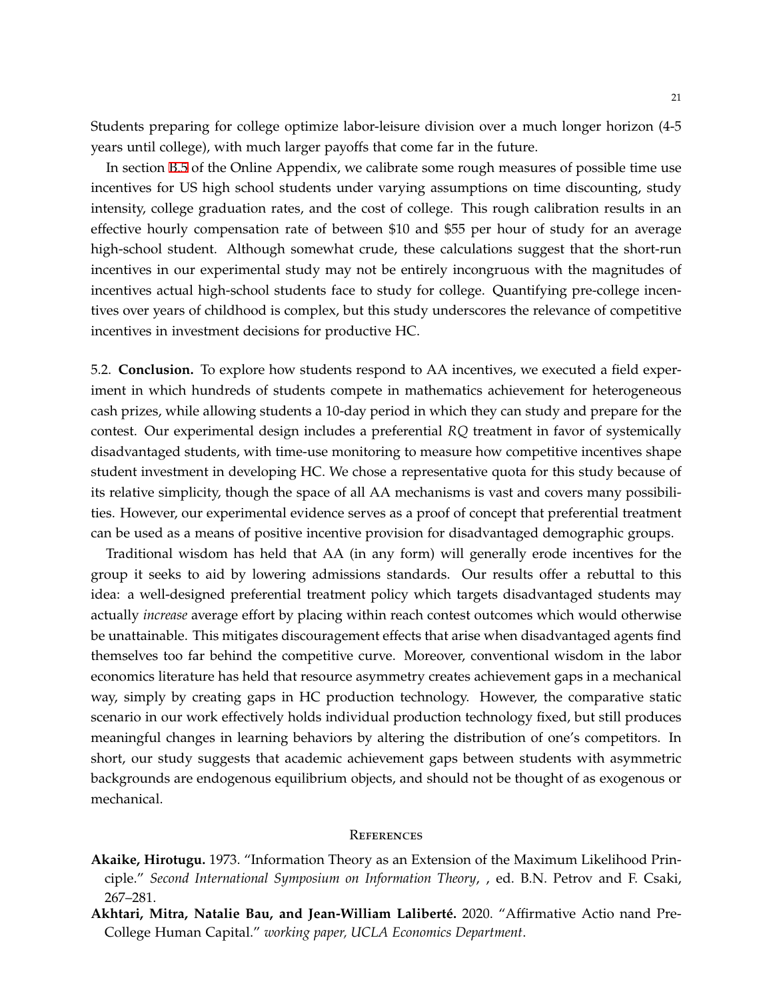Students preparing for college optimize labor-leisure division over a much longer horizon (4-5 years until college), with much larger payoffs that come far in the future.

In section [B.5](#page-35-0) of the Online Appendix, we calibrate some rough measures of possible time use incentives for US high school students under varying assumptions on time discounting, study intensity, college graduation rates, and the cost of college. This rough calibration results in an effective hourly compensation rate of between \$10 and \$55 per hour of study for an average high-school student. Although somewhat crude, these calculations suggest that the short-run incentives in our experimental study may not be entirely incongruous with the magnitudes of incentives actual high-school students face to study for college. Quantifying pre-college incentives over years of childhood is complex, but this study underscores the relevance of competitive incentives in investment decisions for productive HC.

5.2. **Conclusion.** To explore how students respond to AA incentives, we executed a field experiment in which hundreds of students compete in mathematics achievement for heterogeneous cash prizes, while allowing students a 10-day period in which they can study and prepare for the contest. Our experimental design includes a preferential *RQ* treatment in favor of systemically disadvantaged students, with time-use monitoring to measure how competitive incentives shape student investment in developing HC. We chose a representative quota for this study because of its relative simplicity, though the space of all AA mechanisms is vast and covers many possibilities. However, our experimental evidence serves as a proof of concept that preferential treatment can be used as a means of positive incentive provision for disadvantaged demographic groups.

Traditional wisdom has held that AA (in any form) will generally erode incentives for the group it seeks to aid by lowering admissions standards. Our results offer a rebuttal to this idea: a well-designed preferential treatment policy which targets disadvantaged students may actually *increase* average effort by placing within reach contest outcomes which would otherwise be unattainable. This mitigates discouragement effects that arise when disadvantaged agents find themselves too far behind the competitive curve. Moreover, conventional wisdom in the labor economics literature has held that resource asymmetry creates achievement gaps in a mechanical way, simply by creating gaps in HC production technology. However, the comparative static scenario in our work effectively holds individual production technology fixed, but still produces meaningful changes in learning behaviors by altering the distribution of one's competitors. In short, our study suggests that academic achievement gaps between students with asymmetric backgrounds are endogenous equilibrium objects, and should not be thought of as exogenous or mechanical.

#### **REFERENCES**

- <span id="page-21-1"></span>**Akaike, Hirotugu.** 1973. "Information Theory as an Extension of the Maximum Likelihood Principle." *Second International Symposium on Information Theory*, , ed. B.N. Petrov and F. Csaki, 267–281.
- <span id="page-21-0"></span>**Akhtari, Mitra, Natalie Bau, and Jean-William Laliberté.** 2020. "Affirmative Actio nand Pre-College Human Capital." *working paper, UCLA Economics Department*.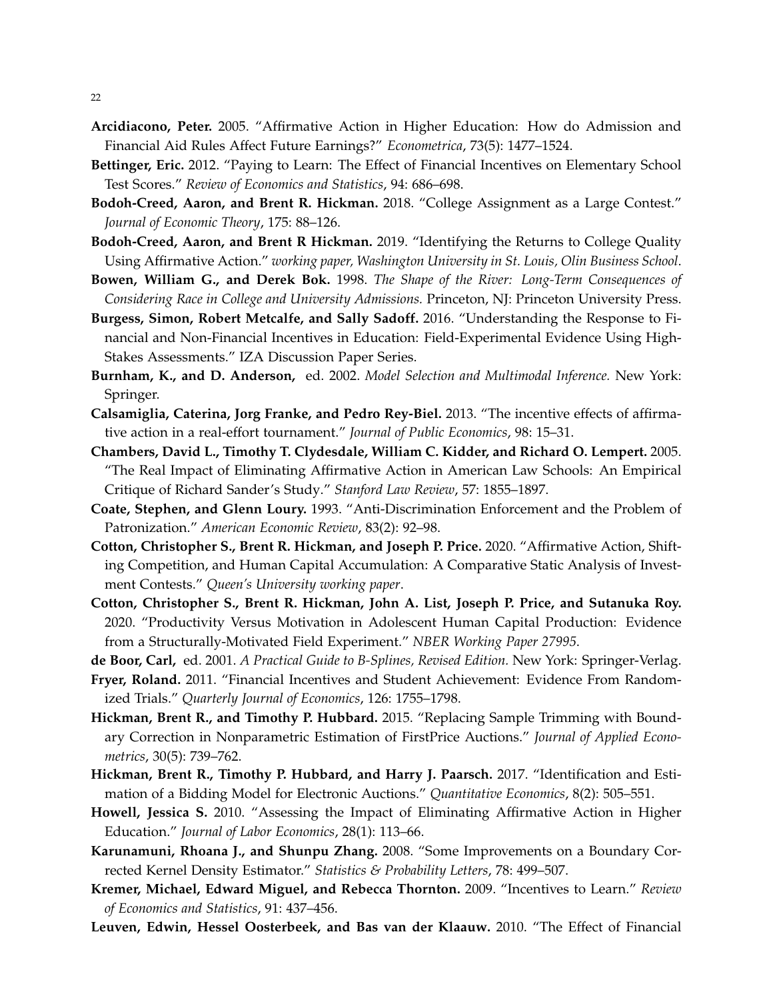- <span id="page-22-1"></span>**Arcidiacono, Peter.** 2005. "Affirmative Action in Higher Education: How do Admission and Financial Aid Rules Affect Future Earnings?" *Econometrica*, 73(5): 1477–1524.
- <span id="page-22-10"></span>**Bettinger, Eric.** 2012. "Paying to Learn: The Effect of Financial Incentives on Elementary School Test Scores." *Review of Economics and Statistics*, 94: 686–698.
- <span id="page-22-4"></span>**Bodoh-Creed, Aaron, and Brent R. Hickman.** 2018. "College Assignment as a Large Contest." *Journal of Economic Theory*, 175: 88–126.
- <span id="page-22-8"></span>**Bodoh-Creed, Aaron, and Brent R Hickman.** 2019. "Identifying the Returns to College Quality Using Affirmative Action." *working paper, Washington University in St. Louis, Olin Business School*.
- <span id="page-22-0"></span>**Bowen, William G., and Derek Bok.** 1998. *The Shape of the River: Long-Term Consequences of Considering Race in College and University Admissions.* Princeton, NJ: Princeton University Press.
- <span id="page-22-9"></span>**Burgess, Simon, Robert Metcalfe, and Sally Sadoff.** 2016. "Understanding the Response to Financial and Non-Financial Incentives in Education: Field-Experimental Evidence Using High-Stakes Assessments." IZA Discussion Paper Series.
- <span id="page-22-19"></span>**Burnham, K., and D. Anderson,** ed. 2002. *Model Selection and Multimodal Inference.* New York: Springer.
- <span id="page-22-7"></span>**Calsamiglia, Caterina, Jorg Franke, and Pedro Rey-Biel.** 2013. "The incentive effects of affirmative action in a real-effort tournament." *Journal of Public Economics*, 98: 15–31.
- <span id="page-22-3"></span>**Chambers, David L., Timothy T. Clydesdale, William C. Kidder, and Richard O. Lempert.** 2005. "The Real Impact of Eliminating Affirmative Action in American Law Schools: An Empirical Critique of Richard Sander's Study." *Stanford Law Review*, 57: 1855–1897.
- <span id="page-22-6"></span>**Coate, Stephen, and Glenn Loury.** 1993. "Anti-Discrimination Enforcement and the Problem of Patronization." *American Economic Review*, 83(2): 92–98.
- <span id="page-22-5"></span>**Cotton, Christopher S., Brent R. Hickman, and Joseph P. Price.** 2020. "Affirmative Action, Shifting Competition, and Human Capital Accumulation: A Comparative Static Analysis of Investment Contests." *Queen's University working paper*.
- <span id="page-22-16"></span>**Cotton, Christopher S., Brent R. Hickman, John A. List, Joseph P. Price, and Sutanuka Roy.** 2020. "Productivity Versus Motivation in Adolescent Human Capital Production: Evidence from a Structurally-Motivated Field Experiment." *NBER Working Paper 27995*.
- <span id="page-22-17"></span>**de Boor, Carl,** ed. 2001. *A Practical Guide to B-Splines, Revised Edition.* New York: Springer-Verlag.
- <span id="page-22-11"></span>**Fryer, Roland.** 2011. "Financial Incentives and Student Achievement: Evidence From Randomized Trials." *Quarterly Journal of Economics*, 126: 1755–1798.
- <span id="page-22-15"></span>**Hickman, Brent R., and Timothy P. Hubbard.** 2015. "Replacing Sample Trimming with Boundary Correction in Nonparametric Estimation of FirstPrice Auctions." *Journal of Applied Econometrics*, 30(5): 739–762.
- <span id="page-22-18"></span>**Hickman, Brent R., Timothy P. Hubbard, and Harry J. Paarsch.** 2017. "Identification and Estimation of a Bidding Model for Electronic Auctions." *Quantitative Economics*, 8(2): 505–551.
- <span id="page-22-2"></span>**Howell, Jessica S.** 2010. "Assessing the Impact of Eliminating Affirmative Action in Higher Education." *Journal of Labor Economics*, 28(1): 113–66.
- <span id="page-22-14"></span>**Karunamuni, Rhoana J., and Shunpu Zhang.** 2008. "Some Improvements on a Boundary Corrected Kernel Density Estimator." *Statistics & Probability Letters*, 78: 499–507.
- <span id="page-22-13"></span>**Kremer, Michael, Edward Miguel, and Rebecca Thornton.** 2009. "Incentives to Learn." *Review of Economics and Statistics*, 91: 437–456.
- <span id="page-22-12"></span>**Leuven, Edwin, Hessel Oosterbeek, and Bas van der Klaauw.** 2010. "The Effect of Financial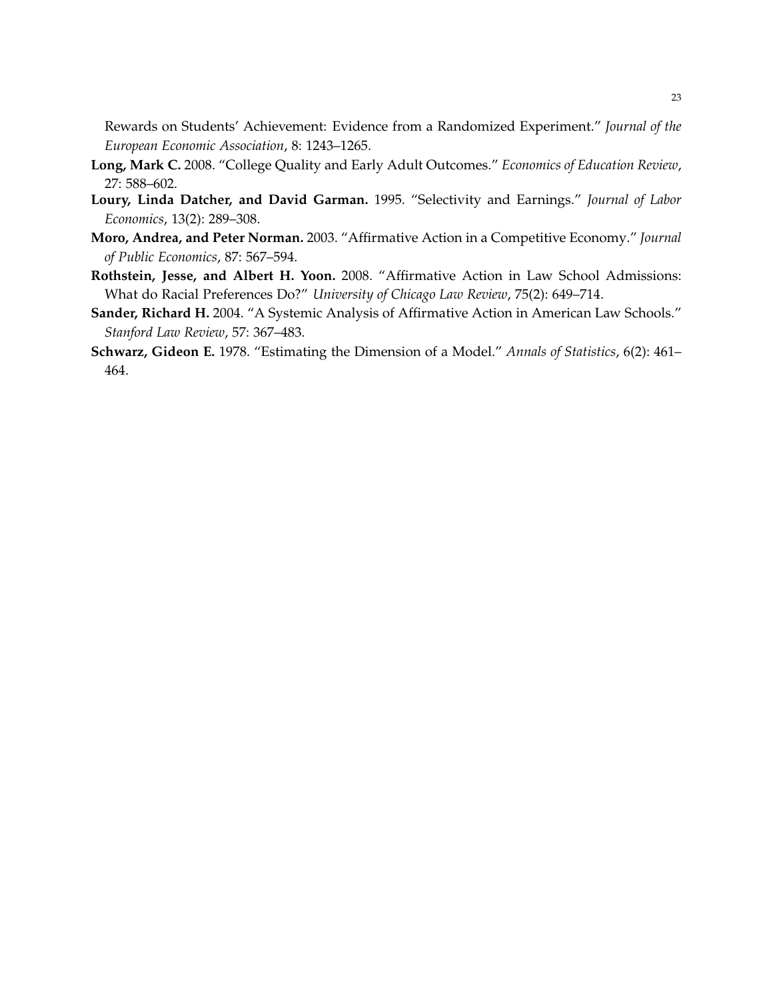Rewards on Students' Achievement: Evidence from a Randomized Experiment." *Journal of the European Economic Association*, 8: 1243–1265.

- <span id="page-23-2"></span>**Long, Mark C.** 2008. "College Quality and Early Adult Outcomes." *Economics of Education Review*, 27: 588–602.
- <span id="page-23-0"></span>**Loury, Linda Datcher, and David Garman.** 1995. "Selectivity and Earnings." *Journal of Labor Economics*, 13(2): 289–308.
- <span id="page-23-4"></span>**Moro, Andrea, and Peter Norman.** 2003. "Affirmative Action in a Competitive Economy." *Journal of Public Economics*, 87: 567–594.
- <span id="page-23-3"></span>**Rothstein, Jesse, and Albert H. Yoon.** 2008. "Affirmative Action in Law School Admissions: What do Racial Preferences Do?" *University of Chicago Law Review*, 75(2): 649–714.
- <span id="page-23-1"></span>**Sander, Richard H.** 2004. "A Systemic Analysis of Affirmative Action in American Law Schools." *Stanford Law Review*, 57: 367–483.
- <span id="page-23-5"></span>**Schwarz, Gideon E.** 1978. "Estimating the Dimension of a Model." *Annals of Statistics*, 6(2): 461– 464.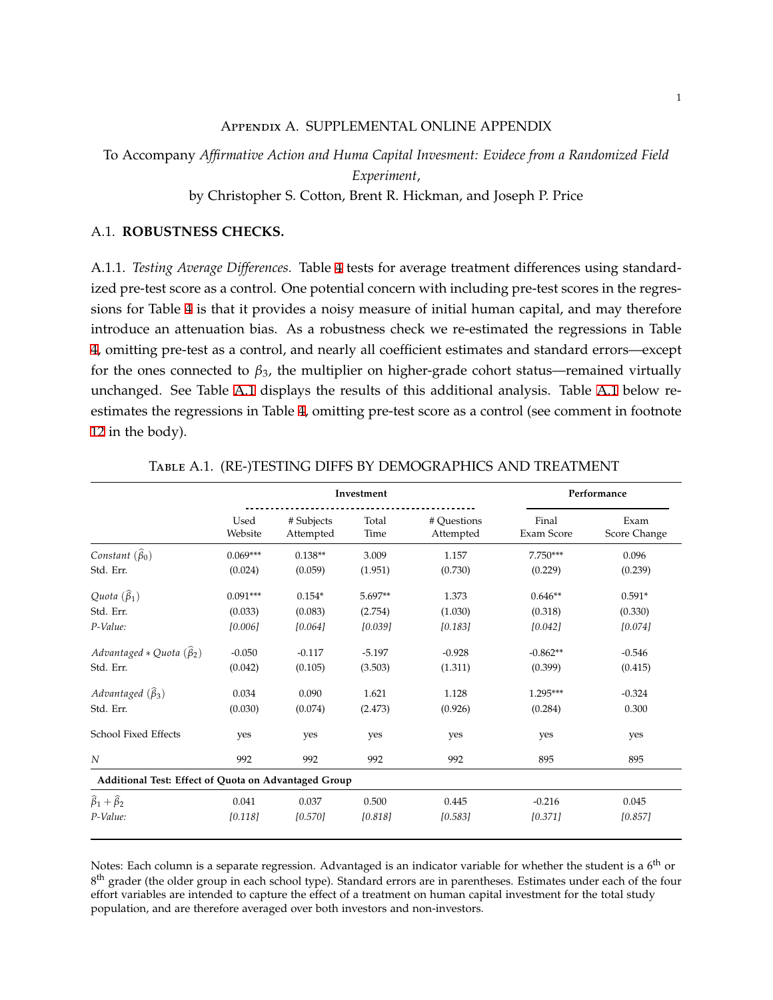#### Appendix A. SUPPLEMENTAL ONLINE APPENDIX

To Accompany *Affirmative Action and Huma Capital Invesment: Evidece from a Randomized Field Experiment*,

by Christopher S. Cotton, Brent R. Hickman, and Joseph P. Price

### A.1. **ROBUSTNESS CHECKS.**

A.1.1. *Testing Average Differences.* Table [4](#page-13-0) tests for average treatment differences using standardized pre-test score as a control. One potential concern with including pre-test scores in the regressions for Table [4](#page-13-0) is that it provides a noisy measure of initial human capital, and may therefore introduce an attenuation bias. As a robustness check we re-estimated the regressions in Table [4](#page-13-0), omitting pre-test as a control, and nearly all coefficient estimates and standard errors—except for the ones connected to  $\beta_3$ , the multiplier on higher-grade cohort status—remained virtually unchanged. See Table [A.1](#page-24-0) displays the results of this additional analysis. Table [A.1](#page-24-0) below reestimates the regressions in Table [4,](#page-13-0) omitting pre-test score as a control (see comment in footnote [12](#page-13-0) in the body).

<span id="page-24-0"></span>

|                                                      |                 | Investment              |               |                          |                     | Performance          |
|------------------------------------------------------|-----------------|-------------------------|---------------|--------------------------|---------------------|----------------------|
|                                                      | Used<br>Website | # Subjects<br>Attempted | Total<br>Time | # Ouestions<br>Attempted | Final<br>Exam Score | Exam<br>Score Change |
| Constant $(\widehat{\beta}_0)$                       | $0.069***$      | $0.138**$               | 3.009         | 1.157                    | $7.750***$          | 0.096                |
| Std. Err.                                            | (0.024)         | (0.059)                 | (1.951)       | (0.730)                  | (0.229)             | (0.239)              |
| Quota $(\widehat{\beta}_1)$                          | $0.091***$      | $0.154*$                | 5.697**       | 1.373                    | $0.646**$           | $0.591*$             |
| Std. Err.                                            | (0.033)         | (0.083)                 | (2.754)       | (1.030)                  | (0.318)             | (0.330)              |
| P-Value:                                             | [0.006]         | [0.064]                 | [0.039]       | [0.183]                  | [0.042]             | [0.074]              |
| Advantaged * Quota $(\widehat{\beta}_2)$             | $-0.050$        | $-0.117$                | $-5.197$      | $-0.928$                 | $-0.862**$          | $-0.546$             |
| Std. Err.                                            | (0.042)         | (0.105)                 | (3.503)       | (1.311)                  | (0.399)             | (0.415)              |
| Advantaged $(\widehat{\beta}_3)$                     | 0.034           | 0.090                   | 1.621         | 1.128                    | $1.295***$          | $-0.324$             |
| Std. Err.                                            | (0.030)         | (0.074)                 | (2.473)       | (0.926)                  | (0.284)             | 0.300                |
| School Fixed Effects                                 | yes             | yes                     | yes           | yes                      | yes                 | yes                  |
| $\boldsymbol{N}$                                     | 992             | 992                     | 992           | 992                      | 895                 | 895                  |
| Additional Test: Effect of Quota on Advantaged Group |                 |                         |               |                          |                     |                      |
| $\hat{\beta}_1 + \hat{\beta}_2$                      | 0.041           | 0.037                   | 0.500         | 0.445                    | $-0.216$            | 0.045                |
| P-Value:                                             | [0.118]         | [0.570]                 | [0.818]       | [0.583]                  | [0.371]             | [0.857]              |

Table A.1. (RE-)TESTING DIFFS BY DEMOGRAPHICS AND TREATMENT

Notes: Each column is a separate regression. Advantaged is an indicator variable for whether the student is a  $6<sup>th</sup>$  or 8<sup>th</sup> grader (the older group in each school type). Standard errors are in parentheses. Estimates under each of the four effort variables are intended to capture the effect of a treatment on human capital investment for the total study population, and are therefore averaged over both investors and non-investors.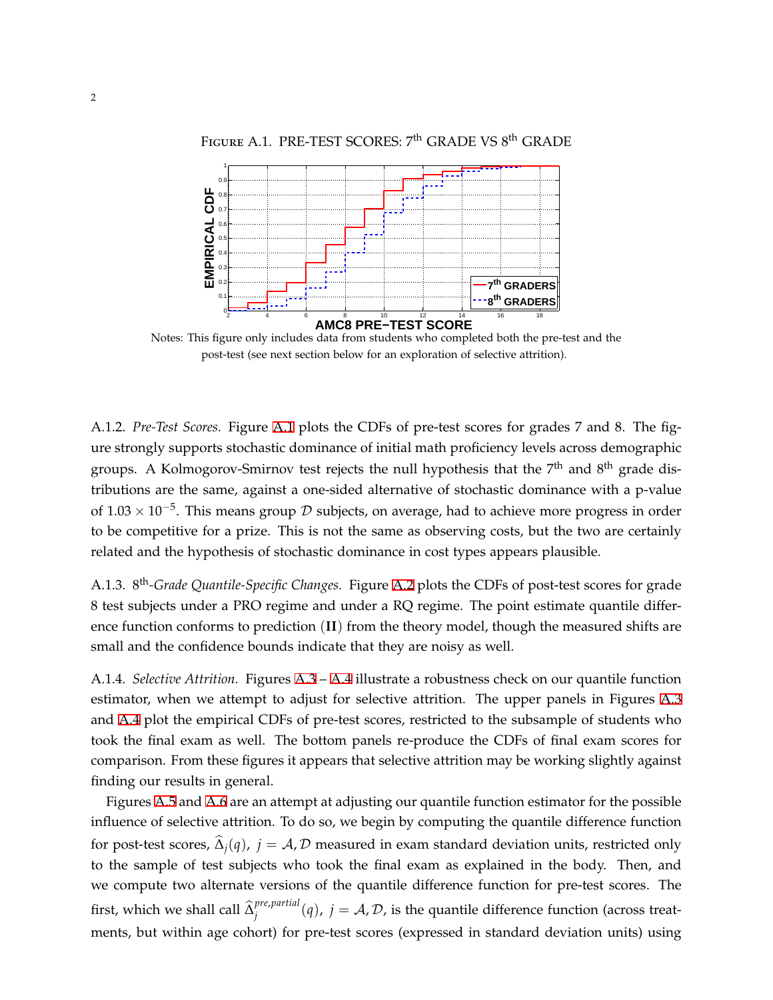<span id="page-25-0"></span>

FIGURE A.1. PRE-TEST SCORES: 7<sup>th</sup> GRADE VS 8<sup>th</sup> GRADE

**AMC8 PRE−TEST SCORE** Notes: This figure only includes data from students who completed both the pre-test and the post-test (see next section below for an exploration of selective attrition).

2 4 6 8 10 12 14 16 18

**8 th GRADERS**

0- $0.1$   $\vdash$ 

A.1.2. *Pre-Test Scores.* Figure [A.1](#page-25-0) plots the CDFs of pre-test scores for grades 7 and 8. The figure strongly supports stochastic dominance of initial math proficiency levels across demographic groups. A Kolmogorov-Smirnov test rejects the null hypothesis that the 7<sup>th</sup> and 8<sup>th</sup> grade distributions are the same, against a one-sided alternative of stochastic dominance with a p-value of 1.03 *×* 10*−*<sup>5</sup> . This means group *D* subjects, on average, had to achieve more progress in order to be competitive for a prize. This is not the same as observing costs, but the two are certainly related and the hypothesis of stochastic dominance in cost types appears plausible.

A.1.3. 8 th*-Grade Quantile-Specific Changes.* Figure [A.2](#page-26-1) plots the CDFs of post-test scores for grade 8 test subjects under a PRO regime and under a RQ regime. The point estimate quantile difference function conforms to prediction (**II**) from the theory model, though the measured shifts are small and the confidence bounds indicate that they are noisy as well.

A.1.4. *Selective Attrition.* Figures [A.3](#page-26-0) – [A.4](#page-27-0) illustrate a robustness check on our quantile function estimator, when we attempt to adjust for selective attrition. The upper panels in Figures [A.3](#page-26-0) and [A.4](#page-27-0) plot the empirical CDFs of pre-test scores, restricted to the subsample of students who took the final exam as well. The bottom panels re-produce the CDFs of final exam scores for comparison. From these figures it appears that selective attrition may be working slightly against finding our results in general.

Figures [A.5](#page-27-1) and [A.6](#page-28-0) are an attempt at adjusting our quantile function estimator for the possible influence of selective attrition. To do so, we begin by computing the quantile difference function for post-test scores,  $\hat{\Delta}_i(q)$ ,  $j = A$ , *D* measured in exam standard deviation units, restricted only to the sample of test subjects who took the final exam as explained in the body. Then, and we compute two alternate versions of the quantile difference function for pre-test scores. The first, which we shall call  $\widehat{\Delta}^{pre, partial}_{j}$  $j^{pre,partial}(q)$ ,  $j = A, D$ , is the quantile difference function (across treatments, but within age cohort) for pre-test scores (expressed in standard deviation units) using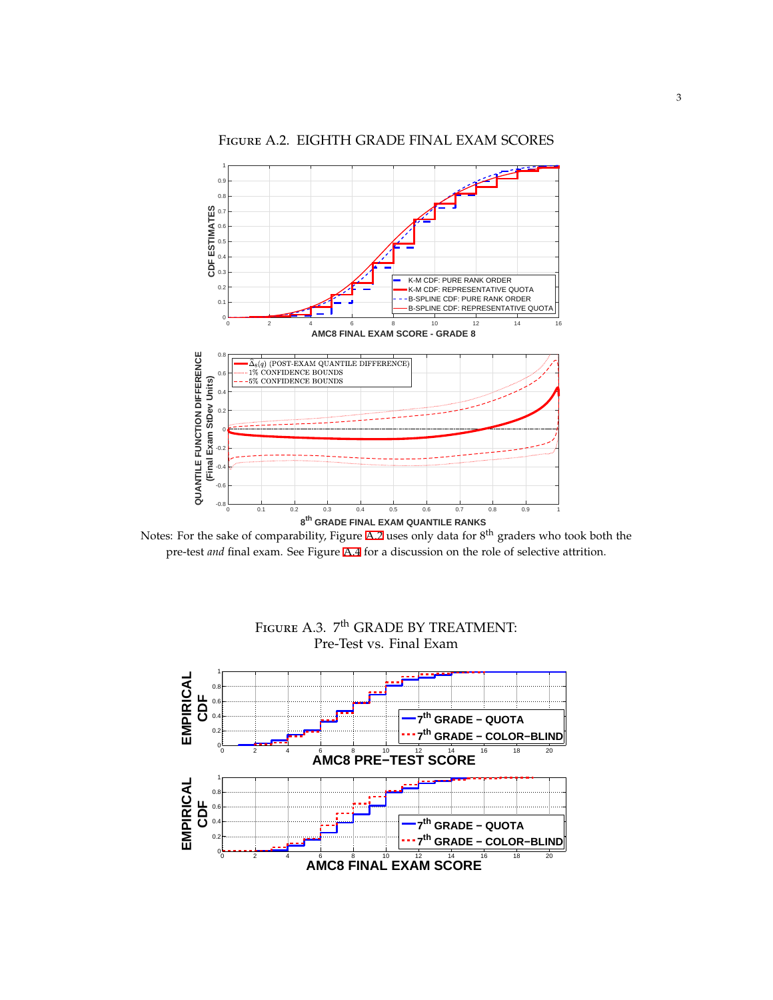<span id="page-26-1"></span>

# Figure A.2. EIGHTH GRADE FINAL EXAM SCORES

<span id="page-26-0"></span>Notes: For the sake of comparability, Figure [A.2](#page-26-1) uses only data for 8<sup>th</sup> graders who took both the pre-test *and* final exam. See Figure [A.4](#page-27-0) for a discussion on the role of selective attrition.



# Figure A.3. 7<sup>th</sup> GRADE BY TREATMENT: Pre-Test vs. Final Exam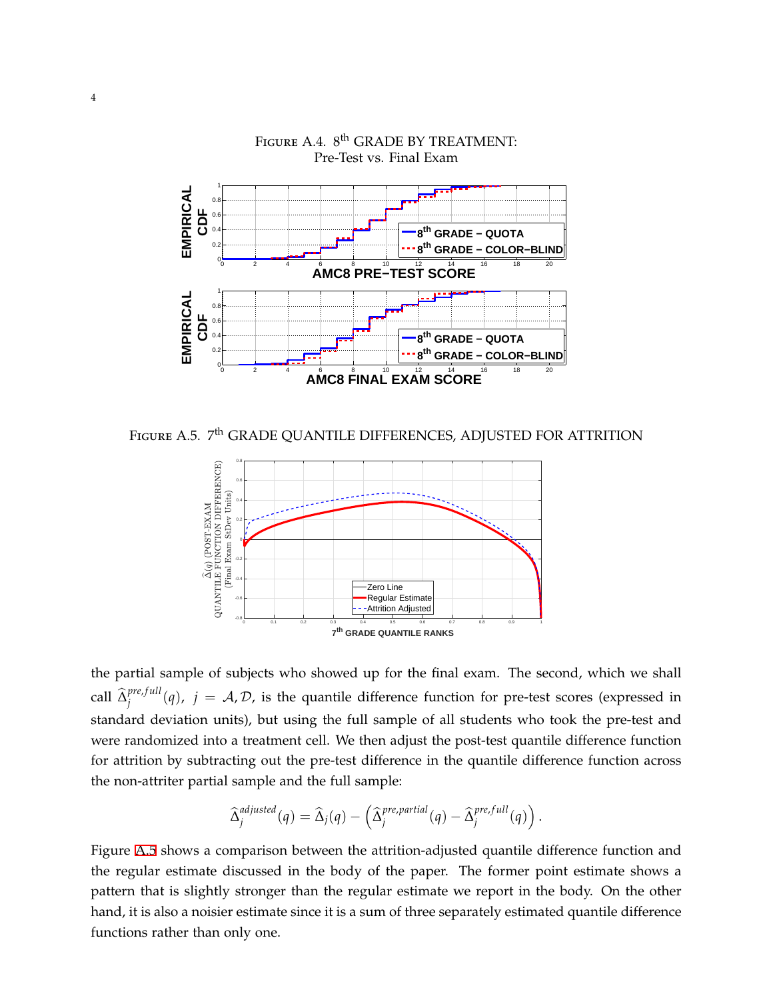<span id="page-27-0"></span>

Figure A.4.  $8^{\text{th}}$  GRADE BY TREATMENT: Pre-Test vs. Final Exam

<span id="page-27-1"></span>Figure A.5. 7<sup>th</sup> GRADE QUANTILE DIFFERENCES, ADJUSTED FOR ATTRITION



the partial sample of subjects who showed up for the final exam. The second, which we shall  $\int_{j}^{pre, full}$  $j^{pre,jull}(q)$ ,  $j = A, D$ , is the quantile difference function for pre-test scores (expressed in standard deviation units), but using the full sample of all students who took the pre-test and were randomized into a treatment cell. We then adjust the post-test quantile difference function for attrition by subtracting out the pre-test difference in the quantile difference function across the non-attriter partial sample and the full sample:

$$
\widehat{\Delta}_j^{adjusted}(q) = \widehat{\Delta}_j(q) - \left(\widehat{\Delta}_j^{pre,partial}(q) - \widehat{\Delta}_j^{pre,full}(q)\right).
$$

Figure [A.5](#page-27-1) shows a comparison between the attrition-adjusted quantile difference function and the regular estimate discussed in the body of the paper. The former point estimate shows a pattern that is slightly stronger than the regular estimate we report in the body. On the other hand, it is also a noisier estimate since it is a sum of three separately estimated quantile difference functions rather than only one.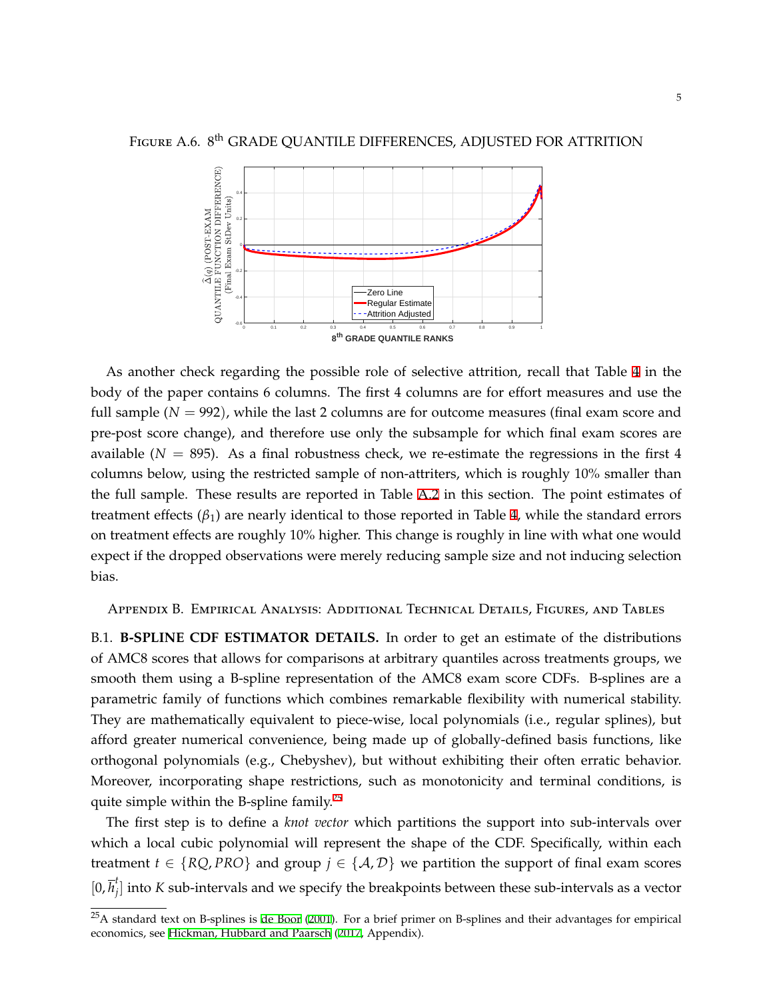<span id="page-28-0"></span>

As another check regarding the possible role of selective attrition, recall that Table [4](#page-13-0) in the body of the paper contains 6 columns. The first 4 columns are for effort measures and use the full sample  $(N = 992)$ , while the last 2 columns are for outcome measures (final exam score and pre-post score change), and therefore use only the subsample for which final exam scores are available ( $N = 895$ ). As a final robustness check, we re-estimate the regressions in the first 4 columns below, using the restricted sample of non-attriters, which is roughly 10% smaller than the full sample. These results are reported in Table [A.2](#page-29-0) in this section. The point estimates of treatment effects  $(β<sub>1</sub>)$  are nearly identical to those reported in Table [4,](#page-13-0) while the standard errors on treatment effects are roughly 10% higher. This change is roughly in line with what one would expect if the dropped observations were merely reducing sample size and not inducing selection bias.

Appendix B. Empirical Analysis: Additional Technical Details, Figures, and Tables

B.1. **B-SPLINE CDF ESTIMATOR DETAILS.** In order to get an estimate of the distributions of AMC8 scores that allows for comparisons at arbitrary quantiles across treatments groups, we smooth them using a B-spline representation of the AMC8 exam score CDFs. B-splines are a parametric family of functions which combines remarkable flexibility with numerical stability. They are mathematically equivalent to piece-wise, local polynomials (i.e., regular splines), but afford greater numerical convenience, being made up of globally-defined basis functions, like orthogonal polynomials (e.g., Chebyshev), but without exhibiting their often erratic behavior. Moreover, incorporating shape restrictions, such as monotonicity and terminal conditions, is quite simple within the B-spline family.<sup>25</sup>

The first step is to define a *knot vector* which partitions the support into sub-intervals over which a local cubic polynomial will represent the shape of the CDF. Specifically, within each treatment  $t \in \{RQ, PRO\}$  and group  $j \in \{A, D\}$  we partition the support of final exam scores  $[0, \overline{h}_i^t]$ *j* ] into *K* sub-intervals and we specify the breakpoints between these sub-intervals as a vector

 $25A$  standard text on B-splines is [de Boor](#page-22-17) ([2001](#page-22-17)). For a brief primer on B-splines and their advantages for empirical economics, see [Hickman, Hubbard and Paarsch](#page-22-18) [\(2017,](#page-22-18) Appendix).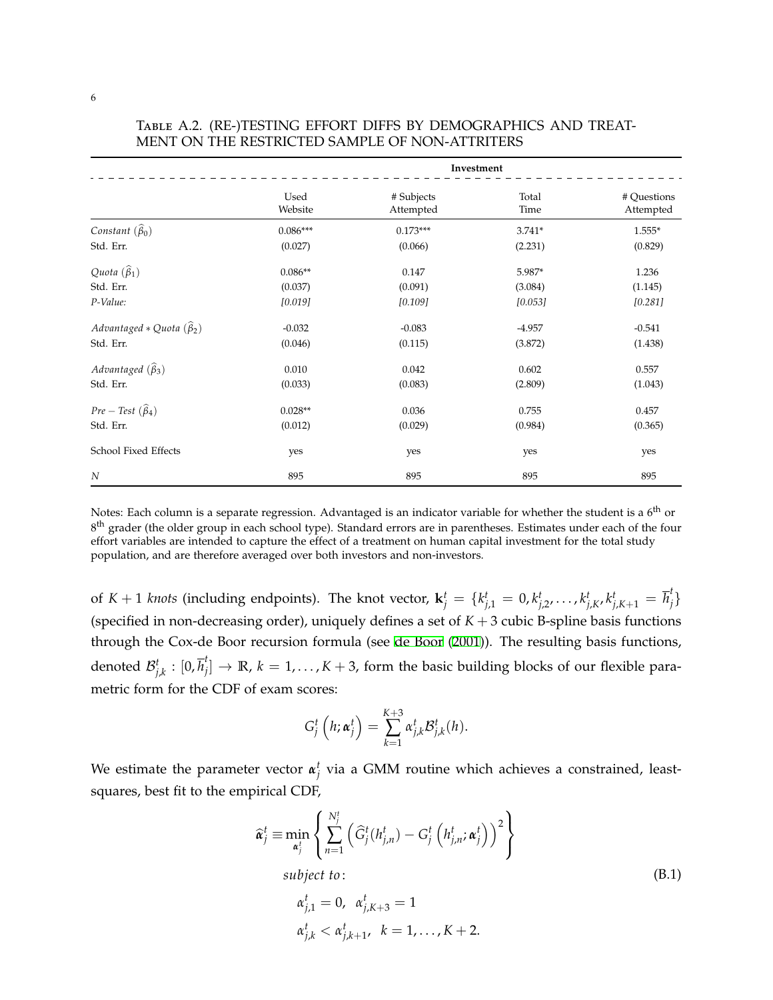|                                          | Investment      |                         |               |                          |  |
|------------------------------------------|-----------------|-------------------------|---------------|--------------------------|--|
|                                          | Used<br>Website | # Subjects<br>Attempted | Total<br>Time | # Questions<br>Attempted |  |
| Constant $(\widehat{\beta}_0)$           | $0.086***$      | $0.173***$              | $3.741*$      | $1.555*$                 |  |
| Std. Err.                                | (0.027)         | (0.066)                 | (2.231)       | (0.829)                  |  |
| Quota $(\widehat{\beta}_1)$              | $0.086**$       | 0.147                   | 5.987*        | 1.236                    |  |
| Std. Err.                                | (0.037)         | (0.091)                 | (3.084)       | (1.145)                  |  |
| P-Value:                                 | [0.019]         | [0.109]                 | [0.053]       | [0.281]                  |  |
| Advantaged * Quota $(\widehat{\beta}_2)$ | $-0.032$        | $-0.083$                | $-4.957$      | $-0.541$                 |  |
| Std. Err.                                | (0.046)         | (0.115)                 | (3.872)       | (1.438)                  |  |
| Advantaged $(\widehat{\beta}_3)$         | 0.010           | 0.042                   | 0.602         | 0.557                    |  |
| Std. Err.                                | (0.033)         | (0.083)                 | (2.809)       | (1.043)                  |  |
| $Pre-Test (\widehat{\beta}_4)$           | $0.028**$       | 0.036                   | 0.755         | 0.457                    |  |
| Std. Err.                                | (0.012)         | (0.029)                 | (0.984)       | (0.365)                  |  |
| School Fixed Effects                     | yes             | yes                     | yes           | yes                      |  |
| N                                        | 895             | 895                     | 895           | 895                      |  |

<span id="page-29-0"></span>Table A.2. (RE-)TESTING EFFORT DIFFS BY DEMOGRAPHICS AND TREAT-MENT ON THE RESTRICTED SAMPLE OF NON-ATTRITERS

Notes: Each column is a separate regression. Advantaged is an indicator variable for whether the student is a 6<sup>th</sup> or 8<sup>th</sup> grader (the older group in each school type). Standard errors are in parentheses. Estimates under each of the four effort variables are intended to capture the effect of a treatment on human capital investment for the total study population, and are therefore averaged over both investors and non-investors.

of  $K+1$  knots (including endpoints). The knot vector,  $\mathbf{k}_j^t = \{k_{j,1}^t = 0, k_{j,2}^t, \ldots, k_{j,K}^t, k_{j,K+1}^t = \overline{h}_j^t\}$ (specified in non-decreasing order), uniquely defines a set of  $K + 3$  cubic B-spline basis functions through the Cox-de Boor recursion formula (see [de Boor](#page-22-17) ([2001](#page-22-17))). The resulting basis functions, denoted  $\mathcal{B}_{j,k}^t$  :  $[0,\overline{h}_j^t]$  $f_j] \rightarrow \mathbb{R}, \, k=1,\ldots,K+3,$  form the basic building blocks of our flexible parametric form for the CDF of exam scores:

$$
G_j^t\left(h;\boldsymbol{\alpha}_j^t\right)=\sum_{k=1}^{K+3}\alpha_{j,k}^t\mathcal{B}_{j,k}^t(h).
$$

We estimate the parameter vector  $\boldsymbol{\alpha}_j^t$  via a GMM routine which achieves a constrained, leastsquares, best fit to the empirical CDF,

$$
\widehat{\alpha}_j^t \equiv \min_{\alpha_j^t} \left\{ \sum_{n=1}^{N_j^t} \left( \widehat{G}_j^t(h_{j,n}^t) - G_j^t\left(h_{j,n}^t; \alpha_j^t\right) \right)^2 \right\}
$$
  
\nsubject to:  
\n
$$
\alpha_{j,1}^t = 0, \ \alpha_{j,K+3}^t = 1
$$
  
\n
$$
\alpha_{j,k}^t < \alpha_{j,k+1}^t, \ k = 1, ..., K+2.
$$
\n(B.1)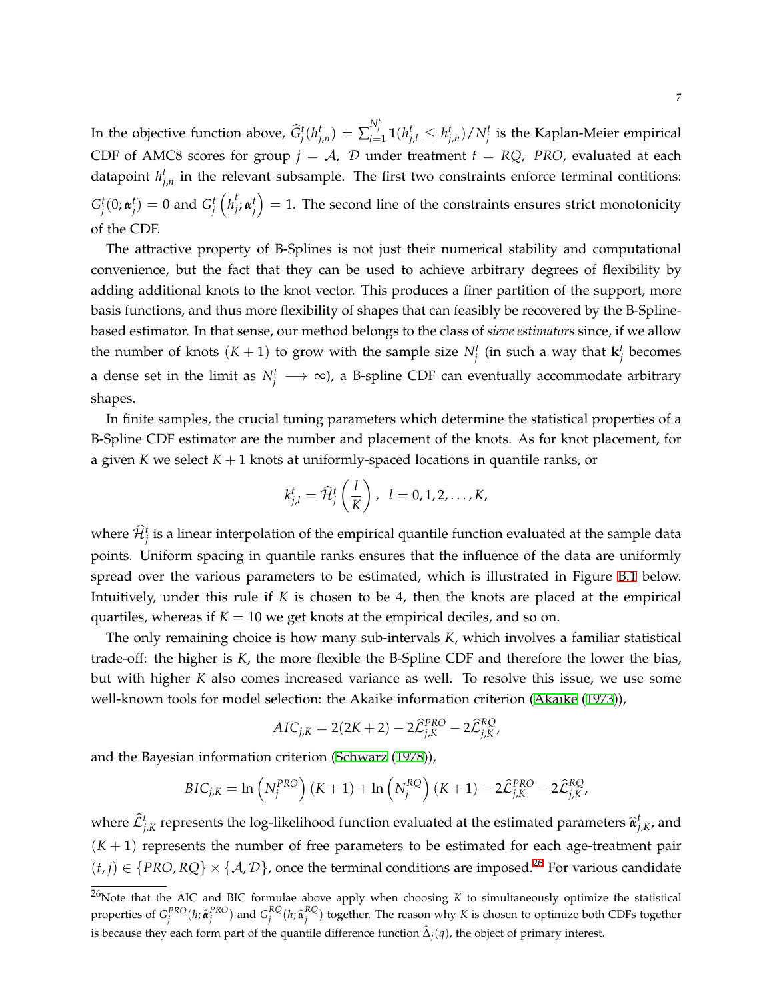In the objective function above,  $\widehat{G}_j^t(h_{j,n}^t)=\sum_{l=1}^{N_j^t} \mathbf{1}(h_{j,l}^t\leq h_{j,n}^t)/N_j^t$  is the Kaplan-Meier empirical CDF of AMC8 scores for group  $j = A$ ,  $D$  under treatment  $t = RQ$ , *PRO*, evaluated at each datapoint  $h_{j,n}^t$  in the relevant subsample. The first two constraints enforce terminal contitions:  $G_j^t(0;\boldsymbol{\alpha}_j^t) = 0$  and  $G_j^t\left(\overline{h}_j^t\right)$  $\left( \begin{array}{c} t_{i}, \alpha_{j}^{t} \end{array} \right) = 1.$  The second line of the constraints ensures strict monotonicity of the CDF.

The attractive property of B-Splines is not just their numerical stability and computational convenience, but the fact that they can be used to achieve arbitrary degrees of flexibility by adding additional knots to the knot vector. This produces a finer partition of the support, more basis functions, and thus more flexibility of shapes that can feasibly be recovered by the B-Splinebased estimator. In that sense, our method belongs to the class of *sieve estimators* since, if we allow the number of knots  $(K + 1)$  to grow with the sample size  $N_f^t$  (in such a way that  $\mathbf{k}_j^t$  becomes a dense set in the limit as  $N_f^t \longrightarrow \infty$ ), a B-spline CDF can eventually accommodate arbitrary shapes.

In finite samples, the crucial tuning parameters which determine the statistical properties of a B-Spline CDF estimator are the number and placement of the knots. As for knot placement, for a given *K* we select *K* + 1 knots at uniformly-spaced locations in quantile ranks, or

$$
k_{j,l}^t = \widehat{\mathcal{H}}_j^t\left(\frac{l}{K}\right), \ \ l=0,1,2,\ldots,K,
$$

where  $\hat{\mathcal{H}}^t_j$  is a linear interpolation of the empirical quantile function evaluated at the sample data points. Uniform spacing in quantile ranks ensures that the influence of the data are uniformly spread over the various parameters to be estimated, which is illustrated in Figure [B.1](#page-32-0) below. Intuitively, under this rule if *K* is chosen to be 4, then the knots are placed at the empirical quartiles, whereas if  $K = 10$  we get knots at the empirical deciles, and so on.

The only remaining choice is how many sub-intervals *K*, which involves a familiar statistical trade-off: the higher is *K*, the more flexible the B-Spline CDF and therefore the lower the bias, but with higher *K* also comes increased variance as well. To resolve this issue, we use some well-known tools for model selection: the Akaike information criterion [\(Akaike](#page-21-1) ([1973](#page-21-1))),

$$
AIC_{j,K} = 2(2K+2) - 2\widehat{\mathcal{L}}_{j,K}^{PRO} - 2\widehat{\mathcal{L}}_{j,K}^{RQ},
$$

and the Bayesian information criterion ([Schwarz](#page-23-5) ([1978\)](#page-23-5)),

$$
BIC_{j,K} = \ln\left(N_j^{PRO}\right)(K+1) + \ln\left(N_j^{RQ}\right)(K+1) - 2\hat{\mathcal{L}}_{j,K}^{PRO} - 2\hat{\mathcal{L}}_{j,K}^{RO}
$$

where  $\widehat{\mathcal{L}}_{j,K}^t$  represents the log-likelihood function evaluated at the estimated parameters  $\widehat{\alpha}_{j,K}^t$ , and  $(K + 1)$  represents the number of free parameters to be estimated for each age-treatment pair  $(t, j)$  ∈ {*PRO*, *RQ*} × {*A*, *D*}, once the terminal conditions are imposed.<sup>26</sup> For various candidate

<sup>&</sup>lt;sup>26</sup>Note that the AIC and BIC formulae above apply when choosing *K* to simultaneously optimize the statistical properties of  $G_j^{PRO}(h; \hat{\boldsymbol{\alpha}}_j^{PRO})$  and  $G_j^{RQ}(h; \hat{\boldsymbol{\alpha}}_j^{RQ})$  together. The reason why K is chosen to optimize both CDFs together is because they each form part of the quantile difference function  $\hat{\Delta}_j(q)$ , the object of primary interest.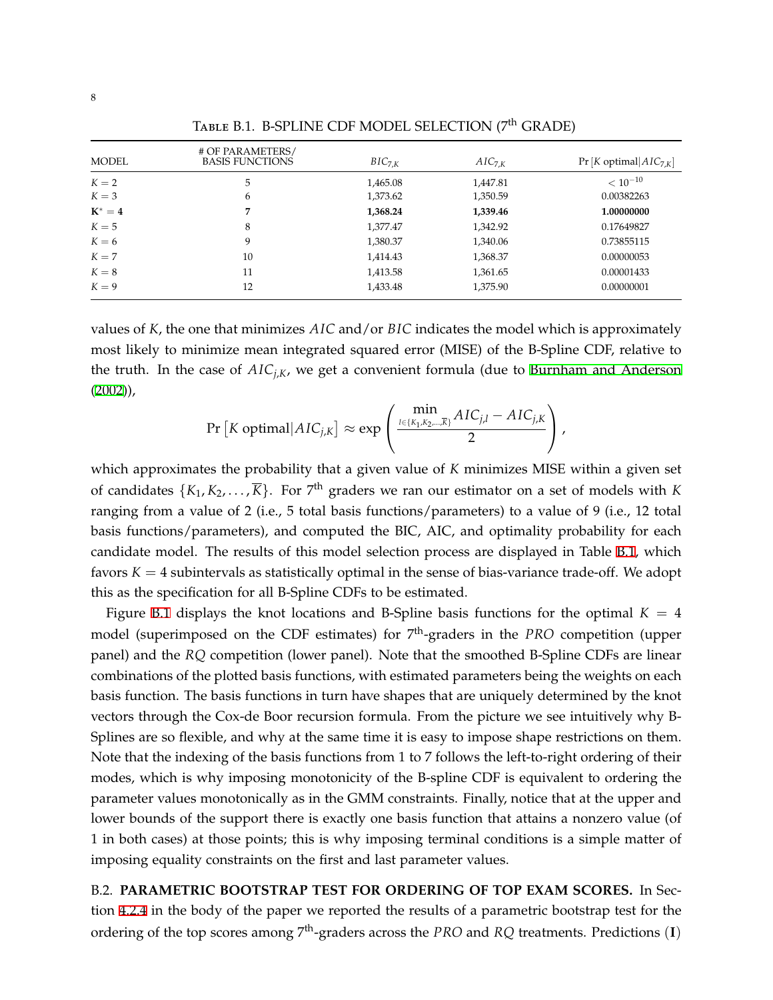<span id="page-31-1"></span>

| <b>MODEL</b> | # OF PARAMETERS/<br><b>BASIS FUNCTIONS</b> | $BIC_{7,K}$ | $AIC_{7,K}$ | $Pr[K$ optimal $AIC_{7,K}$ |
|--------------|--------------------------------------------|-------------|-------------|----------------------------|
| $K=2$        | 5                                          | 1,465.08    | 1,447.81    | $< 10^{-10}$               |
| $K=3$        | 6                                          | 1,373.62    | 1,350.59    | 0.00382263                 |
| $K^* = 4$    | 7                                          | 1,368.24    | 1,339.46    | 1.00000000                 |
| $K=5$        | 8                                          | 1,377.47    | 1,342.92    | 0.17649827                 |
| $K=6$        | 9                                          | 1,380.37    | 1,340.06    | 0.73855115                 |
| $K = 7$      | 10                                         | 1,414.43    | 1,368.37    | 0.00000053                 |
| $K=8$        | 11                                         | 1,413.58    | 1,361.65    | 0.00001433                 |
| $K = 9$      | 12                                         | 1,433.48    | 1,375.90    | 0.00000001                 |

Table B.1. B-SPLINE CDF MODEL SELECTION (7<sup>th</sup> GRADE)

values of *K*, the one that minimizes *AIC* and/or *BIC* indicates the model which is approximately most likely to minimize mean integrated squared error (MISE) of the B-Spline CDF, relative to the truth. In the case of *AICj*,*K*, we get a convenient formula (due to [Burnham and Anderson](#page-22-19)  $(2002)$  $(2002)$  $(2002)$ ,

$$
\Pr\left[K \text{ optimal}| AIC_{j,K}\right] \approx \exp\left(\frac{\min\limits_{l \in \{K_1, K_2, \ldots, \overline{K}\}} AIC_{j,l} - AIC_{j,K}}{2}\right),\,
$$

which approximates the probability that a given value of *K* minimizes MISE within a given set of candidates  $\{K_1, K_2, \ldots, \overline{K}\}$ . For  $7^{\text{th}}$  graders we ran our estimator on a set of models with  $K$ ranging from a value of 2 (i.e., 5 total basis functions/parameters) to a value of 9 (i.e., 12 total basis functions/parameters), and computed the BIC, AIC, and optimality probability for each candidate model. The results of this model selection process are displayed in Table [B.1](#page-31-1), which favors  $K = 4$  subintervals as statistically optimal in the sense of bias-variance trade-off. We adopt this as the specification for all B-Spline CDFs to be estimated.

Figure [B.1](#page-32-0) displays the knot locations and B-Spline basis functions for the optimal  $K = 4$ model (superimposed on the CDF estimates) for 7 th-graders in the *PRO* competition (upper panel) and the *RQ* competition (lower panel). Note that the smoothed B-Spline CDFs are linear combinations of the plotted basis functions, with estimated parameters being the weights on each basis function. The basis functions in turn have shapes that are uniquely determined by the knot vectors through the Cox-de Boor recursion formula. From the picture we see intuitively why B-Splines are so flexible, and why at the same time it is easy to impose shape restrictions on them. Note that the indexing of the basis functions from 1 to 7 follows the left-to-right ordering of their modes, which is why imposing monotonicity of the B-spline CDF is equivalent to ordering the parameter values monotonically as in the GMM constraints. Finally, notice that at the upper and lower bounds of the support there is exactly one basis function that attains a nonzero value (of 1 in both cases) at those points; this is why imposing terminal conditions is a simple matter of imposing equality constraints on the first and last parameter values.

<span id="page-31-0"></span>B.2. **PARAMETRIC BOOTSTRAP TEST FOR ORDERING OF TOP EXAM SCORES.** In Section [4.2.4](#page-15-0) in the body of the paper we reported the results of a parametric bootstrap test for the ordering of the top scores among 7<sup>th</sup>-graders across the *PRO* and *RQ* treatments. Predictions (I)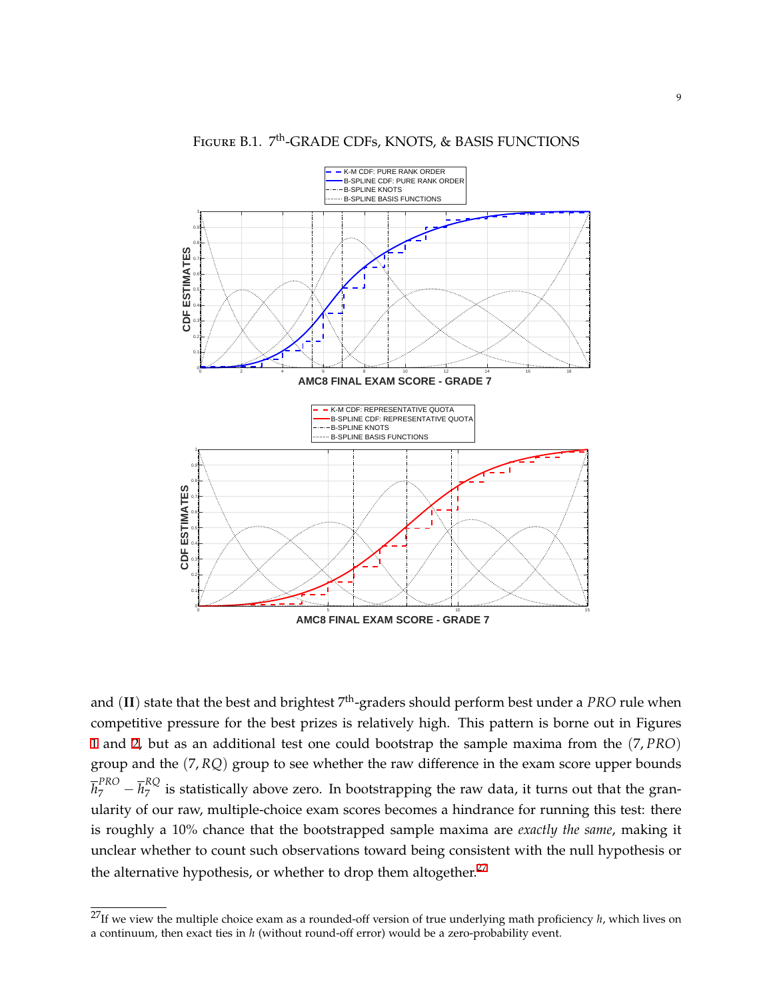<span id="page-32-0"></span>

FIGURE B.1. 7<sup>th</sup>-GRADE CDFs, KNOTS, & BASIS FUNCTIONS

and (II) state that the best and brightest <sup>7th</sup>-graders should perform best under a *PRO* rule when competitive pressure for the best prizes is relatively high. This pattern is borne out in Figures [1](#page-16-0) and [2](#page-17-0), but as an additional test one could bootstrap the sample maxima from the (7, *PRO*) group and the (7, *RQ*) group to see whether the raw difference in the exam score upper bounds  $\overline{h}_{7}^{PRO} - \overline{h}_{7}^{RQ}$  $\frac{1}{7}$  is statistically above zero. In bootstrapping the raw data, it turns out that the granularity of our raw, multiple-choice exam scores becomes a hindrance for running this test: there is roughly a 10% chance that the bootstrapped sample maxima are *exactly the same*, making it unclear whether to count such observations toward being consistent with the null hypothesis or the alternative hypothesis, or whether to drop them altogether. $27$ 

<sup>27</sup>If we view the multiple choice exam as a rounded-off version of true underlying math proficiency *h*, which lives on a continuum, then exact ties in *h* (without round-off error) would be a zero-probability event.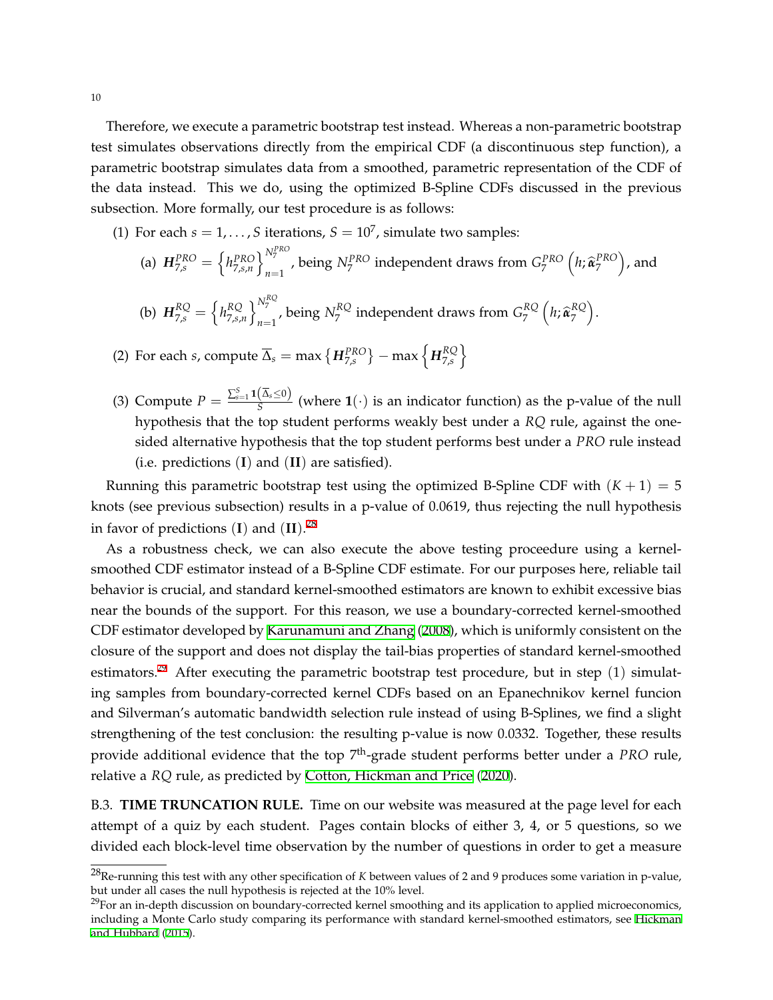Therefore, we execute a parametric bootstrap test instead. Whereas a non-parametric bootstrap test simulates observations directly from the empirical CDF (a discontinuous step function), a parametric bootstrap simulates data from a smoothed, parametric representation of the CDF of the data instead. This we do, using the optimized B-Spline CDFs discussed in the previous subsection. More formally, our test procedure is as follows:

- (1) For each  $s = 1, \ldots, S$  iterations,  $S = 10^7$ , simulate two samples:
	- (a)  $H_{7,s}^{PRO} = \left\{ h_{7,s,n}^{PRO} \right\}_{n=1}^{N_7^{PRO}}$ *n*<sup> $N_7$ </sup>, being  $N_7^{PRO}$  independent draws from  $G_7^{PRO}$   $\left(h, \hat{\boldsymbol{\alpha}}_7^{PRO}\right)$ , and
	- (b)  $H_{7,s}^{RQ} = \left\{ h_{7,s}^{RQ} \right\}$  $RQ \atop 7, s, n} \Big\}^{N_7^{RQ}}_{n=1}$  $\sum_{n=1}^{N_7}$ , being  $N_7^{RQ}$  $\sigma_{7}^{RQ}$  independent draws from  $G_{7}^{RQ}$  $\frac{RQ}{7}$   $\left(h;\widehat{\mathbf{\alpha}}_7^{RQ}\right)$  $RQ \choose 7$ .
- (2) For each *s*, compute  $\overline{\Delta}_s = \max\left\{H_{7,s}^{PRO}\right\} \max\left\{H_{7,s}^{RQ}\right\}$ RQ \<br>7,s \
- (3) Compute  $P = \frac{\sum_{s=1}^{S} \mathbf{1}(\overline{\Delta}_s \leq 0)}{S}$  $\frac{S(S, S \cup C)}{S}$  (where **1**(*·*) is an indicator function) as the p-value of the null hypothesis that the top student performs weakly best under a *RQ* rule, against the onesided alternative hypothesis that the top student performs best under a *PRO* rule instead (i.e. predictions (**I**) and (**II**) are satisfied).

Running this parametric bootstrap test using the optimized B-Spline CDF with  $(K + 1) = 5$ knots (see previous subsection) results in a p-value of 0.0619, thus rejecting the null hypothesis in favor of predictions (**I**) and (**II**). 28

As a robustness check, we can also execute the above testing proceedure using a kernelsmoothed CDF estimator instead of a B-Spline CDF estimate. For our purposes here, reliable tail behavior is crucial, and standard kernel-smoothed estimators are known to exhibit excessive bias near the bounds of the support. For this reason, we use a boundary-corrected kernel-smoothed CDF estimator developed by [Karunamuni and Zhang](#page-22-14) [\(2008](#page-22-14)), which is uniformly consistent on the closure of the support and does not display the tail-bias properties of standard kernel-smoothed estimators.<sup>29</sup> After executing the parametric bootstrap test procedure, but in step  $(1)$  simulating samples from boundary-corrected kernel CDFs based on an Epanechnikov kernel funcion and Silverman's automatic bandwidth selection rule instead of using B-Splines, we find a slight strengthening of the test conclusion: the resulting p-value is now 0.0332. Together, these results provide additional evidence that the top 7<sup>th</sup>-grade student performs better under a *PRO* rule, relative a *RQ* rule, as predicted by [Cotton, Hickman and Price](#page-22-5) [\(2020](#page-22-5)).

<span id="page-33-0"></span>B.3. **TIME TRUNCATION RULE.** Time on our website was measured at the page level for each attempt of a quiz by each student. Pages contain blocks of either 3, 4, or 5 questions, so we divided each block-level time observation by the number of questions in order to get a measure

<sup>28</sup>Re-running this test with any other specification of *K* between values of 2 and 9 produces some variation in p-value, but under all cases the null hypothesis is rejected at the 10% level.

 $29$ For an in-depth discussion on boundary-corrected kernel smoothing and its application to applied microeconomics, including a Monte Carlo study comparing its performance with standard kernel-smoothed estimators, see [Hickman](#page-22-15) [and Hubbard](#page-22-15) ([2015](#page-22-15)).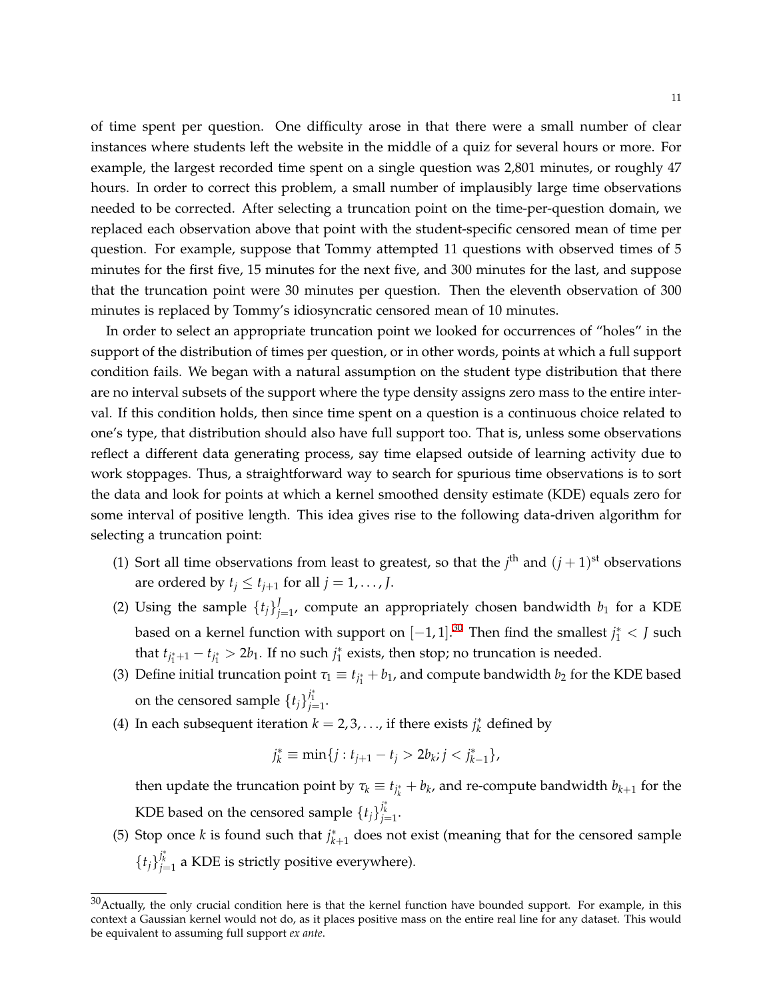of time spent per question. One difficulty arose in that there were a small number of clear instances where students left the website in the middle of a quiz for several hours or more. For example, the largest recorded time spent on a single question was 2,801 minutes, or roughly 47 hours. In order to correct this problem, a small number of implausibly large time observations needed to be corrected. After selecting a truncation point on the time-per-question domain, we replaced each observation above that point with the student-specific censored mean of time per question. For example, suppose that Tommy attempted 11 questions with observed times of 5 minutes for the first five, 15 minutes for the next five, and 300 minutes for the last, and suppose that the truncation point were 30 minutes per question. Then the eleventh observation of 300 minutes is replaced by Tommy's idiosyncratic censored mean of 10 minutes.

In order to select an appropriate truncation point we looked for occurrences of "holes" in the support of the distribution of times per question, or in other words, points at which a full support condition fails. We began with a natural assumption on the student type distribution that there are no interval subsets of the support where the type density assigns zero mass to the entire interval. If this condition holds, then since time spent on a question is a continuous choice related to one's type, that distribution should also have full support too. That is, unless some observations reflect a different data generating process, say time elapsed outside of learning activity due to work stoppages. Thus, a straightforward way to search for spurious time observations is to sort the data and look for points at which a kernel smoothed density estimate (KDE) equals zero for some interval of positive length. This idea gives rise to the following data-driven algorithm for selecting a truncation point:

- (1) Sort all time observations from least to greatest, so that the  $j<sup>th</sup>$  and  $(j + 1)<sup>st</sup>$  observations are ordered by  $t_j \leq t_{j+1}$  for all  $j = 1, \ldots, J$ .
- (2) Using the sample  $\{t_j\}$  $j_{j=1}^{\prime}$ , compute an appropriately chosen bandwidth  $b_1$  for a KDE based on a kernel function with support on  $[-1, 1].^{30}$  Then find the smallest  $j_1^* < J$  such that  $t_{j_1^*+1} - t_{j_1^*} > 2b_1$ . If no such  $j_1^*$  exists, then stop; no truncation is needed.
- (3) Define initial truncation point  $\tau_1 \equiv t_{j_1^*} + b_1$ , and compute bandwidth  $b_2$  for the KDE based on the censored sample  $\{t_j\}_{j=1}^{j_1^*}$ .
- (4) In each subsequent iteration  $k = 2, 3, \ldots$ , if there exists  $j_k^*$  defined by

$$
j_k^* \equiv \min\{j : t_{j+1} - t_j > 2b_k; j < j_{k-1}^*\},\
$$

then update the truncation point by  $\tau_k \equiv t_{j^*_k} + b_k$ , and re-compute bandwidth  $b_{k+1}$  for the KDE based on the censored sample  $\{t_j\}_{j=1}^{j^*_k}$ .

(5) Stop once *k* is found such that  $j^*_{k+1}$  does not exist (meaning that for the censored sample  ${t_j}_{j=1}^{j_k^*}$  a KDE is strictly positive everywhere).

 $30$ Actually, the only crucial condition here is that the kernel function have bounded support. For example, in this context a Gaussian kernel would not do, as it places positive mass on the entire real line for any dataset. This would be equivalent to assuming full support *ex ante*.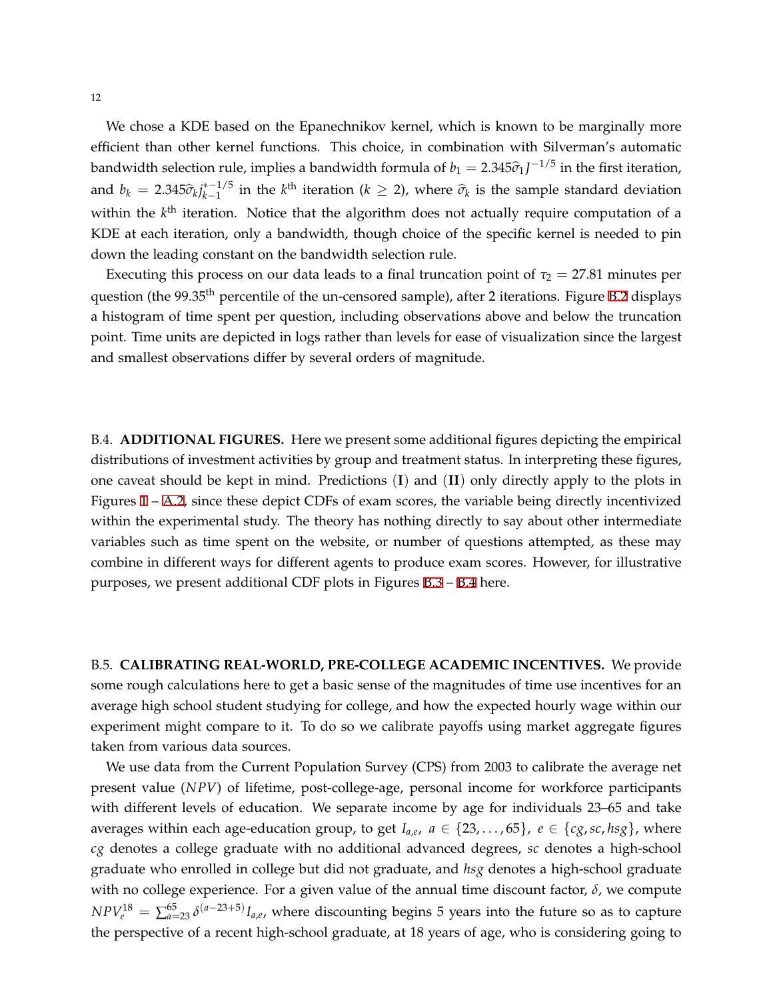We chose a KDE based on the Epanechnikov kernel, which is known to be marginally more efficient than other kernel functions. This choice, in combination with Silverman's automatic bandwidth selection rule, implies a bandwidth formula of  $b_1 = 2.345\hat{\sigma}_1 J^{-1/5}$  in the first iteration, and  $b_k = 2.345 \hat{\sigma}_k j_{k-1}^{*-1/5}$  $k-1/5$  in the *k*<sup>th</sup> iteration (*k* ≥ 2), where  $\hat{\sigma}_k$  is the sample standard deviation within the k<sup>th</sup> iteration. Notice that the algorithm does not actually require computation of a KDE at each iteration, only a bandwidth, though choice of the specific kernel is needed to pin down the leading constant on the bandwidth selection rule.

Executing this process on our data leads to a final truncation point of  $\tau_2 = 27.81$  minutes per question (the 99.35<sup>th</sup> percentile of the un-censored sample), after 2 iterations. Figure [B.2](#page-36-0) displays a histogram of time spent per question, including observations above and below the truncation point. Time units are depicted in logs rather than levels for ease of visualization since the largest and smallest observations differ by several orders of magnitude.

B.4. **ADDITIONAL FIGURES.** Here we present some additional figures depicting the empirical distributions of investment activities by group and treatment status. In interpreting these figures, one caveat should be kept in mind. Predictions (**I**) and (**II**) only directly apply to the plots in Figures  $1 - A.2$  $1 - A.2$ , since these depict CDFs of exam scores, the variable being directly incentivized within the experimental study. The theory has nothing directly to say about other intermediate variables such as time spent on the website, or number of questions attempted, as these may combine in different ways for different agents to produce exam scores. However, for illustrative purposes, we present additional CDF plots in Figures [B.3](#page-37-0) – [B.4](#page-38-0) here.

<span id="page-35-0"></span>B.5. **CALIBRATING REAL-WORLD, PRE-COLLEGE ACADEMIC INCENTIVES.** We provide some rough calculations here to get a basic sense of the magnitudes of time use incentives for an average high school student studying for college, and how the expected hourly wage within our experiment might compare to it. To do so we calibrate payoffs using market aggregate figures taken from various data sources.

We use data from the Current Population Survey (CPS) from 2003 to calibrate the average net present value (*NPV*) of lifetime, post-college-age, personal income for workforce participants with different levels of education. We separate income by age for individuals 23–65 and take averages within each age-education group, to get  $I_{a,e}$ ,  $a \in \{23,\ldots,65\}$ ,  $e \in \{cg,sc,hsg\}$ , where *cg* denotes a college graduate with no additional advanced degrees, *sc* denotes a high-school graduate who enrolled in college but did not graduate, and *hsg* denotes a high-school graduate with no college experience. For a given value of the annual time discount factor, *δ*, we compute  $NPV_e^{18} = \sum_{a=23}^{65} \delta^{(a-23+5)} I_{a,e}$ , where discounting begins 5 years into the future so as to capture the perspective of a recent high-school graduate, at 18 years of age, who is considering going to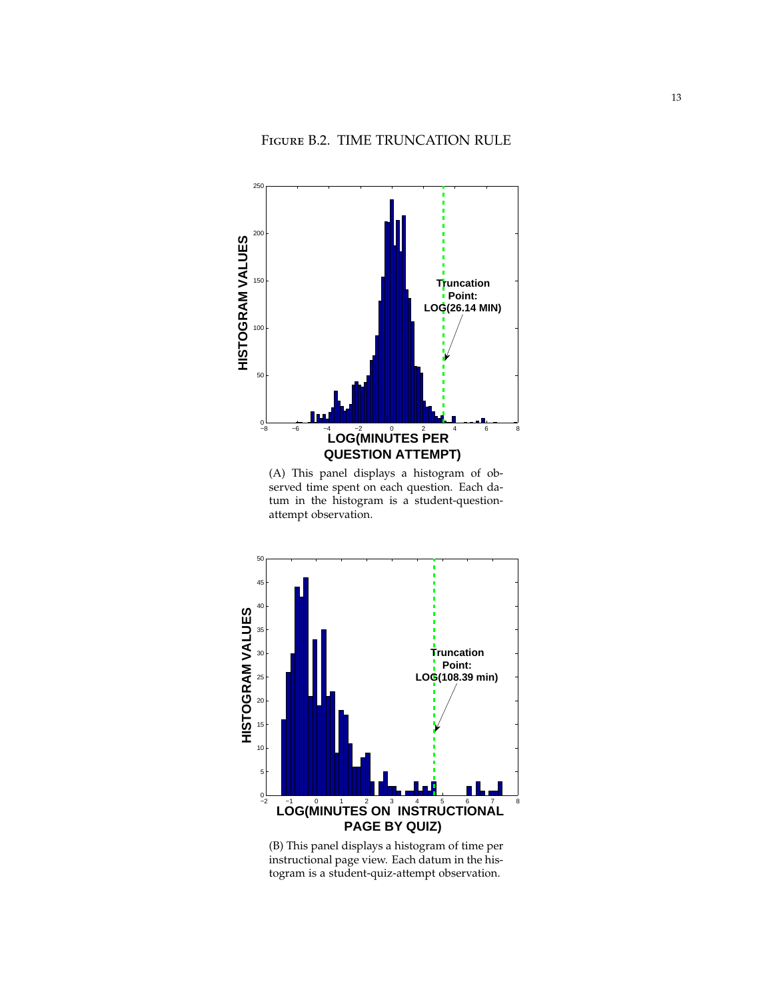<span id="page-36-0"></span>

(A) This panel displays a histogram of observed time spent on each question. Each datum in the histogram is a student-questionattempt observation.



(B) This panel displays a histogram of time per instructional page view. Each datum in the histogram is a student-quiz-attempt observation.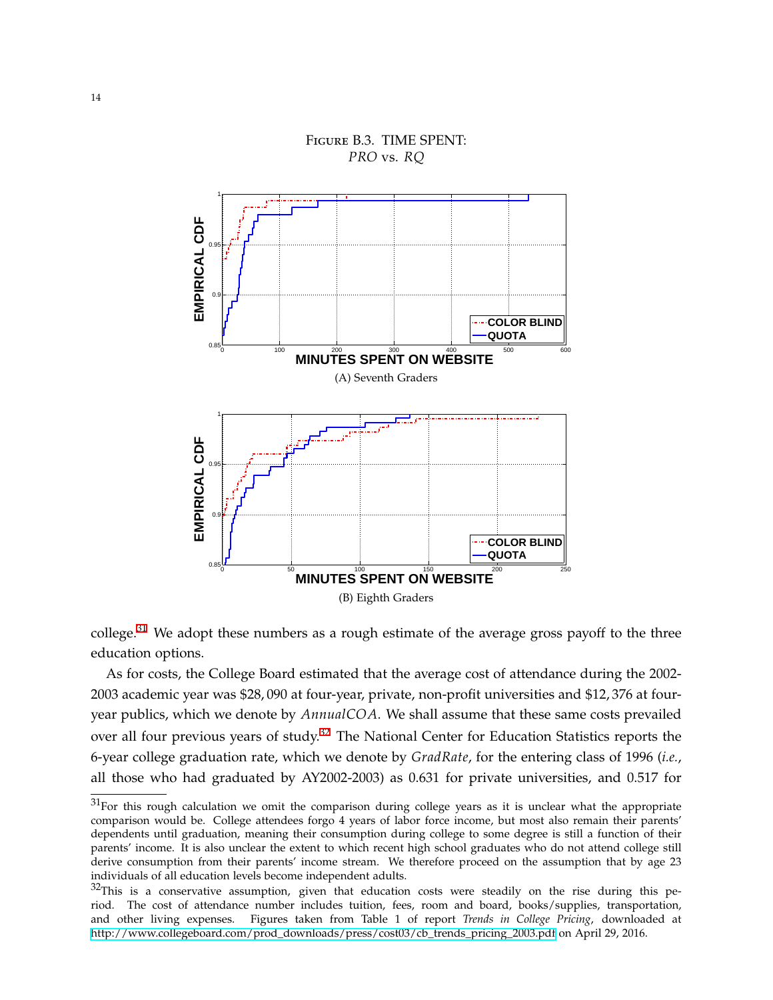<span id="page-37-0"></span>

# Figure B.3. TIME SPENT: *PRO* vs. *RQ*

 $\text{college.}^{31}$  We adopt these numbers as a rough estimate of the average gross payoff to the three education options.

As for costs, the College Board estimated that the average cost of attendance during the 2002- 2003 academic year was \$28, 090 at four-year, private, non-profit universities and \$12, 376 at fouryear publics, which we denote by *AnnualCOA*. We shall assume that these same costs prevailed over all four previous years of study.<sup>32</sup> The National Center for Education Statistics reports the 6-year college graduation rate, which we denote by *GradRate*, for the entering class of 1996 (*i.e.*, all those who had graduated by AY2002-2003) as 0.631 for private universities, and 0.517 for

<sup>&</sup>lt;sup>31</sup>For this rough calculation we omit the comparison during college years as it is unclear what the appropriate comparison would be. College attendees forgo 4 years of labor force income, but most also remain their parents' dependents until graduation, meaning their consumption during college to some degree is still a function of their parents' income. It is also unclear the extent to which recent high school graduates who do not attend college still derive consumption from their parents' income stream. We therefore proceed on the assumption that by age 23 individuals of all education levels become independent adults.

 $32$ This is a conservative assumption, given that education costs were steadily on the rise during this period. The cost of attendance number includes tuition, fees, room and board, books/supplies, transportation, and other living expenses. Figures taken from Table 1 of report *Trends in College Pricing*, downloaded at [http://www.collegeboard.com/prod\\_downloads/press/cost03/cb\\_trends\\_pricing\\_2003.pdf](http://www.collegeboard.com/prod_downloads/press/cost03/cb_trends_pricing_2003.pdf) on April 29, 2016.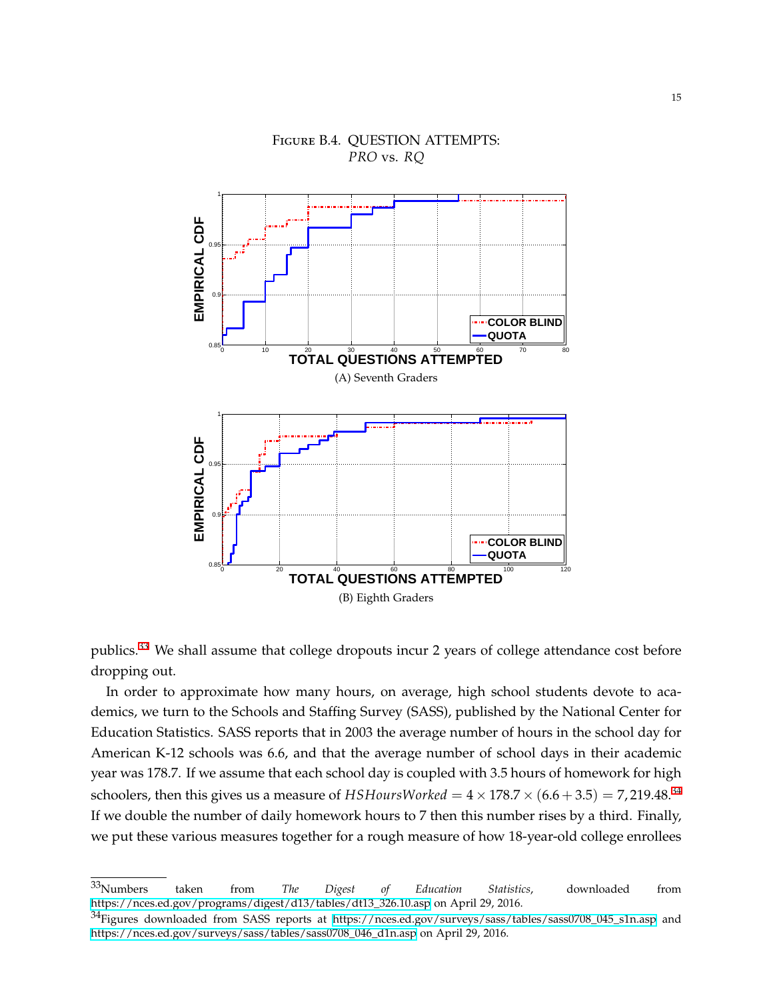<span id="page-38-0"></span>

# Figure B.4. QUESTION ATTEMPTS: *PRO* vs. *RQ*

publics.<sup>33</sup> We shall assume that college dropouts incur 2 years of college attendance cost before dropping out.

In order to approximate how many hours, on average, high school students devote to academics, we turn to the Schools and Staffing Survey (SASS), published by the National Center for Education Statistics. SASS reports that in 2003 the average number of hours in the school day for American K-12 schools was 6.6, and that the average number of school days in their academic year was 178.7. If we assume that each school day is coupled with 3.5 hours of homework for high schoolers, then this gives us a measure of  $HSHoursWorked = 4 \times 178.7 \times (6.6 + 3.5) = 7,219.48.^{34}$ If we double the number of daily homework hours to 7 then this number rises by a third. Finally, we put these various measures together for a rough measure of how 18-year-old college enrollees

<sup>33</sup>Numbers taken from *The Digest of Education Statistics*, downloaded from [https://nces.ed.gov/programs/digest/d13/tables/dt13\\_326.10.asp](https://nces.ed.gov/programs/digest/d13/tables/dt13_326.10.asp) on April 29, 2016.

<sup>&</sup>lt;sup>34</sup>Figures downloaded from SASS reports at [https://nces.ed.gov/surveys/sass/tables/sass0708\\_045\\_s1n.asp](https://nces.ed.gov/surveys/sass/tables/sass0708_045_s1n.asp) and [https://nces.ed.gov/surveys/sass/tables/sass0708\\_046\\_d1n.asp](https://nces.ed.gov/surveys/sass/tables/sass0708_046_d1n.asp) on April 29, 2016.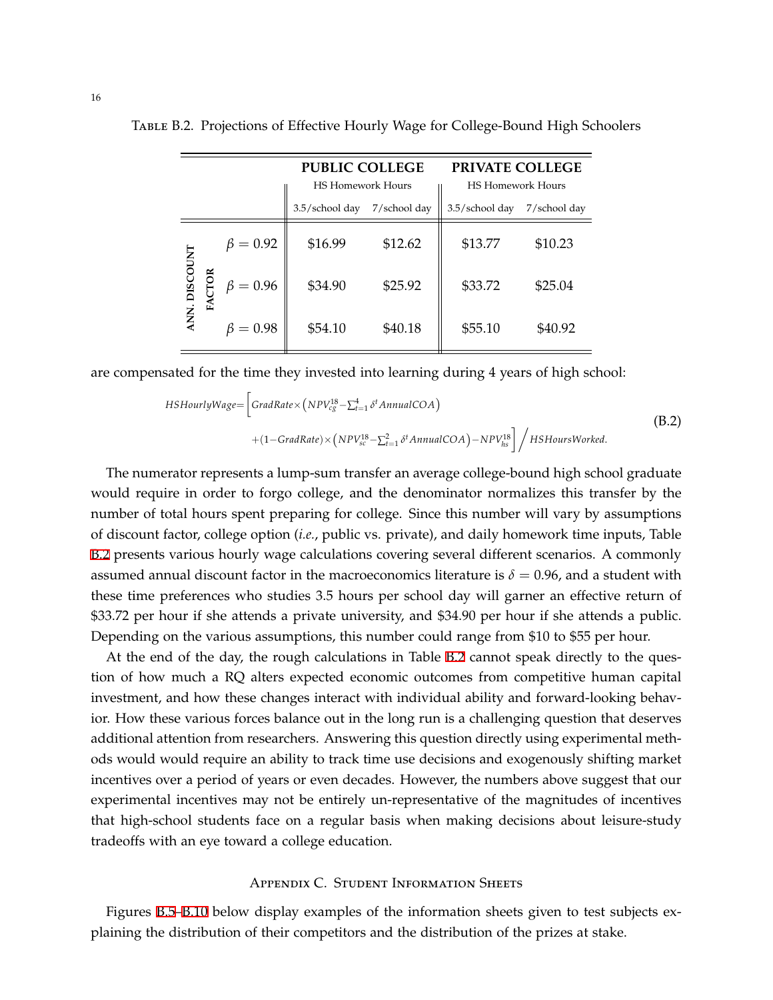|               |                | <b>PUBLIC COLLEGE</b>                      |              | PRIVATE COLLEGE                            |              |
|---------------|----------------|--------------------------------------------|--------------|--------------------------------------------|--------------|
|               |                | <b>HS Homework Hours</b><br>3.5/school day | 7/school day | <b>HS Homework Hours</b><br>3.5/school day | 7/school day |
|               |                |                                            |              |                                            |              |
|               | $\beta = 0.92$ | \$16.99                                    | \$12.62      | \$13.77                                    | \$10.23      |
| ANN. DISCOUNT | $\beta = 0.96$ | \$34.90                                    | \$25.92      | \$33.72                                    | \$25.04      |
|               | $= 0.98$       | \$54.10                                    | \$40.18      | \$55.10                                    | \$40.92      |

<span id="page-39-1"></span>Table B.2. Projections of Effective Hourly Wage for College-Bound High Schoolers

are compensated for the time they invested into learning during 4 years of high school:

$$
HSHourlyWage = \left[ GradRate \times (NPV_{cg}^{18} - \sum_{t=1}^{4} \delta^{t} \text{AnnualCOA}) + (1 - GradRate) \times (NPV_{sc}^{18} - \sum_{t=1}^{2} \delta^{t} \text{AnnualCOA}) - NPV_{hs}^{18} \right] / HSHoursWorked.
$$
\n(B.2)

The numerator represents a lump-sum transfer an average college-bound high school graduate would require in order to forgo college, and the denominator normalizes this transfer by the number of total hours spent preparing for college. Since this number will vary by assumptions of discount factor, college option (*i.e.*, public vs. private), and daily homework time inputs, Table [B.2](#page-39-1) presents various hourly wage calculations covering several different scenarios. A commonly assumed annual discount factor in the macroeconomics literature is  $\delta = 0.96$ , and a student with these time preferences who studies 3.5 hours per school day will garner an effective return of \$33.72 per hour if she attends a private university, and \$34.90 per hour if she attends a public. Depending on the various assumptions, this number could range from \$10 to \$55 per hour.

At the end of the day, the rough calculations in Table [B.2](#page-39-1) cannot speak directly to the question of how much a RQ alters expected economic outcomes from competitive human capital investment, and how these changes interact with individual ability and forward-looking behavior. How these various forces balance out in the long run is a challenging question that deserves additional attention from researchers. Answering this question directly using experimental methods would would require an ability to track time use decisions and exogenously shifting market incentives over a period of years or even decades. However, the numbers above suggest that our experimental incentives may not be entirely un-representative of the magnitudes of incentives that high-school students face on a regular basis when making decisions about leisure-study tradeoffs with an eye toward a college education.

### Appendix C. Student Information Sheets

<span id="page-39-0"></span>Figures [B.5](#page-40-0)[–B.10](#page-45-0) below display examples of the information sheets given to test subjects explaining the distribution of their competitors and the distribution of the prizes at stake.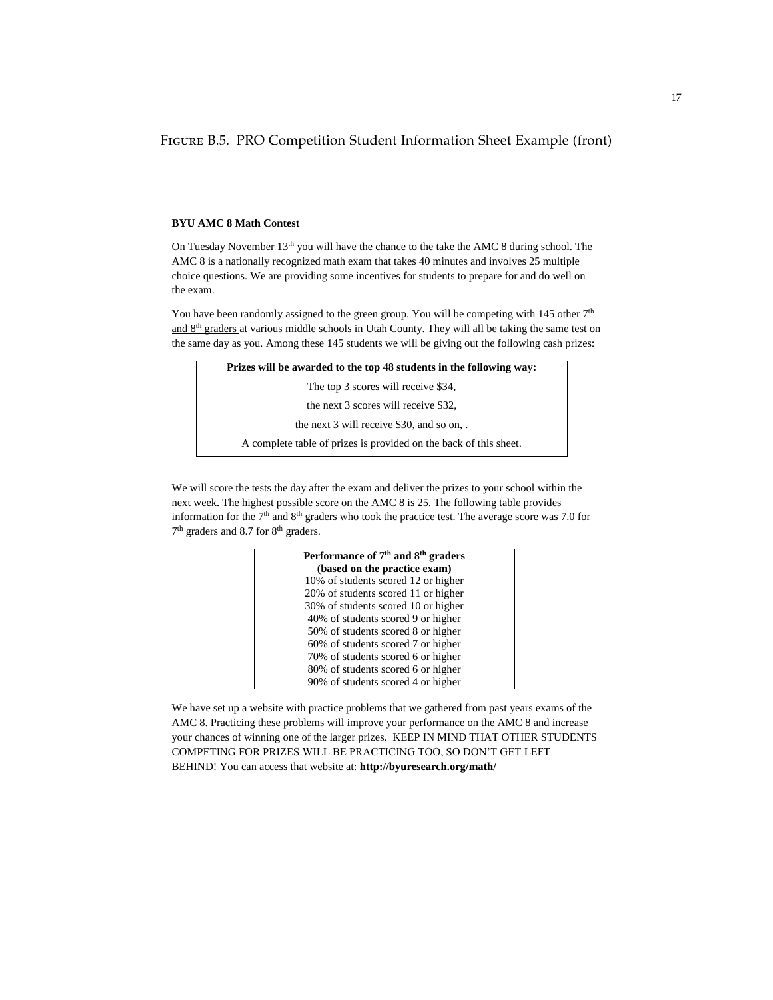<span id="page-40-0"></span>Figure B.5. PRO Competition Student Information Sheet Example (front)

#### **BYU AMC 8 Math Contest**

On Tuesday November  $13<sup>th</sup>$  you will have the chance to the take the AMC 8 during school. The AMC 8 is a nationally recognized math exam that takes 40 minutes and involves 25 multiple choice questions. We are providing some incentives for students to prepare for and do well on the exam.

You have been randomly assigned to the green group. You will be competing with 145 other  $7<sup>th</sup>$ and 8th graders at various middle schools in Utah County. They will all be taking the same test on the same day as you. Among these 145 students we will be giving out the following cash prizes:

| Prizes will be awarded to the top 48 students in the following way: |
|---------------------------------------------------------------------|
| The top 3 scores will receive \$34,                                 |
| the next 3 scores will receive \$32,                                |
| the next 3 will receive \$30, and so on,.                           |
| A complete table of prizes is provided on the back of this sheet.   |

We will score the tests the day after the exam and deliver the prizes to your school within the next week. The highest possible score on the AMC 8 is 25. The following table provides information for the  $7<sup>th</sup>$  and  $8<sup>th</sup>$  graders who took the practice test. The average score was 7.0 for 7<sup>th</sup> graders and 8.7 for 8<sup>th</sup> graders.

| Performance of 7 <sup>th</sup> and 8 <sup>th</sup> graders |
|------------------------------------------------------------|
|                                                            |
| (based on the practice exam)                               |
| 10% of students scored 12 or higher                        |
| 20% of students scored 11 or higher                        |
| 30% of students scored 10 or higher                        |
| 40% of students scored 9 or higher                         |
| 50% of students scored 8 or higher                         |
| 60% of students scored 7 or higher                         |
| 70% of students scored 6 or higher                         |
| 80% of students scored 6 or higher                         |
| 90% of students scored 4 or higher                         |
|                                                            |

We have set up a website with practice problems that we gathered from past years exams of the AMC 8. Practicing these problems will improve your performance on the AMC 8 and increase your chances of winning one of the larger prizes. KEEP IN MIND THAT OTHER STUDENTS COMPETING FOR PRIZES WILL BE PRACTICING TOO, SO DON'T GET LEFT BEHIND! You can access that website at: **http://byuresearch.org/math/**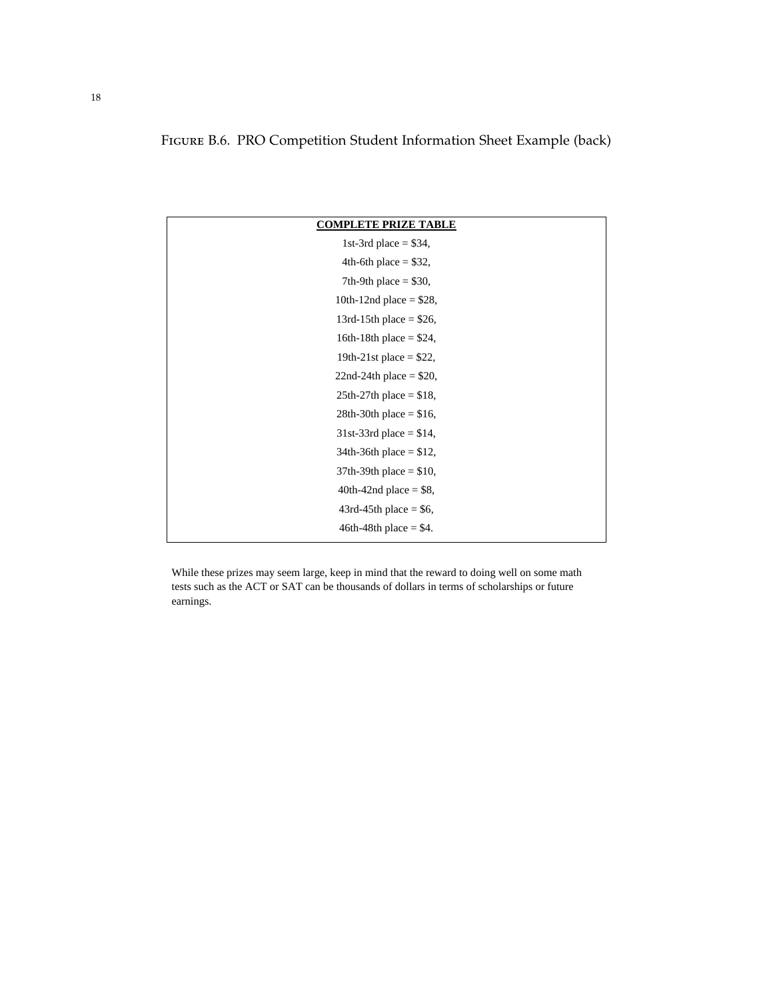# Figure B.6. PRO Competition Student Information Sheet Example (back)

| <b>COMPLETE PRIZE TABLE</b> |
|-----------------------------|
| 1st-3rd place $= $34,$      |
| 4th-6th place $= $32$ ,     |
| 7th-9th place $=$ \$30,     |
| 10th-12nd place = $$28$ ,   |
| 13rd-15th place = $$26$ ,   |
| 16th-18th place $= $24$ ,   |
| 19th-21st place = $$22$ ,   |
| 22nd-24th place $= $20,$    |
| $25th-27th$ place = \$18,   |
| 28th-30th place = $$16$ ,   |
| 31st-33rd place = $$14$ ,   |
| $34th-36th$ place = \$12,   |
| 37th-39th place = $$10$ ,   |
| 40th-42nd place $=$ \$8,    |
| $43rd-45th$ place = \$6,    |
| $46th-48th$ place = \$4.    |
|                             |

While these prizes may seem large, keep in mind that the reward to doing well on some math tests such as the ACT or SAT can be thousands of dollars in terms of scholarships or future earnings.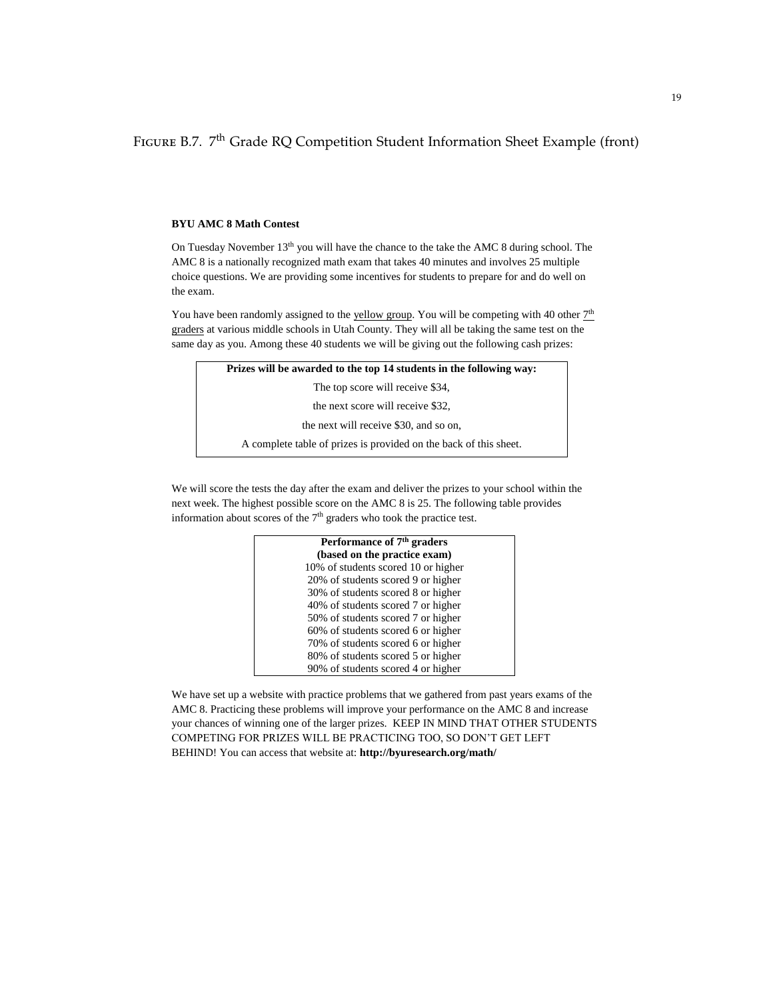FIGURE B.7. 7<sup>th</sup> Grade RQ Competition Student Information Sheet Example (front)

#### **BYU AMC 8 Math Contest**

On Tuesday November 13<sup>th</sup> you will have the chance to the take the AMC 8 during school. The AMC 8 is a nationally recognized math exam that takes 40 minutes and involves 25 multiple choice questions. We are providing some incentives for students to prepare for and do well on the exam.

You have been randomly assigned to the yellow group. You will be competing with 40 other  $7<sup>th</sup>$ graders at various middle schools in Utah County. They will all be taking the same test on the same day as you. Among these 40 students we will be giving out the following cash prizes:

| Prizes will be awarded to the top 14 students in the following way: |  |
|---------------------------------------------------------------------|--|
| The top score will receive \$34,                                    |  |
| the next score will receive \$32,                                   |  |
| the next will receive \$30, and so on,                              |  |
| A complete table of prizes is provided on the back of this sheet.   |  |

We will score the tests the day after the exam and deliver the prizes to your school within the next week. The highest possible score on the AMC 8 is 25. The following table provides information about scores of the  $7<sup>th</sup>$  graders who took the practice test.

| Performance of 7 <sup>th</sup> graders |  |
|----------------------------------------|--|
| (based on the practice exam)           |  |
| 10% of students scored 10 or higher    |  |
| 20% of students scored 9 or higher     |  |
| 30% of students scored 8 or higher     |  |
| 40% of students scored 7 or higher     |  |
| 50% of students scored 7 or higher     |  |
| 60% of students scored 6 or higher     |  |
| 70% of students scored 6 or higher     |  |
| 80% of students scored 5 or higher     |  |
| 90% of students scored 4 or higher     |  |

We have set up a website with practice problems that we gathered from past years exams of the AMC 8. Practicing these problems will improve your performance on the AMC 8 and increase your chances of winning one of the larger prizes. KEEP IN MIND THAT OTHER STUDENTS COMPETING FOR PRIZES WILL BE PRACTICING TOO, SO DON'T GET LEFT BEHIND! You can access that website at: **http://byuresearch.org/math/**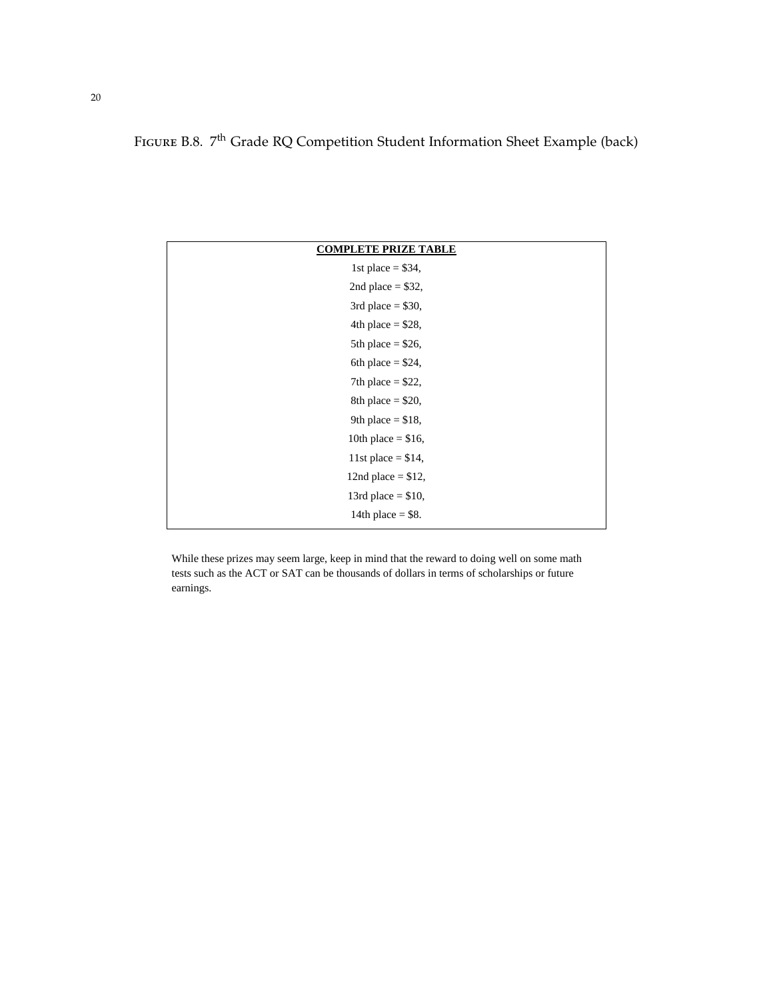# FIGURE B.8. 7<sup>th</sup> Grade RQ Competition Student Information Sheet Example (back)

| <b>COMPLETE PRIZE TABLE</b> |
|-----------------------------|
| 1st place $= $34,$          |
| 2nd place $= $32$ ,         |
| 3rd place $= $30$ ,         |
| 4th place = $$28$ ,         |
| 5th place = $$26$ ,         |
| 6th place = $$24$ ,         |
| 7th place = $$22$ ,         |
| 8th place = $$20$ ,         |
| 9th place = $$18$ ,         |
| 10th place = $$16$ ,        |
| 11st place = $$14$ ,        |
| 12nd place = $$12$ ,        |
| 13rd place $= $10,$         |
| 14th place $=$ \$8.         |
|                             |

While these prizes may seem large, keep in mind that the reward to doing well on some math tests such as the ACT or SAT can be thousands of dollars in terms of scholarships or future earnings.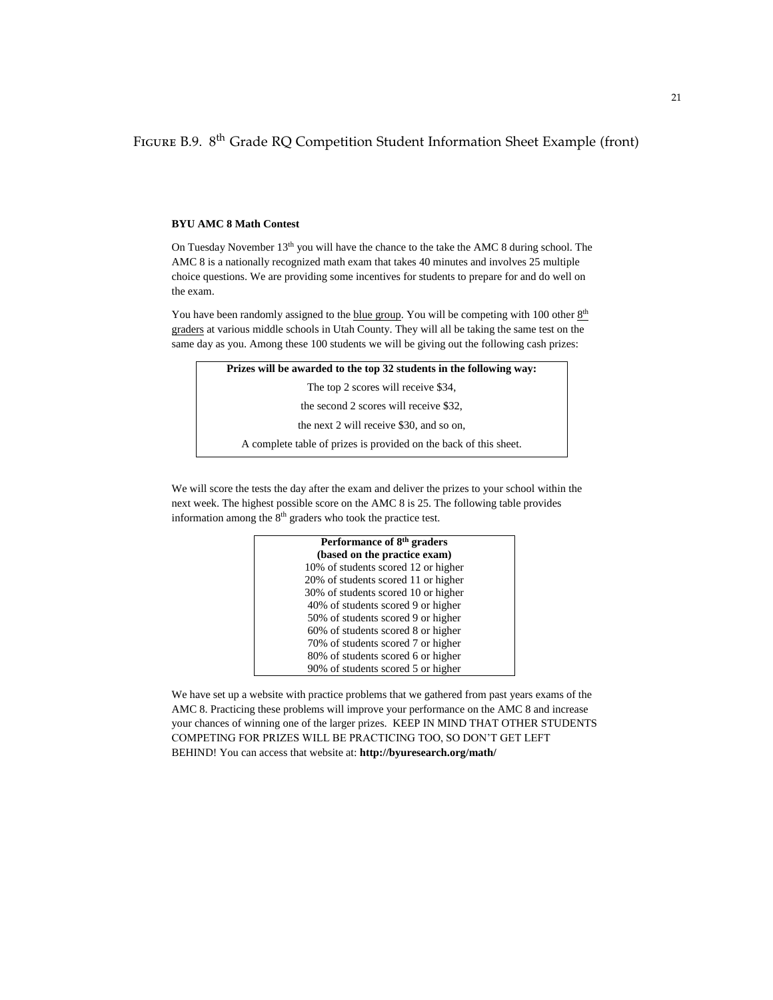FIGURE B.9. 8<sup>th</sup> Grade RQ Competition Student Information Sheet Example (front)

#### **BYU AMC 8 Math Contest**

On Tuesday November 13<sup>th</sup> you will have the chance to the take the AMC 8 during school. The AMC 8 is a nationally recognized math exam that takes 40 minutes and involves 25 multiple choice questions. We are providing some incentives for students to prepare for and do well on the exam.

You have been randomly assigned to the blue group. You will be competing with 100 other  $8<sup>th</sup>$ graders at various middle schools in Utah County. They will all be taking the same test on the same day as you. Among these 100 students we will be giving out the following cash prizes:

| Prizes will be awarded to the top 32 students in the following way: |  |
|---------------------------------------------------------------------|--|
| The top 2 scores will receive \$34,                                 |  |
| the second 2 scores will receive \$32,                              |  |
| the next 2 will receive \$30, and so on,                            |  |
| A complete table of prizes is provided on the back of this sheet.   |  |

We will score the tests the day after the exam and deliver the prizes to your school within the next week. The highest possible score on the AMC 8 is 25. The following table provides information among the 8<sup>th</sup> graders who took the practice test.

| Performance of 8 <sup>th</sup> graders |  |
|----------------------------------------|--|
| (based on the practice exam)           |  |
| 10% of students scored 12 or higher    |  |
| 20% of students scored 11 or higher    |  |
| 30% of students scored 10 or higher    |  |
| 40% of students scored 9 or higher     |  |
| 50% of students scored 9 or higher     |  |
| 60% of students scored 8 or higher     |  |
| 70% of students scored 7 or higher     |  |
| 80% of students scored 6 or higher     |  |
| 90% of students scored 5 or higher     |  |

We have set up a website with practice problems that we gathered from past years exams of the AMC 8. Practicing these problems will improve your performance on the AMC 8 and increase your chances of winning one of the larger prizes. KEEP IN MIND THAT OTHER STUDENTS COMPETING FOR PRIZES WILL BE PRACTICING TOO, SO DON'T GET LEFT BEHIND! You can access that website at: **http://byuresearch.org/math/**